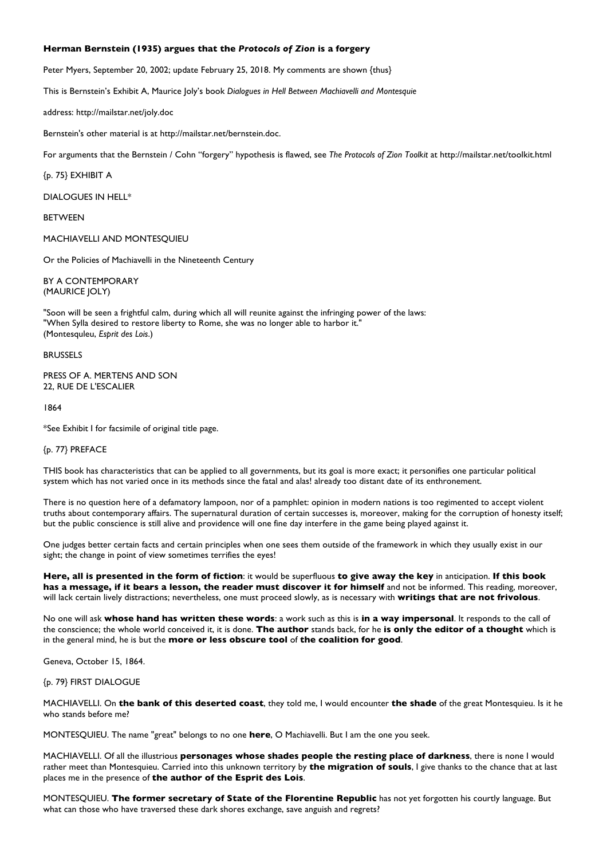# **Herman Bernstein (1935) argues that the** *Protocols of Zion* **is a forgery**

Peter Myers, September 20, 2002; update February 25, 2018. My comments are shown {thus}

This is Bernstein's Exhibit A, Maurice Joly's book *Dialogues in Hell Between Machiavelli and Montesquie*

address: http://mailstar.net/joly.doc

Bernstein's other material is at http://mailstar.net/bernstein.doc.

For arguments that the Bernstein / Cohn "forgery" hypothesis is flawed, see *The Protocols of Zion Toolkit* at http://mailstar.net/toolkit.html

{p. 75} EXHIBIT A

DIALOGUES IN HELL\*

BETWEEN

**MACHIAVELLI AND MONTESQUIEU** 

Or the Policies of Machiavelli in the Nineteenth Century

BY A CONTEMPORARY (MAURICE JOLY)

"Soon will be seen a frightful calm, during which all will reunite against the infringing power of the laws: "When Sylla desired to restore liberty to Rome, she was no longer able to harbor it." (Montesquleu, *Esprit des Lois*.)

BRUSSELS

PRESS OF A. MERTENS AND SON 22, RUE DE L'ESCALIER

1864

\*See Exhibit I for facsimile of original title page.

{p. 77} PREFACE

THIS book has characteristics that can be applied to all governments, but its goal is more exact; it personifies one particular political system which has not varied once in its methods since the fatal and alas! already too distant date of its enthronement.

There is no question here of a defamatory lampoon, nor of a pamphlet: opinion in modern nations is too regimented to accept violent truths about contemporary affairs. The supernatural duration of certain successes is, moreover, making for the corruption of honesty itself; but the public conscience is still alive and providence will one fine day interfere in the game being played against it.

One judges better certain facts and certain principles when one sees them outside of the framework in which they usually exist in our sight; the change in point of view sometimes terrifies the eyes!

**Here, all is presented in the form of fiction**: it would be superfluous **to give away the key** in anticipation. **If this book has a message, if it bears a lesson, the reader must discover it for himself** and not be informed. This reading, moreover, will lack certain lively distractions; nevertheless, one must proceed slowly, as is necessary with **writings that are not frivolous**.

No one will ask **whose hand has written these words**: a work such as this is **in a way impersonal**. It responds to the call of the conscience; the whole world conceived it, it is done. **The author** stands back, for he **is only the editor of a thought** which is in the general mind, he is but the **more or less obscure tool** of **the coalition for good**.

Geneva, October 15, 1864.

{p. 79} FIRST DIALOGUE

MACHIAVELLI. On **the bank of this deserted coast**, they told me, I would encounter **the shade** of the great Montesquieu. Is it he who stands before me?

MONTESQUIEU. The name "great" belongs to no one **here**, O Machiavelli. But I am the one you seek.

MACHIAVELLI. Of all the illustrious **personages whose shades people the resting place of darkness**, there is none I would rather meet than Montesquieu. Carried into this unknown territory by **the migration of souls**, I give thanks to the chance that at last places me in the presence of **the author of the Esprit des Lois**.

MONTESQUIEU. **The former secretary of State of the Florentine Republic** has not yet forgotten his courtly language. But what can those who have traversed these dark shores exchange, save anguish and regrets?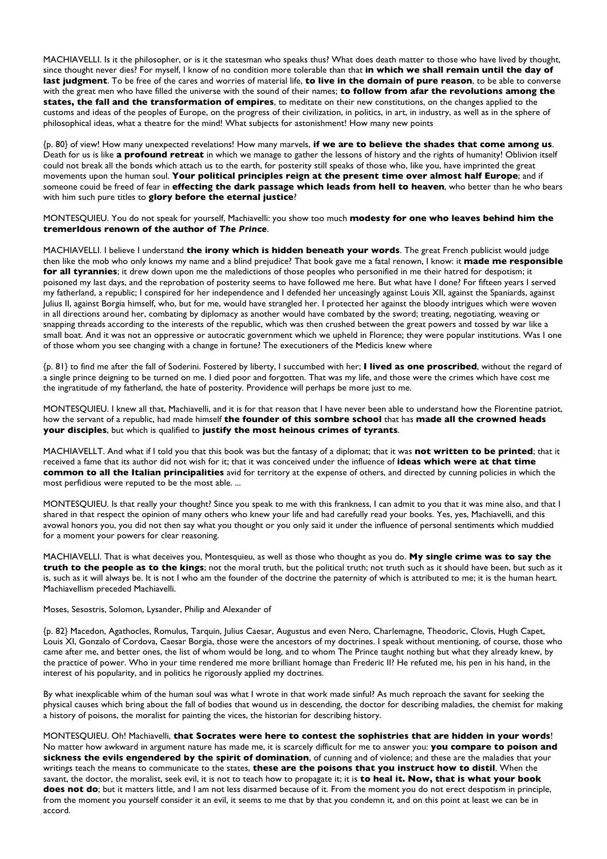MACHIAVELLI. Is it the philosopher, or is it the statesman who speaks thus? What does death matter to those who have lived by thought, since thought never dies? For myself, I know of no condition more tolerable than that **in which we shall remain until the day of last judgment**. To be free of the cares and worries of material life, **to live in the domain of pure reason**, to be able to converse with the great men who have filled the universe with the sound of their names; **to follow from afar the revolutions among the states, the fall and the transformation of empires**, to meditate on their new constitutions, on the changes applied to the customs and ideas of the peoples of Europe, on the progress of their civilization, in politics, in art, in industry, as well as in the sphere of philosophical ideas, what a theatre for the mind! What subjects for astonishment! How many new points

{p. 80} of view! How many unexpected revelations! How many marvels, **if we are to believe the shades that come among us**. Death for us is like **a profound retreat** in which we manage to gather the lessons of history and the rights of humanity! Oblivion itself could not break all the bonds which attach us to the earth, for posterity still speaks of those who, like you, have imprinted the great movements upon the human soul. **Your political principles reign at the present time over almost half Europe**; and if someone couid be freed of fear in **effecting the dark passage which leads from hell to heaven**, who better than he who bears with him such pure titles to **glory before the eternal justice**?

MONTESQUIEU. You do not speak for yourself, Machiavelli: you show too much **modesty for one who leaves behind him the tremerldous renown of the author of** *The Prince*.

MACHIAVELLI. I believe I understand **the irony which is hidden beneath your words**. The great French publicist would judge then like the mob who only knows my name and a blind prejudice? That book gave me a fatal renown, I know: it **made me responsible for all tyrannies**; it drew down upon me the maledictions of those peoples who personified in me their hatred for despotism; it poisoned my last days, and the reprobation of posterity seems to have followed me here. But what have I done? For fifteen years I served my fatherland, a republic; I conspired for her independence and I defended her unceasingly against Louis XII, against the Spaniards, against Julius II, against Borgia himself, who, but for me, would have strangled her. I protected her against the bloody intrigues which were woven in all directions around her, combating by diplomacy as another would have combated by the sword; treating, negotiating, weaving or snapping threads according to the interests of the republic, which was then crushed between the great powers and tossed by war like a small boat. And it was not an oppressive or autocratic government which we upheld in Florence; they were popular institutions. Was I one of those whom you see changing with a change in fortune? The executioners of the Medicis knew where

{p. 81} to find me after the fall of Soderini. Fostered by liberty, I succumbed with her; **I lived as one proscribed**, without the regard of a single prince deigning to be turned on me. I died poor and forgotten. That was my life, and those were the crimes which have cost me the ingratitude of my fatherland, the hate of posterity. Providence will perhaps be more just to me.

MONTESQUIEU. I knew all that, Machiavelli, and it is for that reason that I have never been able to understand how the Florentine patriot, how the servant of a republic, had made himself **the founder of this sombre school** that has **made all the crowned heads your disciples**, but which is qualified to **justify the most heinous crimes of tyrants**.

MACHIAVELLT. And what if I told you that this book was but the fantasy of a diplomat; that it was **not written to be printed**; that it received a fame that its author did not wish for it; that it was conceived under the influence of **ideas which were at that time common to all the Italian principalities** avid for territory at the expense of others, and directed by cunning policies in which the most perfidious were reputed to be the most able. ...

MONTESQUIEU. Is that really your thought? Since you speak to me with this frankness, I can admit to you that it was mine also, and that I shared in that respect the opinion of many others who knew your life and had carefully read your books. Yes, yes, Machiavelli, and this avowal honors you, you did not then say what you thought or you only said it under the influence of personal sentiments which muddied for a moment your powers for clear reasoning.

MACHIAVELLI. That is what deceives you, Montesquieu, as well as those who thought as you do. **My single crime was to say the truth to the people as to the kings**; not the moral truth, but the political truth; not truth such as it should have been, but such as it is, such as it will always be. It is not I who am the founder of the doctrine the paternity of which is attributed to me; it is the human heart. Machiavellism preceded Machiavelli.

# Moses, Sesostris, Solomon, Lysander, Philip and Alexander of

{p. 82} Macedon, Agathocles, Romulus, Tarquin, Julius Caesar, Augustus and even Nero, Charlemagne, Theodoric, Clovis, Hugh Capet, Louis XI, Gonzalo of Cordova, Caesar Borgia, those were the ancestors of my doctrines. I speak without mentioning, of course, those who came after me, and better ones, the list of whom would be long, and to whom The Prince taught nothing but what they already knew, by the practice of power. Who in your time rendered me more brilliant homage than Frederic II? He refuted me, his pen in his hand, in the interest of his popularity, and in politics he rigorously applied my doctrines.

By what inexplicable whim of the human soul was what I wrote in that work made sinful? As much reproach the savant for seeking the physical causes which bring about the fall of bodies that wound us in descending, the doctor for describing maladies, the chemist for making a history of poisons, the moralist for painting the vices, the historian for describing history.

MONTESQUIEU. Oh! Machiavelli, **that Socrates were here to contest the sophistries that are hidden in your words**! No matter how awkward in argument nature has made me, it is scarcely difficult for me to answer you: **you compare to poison and sickness the evils engendered by the spirit of domination**, of cunning and of violence; and these are the maladies that your writings teach the means to communicate to the states, **these are the poisons that you instruct how to distil**. When the savant, the doctor, the moralist, seek evil, it is not to teach how to propagate it; it is **to heal it. Now, that is what your book does not do**; but it matters little, and I am not less disarmed because of it. From the moment you do not erect despotism in principle, from the moment you yourself consider it an evil, it seems to me that by that you condemn it, and on this point at least we can be in accord.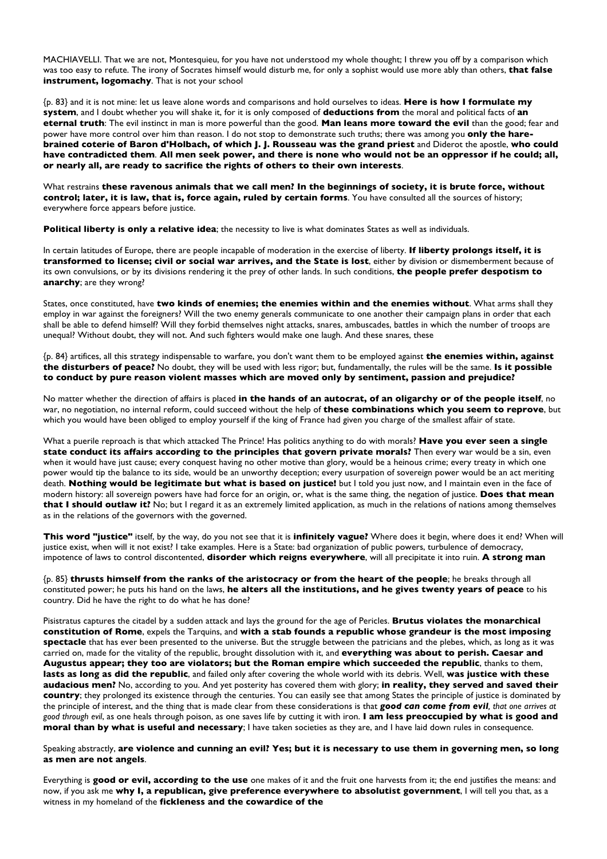MACHIAVELLI. That we are not, Montesquieu, for you have not understood my whole thought; I threw you off by a comparison which was too easy to refute. The irony of Socrates himself would disturb me, for only a sophist would use more ably than others, **that false instrument, logomachy**. That is not your school

{p. 83} and it is not mine: let us leave alone words and comparisons and hold ourselves to ideas. **Here is how I formulate my system**, and I doubt whether you will shake it, for it is only composed of **deductions from** the moral and political facts of **an eternal truth**: The evil instinct in man is more powerful than the good. **Man leans more toward the evil** than the good; fear and power have more control over him than reason. I do not stop to demonstrate such truths; there was among you **only the harebrained coterie of Baron d'Holbach, of which J. J. Rousseau was the grand priest** and Diderot the apostle, **who could have contradicted them**. **All men seek power, and there is none who would not be an oppressor if he could; all, or nearly all, are ready to sacrifice the rights of others to their own interests**.

What restrains **these ravenous animals that we call men? In the beginnings of society, it is brute force, without control; later, it is law, that is, force again, ruled by certain forms**. You have consulted all the sources of history; everywhere force appears before justice.

**Political liberty is only a relative idea**; the necessity to live is what dominates States as well as individuals.

In certain latitudes of Europe, there are people incapable of moderation in the exercise of liberty. **If liberty prolongs itself, it is transformed to license; civil or social war arrives, and the State is lost**, either by division or dismemberment because of its own convulsions, or by its divisions rendering it the prey of other lands. In such conditions, **the people prefer despotism to anarchy**; are they wrong?

States, once constituted, have **two kinds of enemies; the enemies within and the enemies without**. What arms shall they employ in war against the foreigners? Will the two enemy generals communicate to one another their campaign plans in order that each shall be able to defend himself? Will they forbid themselves night attacks, snares, ambuscades, battles in which the number of troops are unequal? Without doubt, they will not. And such fighters would make one laugh. And these snares, these

{p. 84} artifices, all this strategy indispensable to warfare, you don't want them to be employed against **the enemies within, against the disturbers of peace?** No doubt, they will be used with less rigor; but, fundamentally, the rules will be the same. **Is it possible to conduct by pure reason violent masses which are moved only by sentiment, passion and prejudice?** 

No matter whether the direction of affairs is placed **in the hands of an autocrat, of an oligarchy or of the people itself**, no war, no negotiation, no internal reform, could succeed without the help of **these combinations which you seem to reprove**, but which you would have been obliged to employ yourself if the king of France had given you charge of the smallest affair of state.

What a puerile reproach is that which attacked The Prince! Has politics anything to do with morals? **Have you ever seen a single state conduct its affairs according to the principles that govern private morals?** Then every war would be a sin, even when it would have just cause; every conquest having no other motive than glory, would be a heinous crime; every treaty in which one power would tip the balance to its side, would be an unworthy deception; every usurpation of sovereign power would be an act meriting death. **Nothing would be legitimate but what is based on justice!** but I told you just now, and I maintain even in the face of modern history: all sovereign powers have had force for an origin, or, what is the same thing, the negation of justice. **Does that mean that I should outlaw it?** No; but I regard it as an extremely limited application, as much in the relations of nations among themselves as in the relations of the governors with the governed.

**This word "justice"** itself, by the way, do you not see that it is **infinitely vague?** Where does it begin, where does it end? When will justice exist, when will it not exist? I take examples. Here is a State: bad organization of public powers, turbulence of democracy, impotence of laws to control discontented, **disorder which reigns everywhere**, will all precipitate it into ruin. **A strong man** 

{p. 85} **thrusts himself from the ranks of the aristocracy or from the heart of the people**; he breaks through all constituted power; he puts his hand on the laws, **he alters all the institutions, and he gives twenty years of peace** to his country. Did he have the right to do what he has done?

Pisistratus captures the citadel by a sudden attack and lays the ground for the age of Pericles. **Brutus violates the monarchical constitution of Rome**, expels the Tarquins, and **with a stab founds a republic whose grandeur is the most imposing spectacle** that has ever been presented to the universe. But the struggle between the patricians and the plebes, which, as long as it was carried on, made for the vitality of the republic, brought dissolution with it, and **everything was about to perish. Caesar and Augustus appear; they too are violators; but the Roman empire which succeeded the republic**, thanks to them, **lasts as long as did the republic**, and failed only after covering the whole world with its debris. Well, **was justice with these audacious men?** No, according to you. And yet posterity has covered them with glory; **in reality, they served and saved their country**; they prolonged its existence through the centuries. You can easily see that among States the principle of justice is dominated by the principle of interest, and the thing that is made clear from these considerations is that *good can come from evil, that one arrives at good through evil*, as one heals through poison, as one saves life by cutting it with iron. **I am less preoccupied by what is good and moral than by what is useful and necessary**; I have taken societies as they are, and I have laid down rules in consequence.

Speaking abstractly, **are violence and cunning an evil? Yes; but it is necessary to use them in governing men, so long as men are not angels**.

Everything is **good or evil, according to the use** one makes of it and the fruit one harvests from it; the end justifies the means: and now, if you ask me **why I, a republican, give preference everywhere to absolutist government**, I will tell you that, as a witness in my homeland of the **fickleness and the cowardice of the**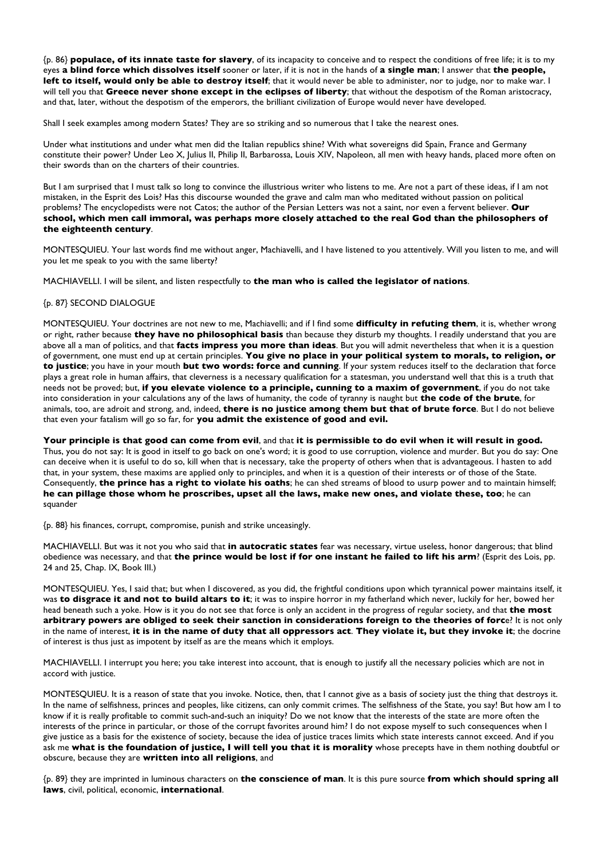{p. 86} **populace, of its innate taste for slavery**, of its incapacity to conceive and to respect the conditions of free life; it is to my eyes **a blind force which dissolves itself** sooner or later, if it is not in the hands of **a single man**; I answer that **the people, left to itself, would only be able to destroy itself**; that it would never be able to administer, nor to judge, nor to make war. I will tell you that **Greece never shone except in the eclipses of liberty**; that without the despotism of the Roman aristocracy, and that, later, without the despotism of the emperors, the brilliant civilization of Europe would never have developed.

Shall I seek examples among modern States? They are so striking and so numerous that I take the nearest ones.

Under what institutions and under what men did the Italian republics shine? With what sovereigns did Spain, France and Germany constitute their power? Under Leo X, Julius II, Philip II, Barbarossa, Louis XIV, Napoleon, all men with heavy hands, placed more often on their swords than on the charters of their countries.

But I am surprised that I must talk so long to convince the illustrious writer who listens to me. Are not a part of these ideas, if I am not mistaken, in the Esprit des Lois? Has this discourse wounded the grave and calm man who meditated without passion on political problems? The encyclopedists were not Catos; the author of the Persian Letters was not a saint, nor even a fervent believer. **Our school, which men call immoral, was perhaps more closely attached to the real God than the philosophers of the eighteenth century**.

MONTESQUIEU. Your last words find me without anger, Machiavelli, and I have listened to you attentively. Will you listen to me, and will you let me speak to you with the same liberty?

MACHIAVELLI. I will be silent, and listen respectfully to **the man who is called the legislator of nations**.

# {p. 87} SECOND DIALOGUE

MONTESQUIEU. Your doctrines are not new to me, Machiavelli; and if I find some **difficulty in refuting them**, it is, whether wrong or right, rather because **they have no philosophical basis** than because they disturb my thoughts. I readily understand that you are above all a man of politics, and that **facts impress you more than ideas**. But you will admit nevertheless that when it is a question of government, one must end up at certain principles. **You give no place in your political system to morals, to religion, or to justice**; you have in your mouth **but two words: force and cunning**. If your system reduces itself to the declaration that force plays a great role in human affairs, that cleverness is a necessary qualification for a statesman, you understand well that this is a truth that needs not be proved; but, **if you elevate violence to a principle, cunning to a maxim of government**, if you do not take into consideration in your calculations any of the laws of humanity, the code of tyranny is naught but **the code of the brute**, for animals, too, are adroit and strong, and, indeed, **there is no justice among them but that of brute force**. But I do not believe that even your fatalism will go so far, for **you admit the existence of good and evil.**

**Your principle is that good can come from evil**, and that **it is permissible to do evil when it will result in good.** Thus, you do not say: It is good in itself to go back on one's word; it is good to use corruption, violence and murder. But you do say: One can deceive when it is useful to do so, kill when that is necessary, take the property of others when that is advantageous. I hasten to add that, in your system, these maxims are applied only to principles, and when it is a question of their interests or of those of the State. Consequently, **the prince has a right to violate his oaths**; he can shed streams of blood to usurp power and to maintain himself; **he can pillage those whom he proscribes, upset all the laws, make new ones, and violate these, too**; he can squander

{p. 88} his finances, corrupt, compromise, punish and strike unceasingly.

MACHIAVELLI. But was it not you who said that **in autocratic states** fear was necessary, virtue useless, honor dangerous; that blind obedience was necessary, and that **the prince would be lost if for one instant he failed to lift his arm**? (Esprit des Lois, pp. 24 and 25, Chap. IX, Book III.)

MONTESQUIEU. Yes, I said that; but when I discovered, as you did, the frightful conditions upon which tyrannical power maintains itself, it was **to disgrace it and not to build altars to it**; it was to inspire horror in my fatherland which never, luckily for her, bowed her head beneath such a yoke. How is it you do not see that force is only an accident in the progress of regular society, and that **the most arbitrary powers are obliged to seek their sanction in considerations foreign to the theories of forc**e? It is not only in the name of interest, **it is in the name of duty that all oppressors act**. **They violate it, but they invoke it**; the docrine of interest is thus just as impotent by itself as are the means which it employs.

MACHIAVELLI. I interrupt you here; you take interest into account, that is enough to justify all the necessary policies which are not in accord with justice.

MONTESQUIEU. It is a reason of state that you invoke. Notice, then, that I cannot give as a basis of society just the thing that destroys it. In the name of selfishness, princes and peoples, like citizens, can only commit crimes. The selfishness of the State, you say! But how am I to know if it is really profitable to commit such-and-such an iniquity? Do we not know that the interests of the state are more often the interests of the prince in particular, or those of the corrupt favorites around him? I do not expose myself to such consequences when I give justice as a basis for the existence of society, because the idea of justice traces limits which state interests cannot exceed. And if you ask me **what is the foundation of justice, I will tell you that it is morality** whose precepts have in them nothing doubtful or obscure, because they are **written into all religions**, and

{p. 89} they are imprinted in luminous characters on **the conscience of man**. It is this pure source **from which should spring all laws**, civil, political, economic, **international**.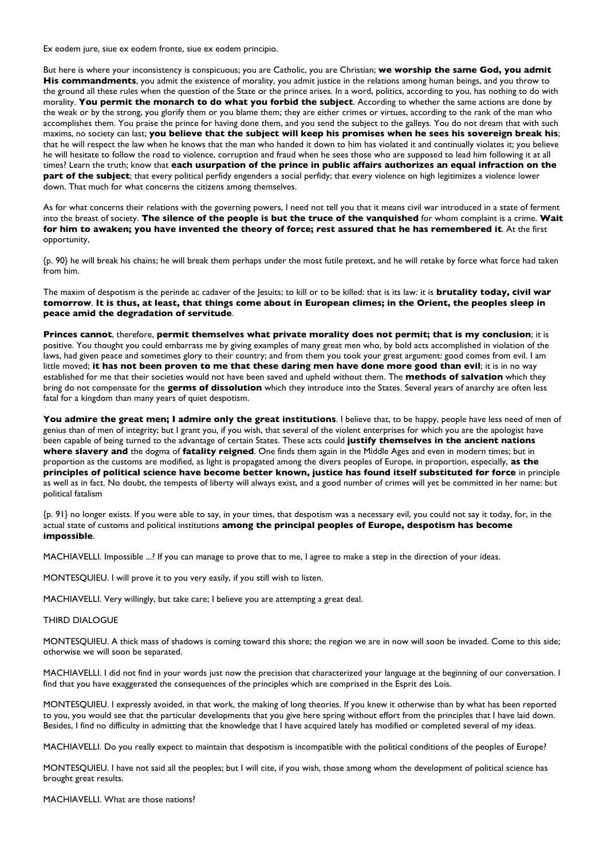Ex eodem jure, siue ex eodem fronte, siue ex eodem principio.

But here is where your inconsistency is conspicuous; you are Catholic, you are Christian; **we worship the same God, you admit His commandments**, you admit the existence of morality, you admit justice in the relations among human beings, and you throw to the ground all these rules when the question of the State or the prince arises. In a word, politics, according to you, has nothing to do with morality. **You permit the monarch to do what you forbid the subject**. According to whether the same actions are done by the weak or by the strong, you glorify them or you blame them; they are either crimes or virtues, according to the rank of the man who accomplishes them. You praise the prince for having done them, and you send the subject to the galleys. You do not dream that with such maxims, no society can last; **you believe that the subject will keep his promises when he sees his sovereign break his**; that he will respect the law when he knows that the man who handed it down to him has violated it and continually violates it; you believe he will hesitate to follow the road to violence, corruption and fraud when he sees those who are supposed to lead him following it at all times? Learn the truth; know that **each usurpation of the prince in public affairs authorizes an equal infraction on the**  part of the subject; that every political perfidy engenders a social perfidy; that every violence on high legitimizes a violence lower down. That much for what concerns the citizens among themselves.

As for what concerns their relations with the governing powers, I need not tell you that it means civil war introduced in a state of ferment into the breast of society. **The silence of the people is but the truce of the vanquished** for whom complaint is a crime. **Wait for him to awaken; you have invented the theory of force; rest assured that he has remembered it**. At the first opportunity,

{p. 90} he will break his chains; he will break them perhaps under the most futile pretext, and he will retake by force what force had taken from him.

The maxim of despotism is the perinde ac cadaver of the Jesuits; to kill or to be killed: that is its law: it is **brutality today, civil war tomorrow**. **It is thus, at least, that things come about in European climes; in the Orient, the peoples sleep in peace amid the degradation of servitude**.

**Princes cannot**, therefore, **permit themselves what private morality does not permit; that is my conclusion**; it is positive. You thought you could embarrass me by giving examples of many great men who, by bold acts accomplished in violation of the laws, had given peace and sometimes glory to their country; and from them you took your great argument: good comes from evil. I am little moved; **it has not been proven to me that these daring men have done more good than evil**; it is in no way established for me that their societies would not have been saved and upheld without them. The **methods of salvation** which they bring do not compensate for the **germs of dissolution** which they introduce into the States. Several years of anarchy are often less fatal for a kingdom than many years of quiet despotism.

You admire the great men; I admire only the great institutions. I believe that, to be happy, people have less need of men of genius than of men of integrity; but I grant you, if you wish, that several of the violent enterprises for which you are the apologist have been capable of being turned to the advantage of certain States. These acts could **justify themselves in the ancient nations where slavery and** the dogma of **fatality reigned**. One finds them again in the Middle Ages and even in modern times; but in proportion as the customs are modified, as light is propagated among the divers peoples of Europe, in proportion, especially, **as the principles of political science have become better known, justice has found itself substituted for force** in principle as well as in fact. No doubt, the tempests of liberty will always exist, and a good number of crimes will yet be committed in her name: but political fatalism

{p. 91} no longer exists. If you were able to say, in your times, that despotism was a necessary evil, you could not say it today, for, in the actual state of customs and political institutions **among the principal peoples of Europe, despotism has become impossible**.

MACHIAVELLI. Impossible ...? If you can manage to prove that to me, I agree to make a step in the direction of your ideas.

MONTESQUIEU. I will prove it to you very easily, if you still wish to listen.

MACHIAVELLI. Very willingly, but take care; I believe you are attempting a great deal.

# THIRD DIALOGUE

MONTESQUIEU. A thick mass of shadows is coming toward this shore; the region we are in now will soon be invaded. Come to this side; otherwise we will soon be separated.

MACHIAVELLI. I did not find in your words just now the precision that characterized your language at the beginning of our conversation. I find that you have exaggerated the consequences of the principles which are comprised in the Esprit des Lois.

MONTESQUIEU. I expressly avoided, in that work, the making of long theories. If you knew it otherwise than by what has been reported to you, you would see that the particular developments that you give here spring without effort from the principles that I have laid down. Besides, I find no difficulty in admitting that the knowledge that I have acquired lately has modified or completed several of my ideas.

MACHIAVELLI. Do you really expect to maintain that despotism is incompatible with the political conditions of the peoples of Europe?

MONTESQUIEU. I have not said all the peoples; but I will cite, if you wish, those among whom the development of political science has brought great results.

# MACHIAVELLI. What are those nations?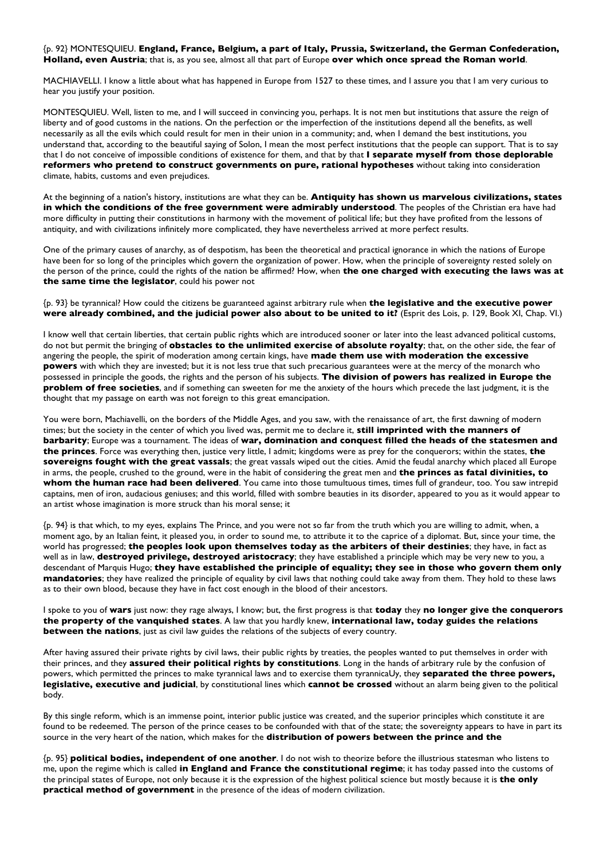# {p. 92} MONTESQUIEU. **England, France, Belgium, a part of Italy, Prussia, Switzerland, the German Confederation, Holland, even Austria**; that is, as you see, almost all that part of Europe **over which once spread the Roman world**.

MACHIAVELLI. I know a little about what has happened in Europe from 1527 to these times, and I assure you that I am very curious to hear you justify your position.

MONTESQUIEU. Well, listen to me, and I will succeed in convincing you, perhaps. It is not men but institutions that assure the reign of liberty and of good customs in the nations. On the perfection or the imperfection of the institutions depend all the benefits, as well necessarily as all the evils which could result for men in their union in a community; and, when I demand the best institutions, you understand that, according to the beautiful saying of Solon, I mean the most perfect institutions that the people can support. That is to say that I do not conceive of impossible conditions of existence for them, and that by that **I separate myself from those deplorable reformers who pretend to construct governments on pure, rational hypotheses** without taking into consideration climate, habits, customs and even prejudices.

At the beginning of a nation's history, institutions are what they can be. **Antiquity has shown us marvelous civilizations, states in which the conditions of the free government were admirably understood**. The peoples of the Christian era have had more difficulty in putting their constitutions in harmony with the movement of political life; but they have profited from the lessons of antiquity, and with civilizations infinitely more complicated, they have nevertheless arrived at more perfect results.

One of the primary causes of anarchy, as of despotism, has been the theoretical and practical ignorance in which the nations of Europe have been for so long of the principles which govern the organization of power. How, when the principle of sovereignty rested solely on the person of the prince, could the rights of the nation be affirmed? How, when **the one charged with executing the laws was at the same time the legislator**, could his power not

{p. 93} be tyrannical? How could the citizens be guaranteed against arbitrary rule when **the legislative and the executive power were already combined, and the judicial power also about to be united to it?** (Esprit des Lois, p. 129, Book XI, Chap. VI.)

I know well that certain liberties, that certain public rights which are introduced sooner or later into the least advanced political customs, do not but permit the bringing of **obstacles to the unlimited exercise of absolute royalty**; that, on the other side, the fear of angering the people, the spirit of moderation among certain kings, have **made them use with moderation the excessive powers** with which they are invested; but it is not less true that such precarious guarantees were at the mercy of the monarch who possessed in principle the goods, the rights and the person of his subjects. **The division of powers has realized in Europe the problem of free societies**, and if something can sweeten for me the anxiety of the hours which precede the last judgment, it is the thought that my passage on earth was not foreign to this great emancipation.

You were born, Machiavelli, on the borders of the Middle Ages, and you saw, with the renaissance of art, the first dawning of modern times; but the society in the center of which you lived was, permit me to declare it, **still imprinted with the manners of barbarity**; Europe was a tournament. The ideas of **war, domination and conquest filled the heads of the statesmen and the princes**. Force was everything then, justice very little, I admit; kingdoms were as prey for the conquerors; within the states, **the sovereigns fought with the great vassals**; the great vassals wiped out the cities. Amid the feudal anarchy which placed all Europe in arms, the people, crushed to the ground, were in the habit of considering the great men and **the princes as fatal divinities, to whom the human race had been delivered**. You came into those tumultuous times, times full of grandeur, too. You saw intrepid captains, men of iron, audacious geniuses; and this world, filled with sombre beauties in its disorder, appeared to you as it would appear to an artist whose imagination is more struck than his moral sense; it

{p. 94} is that which, to my eyes, explains The Prince, and you were not so far from the truth which you are willing to admit, when, a moment ago, by an Italian feint, it pleased you, in order to sound me, to attribute it to the caprice of a diplomat. But, since your time, the world has progressed; **the peoples look upon themselves today as the arbiters of their destinies**; they have, in fact as well as in law, **destroyed privilege, destroyed aristocracy**; they have established a principle which may be very new to you, a descendant of Marquis Hugo; **they have established the principle of equality; they see in those who govern them only mandatories**; they have realized the principle of equality by civil laws that nothing could take away from them. They hold to these laws as to their own blood, because they have in fact cost enough in the blood of their ancestors.

I spoke to you of **wars** just now: they rage always, I know; but, the first progress is that **today** they **no longer give the conquerors the property of the vanquished states**. A law that you hardly knew, **international law, today guides the relations between the nations**, just as civil law guides the relations of the subjects of every country.

After having assured their private rights by civil laws, their public rights by treaties, the peoples wanted to put themselves in order with their princes, and they **assured their political rights by constitutions**. Long in the hands of arbitrary rule by the confusion of powers, which permitted the princes to make tyrannical laws and to exercise them tyrannicaUy, they **separated the three powers, legislative, executive and judicial**, by constitutional lines which **cannot be crossed** without an alarm being given to the political body.

By this single reform, which is an immense point, interior public justice was created, and the superior principles which constitute it are found to be redeemed. The person of the prince ceases to be confounded with that of the state; the sovereignty appears to have in part its source in the very heart of the nation, which makes for the **distribution of powers between the prince and the** 

{p. 95} **political bodies, independent of one another**. I do not wish to theorize before the illustrious statesman who listens to me, upon the regime which is called **in England and France the constitutional regime**; it has today passed into the customs of the principal states of Europe, not only because it is the expression of the highest political science but mostly because it is **the only practical method of government** in the presence of the ideas of modern civilization.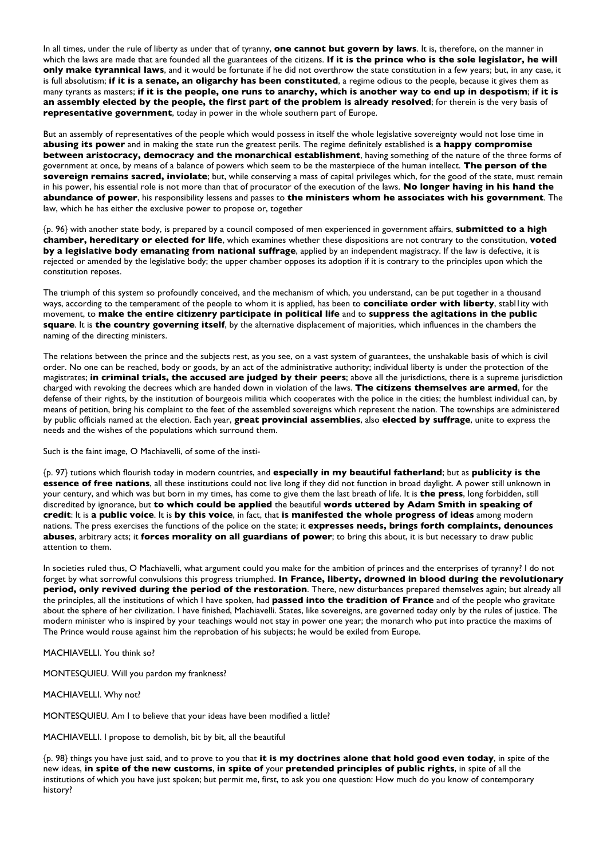In all times, under the rule of liberty as under that of tyranny, **one cannot but govern by laws**. It is, therefore, on the manner in which the laws are made that are founded all the guarantees of the citizens. **If it is the prince who is the sole legislator, he will only make tyrannical laws**, and it would be fortunate if he did not overthrow the state constitution in a few years; but, in any case, it is full absolutism; **if it is a senate, an oligarchy has been constituted**, a regime odious to the people, because it gives them as many tyrants as masters; **if it is the people, one runs to anarchy, which is another way to end up in despotism**; **if it is an assembly elected by the people, the first part of the problem is already resolved**; for therein is the very basis of **representative government**, today in power in the whole southern part of Europe.

But an assembly of representatives of the people which would possess in itself the whole legislative sovereignty would not lose time in **abusing its power** and in making the state run the greatest perils. The regime definitely established is **a happy compromise between aristocracy, democracy and the monarchical establishment**, having something of the nature of the three forms of government at once, by means of a balance of powers which seem to be the masterpiece of the human intellect. **The person of the sovereign remains sacred, inviolate**; but, while conserving a mass of capital privileges which, for the good of the state, must remain in his power, his essential role is not more than that of procurator of the execution of the laws. **No longer having in his hand the abundance of power**, his responsibility lessens and passes to **the ministers whom he associates with his government**. The law, which he has either the exclusive power to propose or, together

{p. 96} with another state body, is prepared by a council composed of men experienced in government affairs, **submitted to a high chamber, hereditary or elected for life**, which examines whether these dispositions are not contrary to the constitution, **voted by a legislative body emanating from national suffrage**, applied by an independent magistracy. If the law is defective, it is rejected or amended by the legislative body; the upper chamber opposes its adoption if it is contrary to the principles upon which the constitution reposes.

The triumph of this system so profoundly conceived, and the mechanism of which, you understand, can be put together in a thousand ways, according to the temperament of the people to whom it is applied, has been to **conciliate order with liberty**, stabl1ity with movement, to **make the entire citizenry participate in political life** and to **suppress the agitations in the public square**. It is **the country governing itself**, by the alternative displacement of majorities, which influences in the chambers the naming of the directing ministers.

The relations between the prince and the subjects rest, as you see, on a vast system of guarantees, the unshakable basis of which is civil order. No one can be reached, body or goods, by an act of the administrative authority; individual liberty is under the protection of the magistrates; **in criminal trials, the accused are judged by their peers**; above all the jurisdictions, there is a supreme jurisdiction charged with revoking the decrees which are handed down in violation of the laws. **The citizens themselves are armed**, for the defense of their rights, by the institution of bourgeois militia which cooperates with the police in the cities; the humblest individual can, by means of petition, bring his complaint to the feet of the assembled sovereigns which represent the nation. The townships are administered by public officials named at the election. Each year, **great provincial assemblies**, also **elected by suffrage**, unite to express the needs and the wishes of the populations which surround them.

Such is the faint image, O Machiavelli, of some of the insti-

{p. 97} tutions which flourish today in modern countries, and **especially in my beautiful fatherland**; but as **publicity is the**  essence of free nations, all these institutions could not live long if they did not function in broad daylight. A power still unknown in your century, and which was but born in my times, has come to give them the last breath of life. It is **the press**, long forbidden, still discredited by ignorance, but **to which could be applied** the beautiful **words uttered by Adam Smith in speaking of credit**: lt is **a public voice**. It is **by this voice**, in fact, that **is manifested the whole progress of ideas** among modern nations. The press exercises the functions of the police on the state; it **expresses needs, brings forth complaints, denounces abuses**, arbitrary acts; it **forces morality on all guardians of power**; to bring this about, it is but necessary to draw public attention to them.

In societies ruled thus, O Machiavelli, what argument could you make for the ambition of princes and the enterprises of tyranny? I do not forget by what sorrowful convulsions this progress triumphed. **In France, liberty, drowned in blood during the revolutionary period, only revived during the period of the restoration**. There, new disturbances prepared themselves again; but already all the principles, all the institutions of which I have spoken, had **passed into the tradition of France** and of the people who gravitate about the sphere of her civilization. I have finished, Machiavelli. States, like sovereigns, are governed today only by the rules of justice. The modern minister who is inspired by your teachings would not stay in power one year; the monarch who put into practice the maxims of The Prince would rouse against him the reprobation of his subjects; he would be exiled from Europe.

MACHIAVELLI. You think so?

MONTESQUIEU. Will you pardon my frankness?

MACHIAVELLI. Why not?

MONTESQUIEU. Am I to believe that your ideas have been modified a little?

MACHIAVELLI. I propose to demolish, bit by bit, all the beautiful

{p. 98} things you have just said, and to prove to you that **it is my doctrines alone that hold good even today**, in spite of the new ideas, **in spite of the new customs**, **in spite of** your **pretended principles of public rights**, in spite of all the institutions of which you have just spoken; but permit me, first, to ask you one question: How much do you know of contemporary history?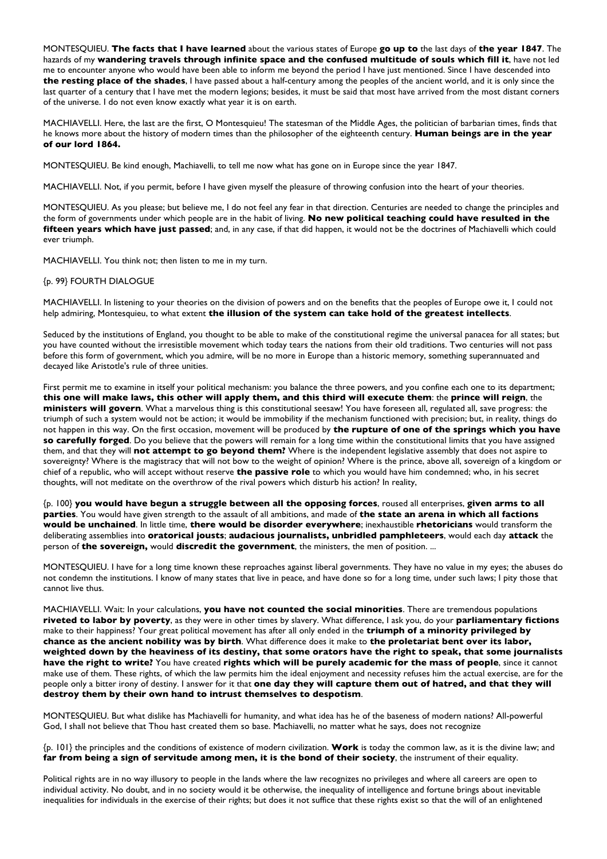MONTESQUIEU. **The facts that I have learned** about the various states of Europe **go up to** the last days of **the year 1847**. The hazards of my **wandering travels through infinite space and the confused multitude of souls which fill it**, have not led me to encounter anyone who would have been able to inform me beyond the period I have just mentioned. Since I have descended into **the resting place of the shades**, I have passed about a half-century among the peoples of the ancient world, and it is only since the last quarter of a century that I have met the modern legions; besides, it must be said that most have arrived from the most distant corners of the universe. I do not even know exactly what year it is on earth.

MACHIAVELLI. Here, the last are the first, O Montesquieu! The statesman of the Middle Ages, the politician of barbarian times, finds that he knows more about the history of modern times than the philosopher of the eighteenth century. **Human beings are in the year of our lord 1864.** 

MONTESQUIEU. Be kind enough, Machiavelli, to tell me now what has gone on in Europe since the year 1847.

MACHIAVELLI. Not, if you permit, before I have given myself the pleasure of throwing confusion into the heart of your theories.

MONTESQUIEU. As you please; but believe me, I do not feel any fear in that direction. Centuries are needed to change the principles and the form of governments under which people are in the habit of living. **No new political teaching could have resulted in the**  fifteen years which have just passed; and, in any case, if that did happen, it would not be the doctrines of Machiavelli which could ever triumph.

MACHIAVELLI. You think not; then listen to me in my turn.

# {p. 99} FOURTH DIALOGUE

MACHIAVELLI. In listening to your theories on the division of powers and on the benefits that the peoples of Europe owe it, I could not help admiring, Montesquieu, to what extent **the illusion of the system can take hold of the greatest intellects**.

Seduced by the institutions of England, you thought to be able to make of the constitutional regime the universal panacea for all states; but you have counted without the irresistible movement which today tears the nations from their old traditions. Two centuries will not pass before this form of government, which you admire, will be no more in Europe than a historic memory, something superannuated and decayed like Aristotle's rule of three unities.

First permit me to examine in itself your political mechanism: you balance the three powers, and you confine each one to its department; **this one will make laws, this other will apply them, and this third will execute them**: the **prince will reign**, the **ministers will govern**. What a marvelous thing is this constitutional seesaw! You have foreseen all, regulated all, save progress: the triumph of such a system would not be action; it would be immobility if the mechanism functioned with precision; but, in reality, things do not happen in this way. On the first occasion, movement will be produced by **the rupture of one of the springs which you have**  so carefully forged. Do you believe that the powers will remain for a long time within the constitutional limits that you have assigned them, and that they will **not attempt to go beyond them?** Where is the independent legislative assembly that does not aspire to sovereignty? Where is the magistracy that will not bow to the weight of opinion? Where is the prince, above all, sovereign of a kingdom or chief of a republic, who will accept without reserve **the passive role** to which you would have him condemned; who, in his secret thoughts, will not meditate on the overthrow of the rival powers which disturb his action? In reality,

{p. 100} **you would have begun a struggle between all the opposing forces**, roused all enterprises, **given arms to all parties**. You would have given strength to the assault of all ambitions, and made of **the state an arena in which all factions would be unchained**. In little time, **there would be disorder everywhere**; inexhaustible **rhetoricians** would transform the deliberating assemblies into **oratorical jousts**; **audacious journalists, unbridled pamphleteers**, would each day **attack** the person of **the sovereign,** would **discredit the government**, the ministers, the men of position. ...

MONTESQUIEU. I have for a long time known these reproaches against liberal governments. They have no value in my eyes; the abuses do not condemn the institutions. I know of many states that live in peace, and have done so for a long time, under such laws; I pity those that cannot live thus.

MACHIAVELLI. Wait: In your calculations, **you have not counted the social minorities**. There are tremendous populations **riveted to labor by poverty**, as they were in other times by slavery. What difference, I ask you, do your **parliamentary fictions** make to their happiness? Your great political movement has after all only ended in the **triumph of a minority privileged by chance as the ancient nobility was by birth**. What difference does it make to **the proletariat bent over its labor, weighted down by the heaviness of its destiny, that some orators have the right to speak, that some journalists have the right to write?** You have created **rights which will be purely academic for the mass of people**, since it cannot make use of them. These rights, of which the law permits him the ideal enjoyment and necessity refuses him the actual exercise, are for the people only a bitter irony of destiny. I answer for it that **one day they will capture them out of hatred, and that they will destroy them by their own hand to intrust themselves to despotism**.

MONTESQUIEU. But what dislike has Machiavelli for humanity, and what idea has he of the baseness of modern nations? All-powerful God, I shall not believe that Thou hast created them so base. Machiavelli, no matter what he says, does not recognize

{p. 101} the principles and the conditions of existence of modern civilization. **Work** is today the common law, as it is the divine law; and **far from being a sign of servitude among men, it is the bond of their society**, the instrument of their equality.

Political rights are in no way illusory to people in the lands where the law recognizes no privileges and where all careers are open to individual activity. No doubt, and in no society would it be otherwise, the inequality of intelligence and fortune brings about inevitable inequalities for individuals in the exercise of their rights; but does it not suffice that these rights exist so that the will of an enlightened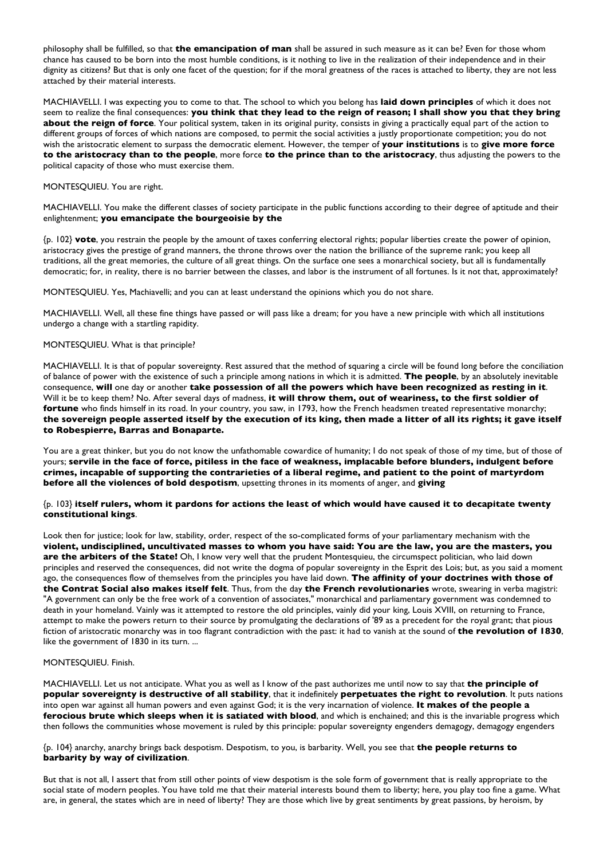philosophy shall be fulfilled, so that **the emancipation of man** shall be assured in such measure as it can be? Even for those whom chance has caused to be born into the most humble conditions, is it nothing to live in the realization of their independence and in their dignity as citizens? But that is only one facet of the question; for if the moral greatness of the races is attached to liberty, they are not less attached by their material interests.

MACHIAVELLI. I was expecting you to come to that. The school to which you belong has **laid down principles** of which it does not seem to realize the final consequences: **you think that they lead to the reign of reason; I shall show you that they bring about the reign of force**. Your political system, taken in its original purity, consists in giving a practically equal part of the action to different groups of forces of which nations are composed, to permit the social activities a justly proportionate competition; you do not wish the aristocratic element to surpass the democratic element. However, the temper of **your institutions** is to **give more force to the aristocracy than to the people**, more force **to the prince than to the aristocracy**, thus adjusting the powers to the political capacity of those who must exercise them.

## MONTESQUIEU. You are right.

MACHIAVELLI. You make the different classes of society participate in the public functions according to their degree of aptitude and their enlightenment; **you emancipate the bourgeoisie by the**

{p. 102} **vote**, you restrain the people by the amount of taxes conferring electoral rights; popular liberties create the power of opinion, aristocracy gives the prestige of grand manners, the throne throws over the nation the brilliance of the supreme rank; you keep all traditions, all the great memories, the culture of all great things. On the surface one sees a monarchical society, but all is fundamentally democratic; for, in reality, there is no barrier between the classes, and labor is the instrument of all fortunes. Is it not that, approximately?

MONTESQUIEU. Yes, Machiavelli; and you can at least understand the opinions which you do not share.

MACHIAVELLI. Well, all these fine things have passed or will pass like a dream; for you have a new principle with which all institutions undergo a change with a startling rapidity.

## MONTESQUIEU. What is that principle?

MACHIAVELLI. It is that of popular sovereignty. Rest assured that the method of squaring a circle will be found long before the conciliation of balance of power with the existence of such a principle among nations in which it is admitted. **The people**, by an absolutely inevitable consequence, **will** one day or another **take possession of all the powers which have been recognized as resting in it**. Will it be to keep them? No. After several days of madness, it will throw them, out of weariness, to the first soldier of **fortune** who finds himself in its road. In your country, you saw, in 1793, how the French headsmen treated representative monarchy; **the sovereign people asserted itself by the execution of its king, then made a litter of all its rights; it gave itself to Robespierre, Barras and Bonaparte.** 

You are a great thinker, but you do not know the unfathomable cowardice of humanity; I do not speak of those of my time, but of those of yours; **servile in the face of force, pitiless in the face of weakness, implacable before blunders, indulgent before crimes, incapable of supporting the contrarieties of a liberal regime, and patient to the point of martyrdom before all the violences of bold despotism**, upsetting thrones in its moments of anger, and **giving** 

## {p. 103} **itself rulers, whom it pardons for actions the least of which would have caused it to decapitate twenty constitutional kings**.

Look then for justice; look for law, stability, order, respect of the so-complicated forms of your parliamentary mechanism with the **violent, undisciplined, uncultivated masses to whom you have said: You are the law, you are the masters, you are the arbiters of the State!** Oh, I know very well that the prudent Montesquieu, the circumspect politician, who laid down principles and reserved the consequences, did not write the dogma of popular sovereignty in the Esprit des Lois; but, as you said a moment ago, the consequences flow of themselves from the principles you have laid down. **The affinity of your doctrines with those of the Contrat Social also makes itself felt**. Thus, from the day **the French revolutionaries** wrote, swearing in verba magistri: "A government can only be the free work of a convention of associates," monarchical and parliamentary government was condemned to death in your homeland. Vainly was it attempted to restore the old principles, vainly did your king, Louis XVIII, on returning to France, attempt to make the powers return to their source by promulgating the declarations of '89 as a precedent for the royal grant; that pious fiction of aristocratic monarchy was in too flagrant contradiction with the past: it had to vanish at the sound of **the revolution of 1830**, like the government of 1830 in its turn. ...

# MONTESQUIEU. Finish.

MACHIAVELLI. Let us not anticipate. What you as well as I know of the past authorizes me until now to say that **the principle of popular sovereignty is destructive of all stability**, that it indefinitely **perpetuates the right to revolution**. It puts nations into open war against all human powers and even against God; it is the very incarnation of violence. **It makes of the people a ferocious brute which sleeps when it is satiated with blood**, and which is enchained; and this is the invariable progress which then follows the communities whose movement is ruled by this principle: popular sovereignty engenders demagogy, demagogy engenders

{p. 104} anarchy, anarchy brings back despotism. Despotism, to you, is barbarity. Well, you see that **the people returns to barbarity by way of civilization**.

But that is not all, I assert that from still other points of view despotism is the sole form of government that is really appropriate to the social state of modern peoples. You have told me that their material interests bound them to liberty; here, you play too fine a game. What are, in general, the states which are in need of liberty? They are those which live by great sentiments by great passions, by heroism, by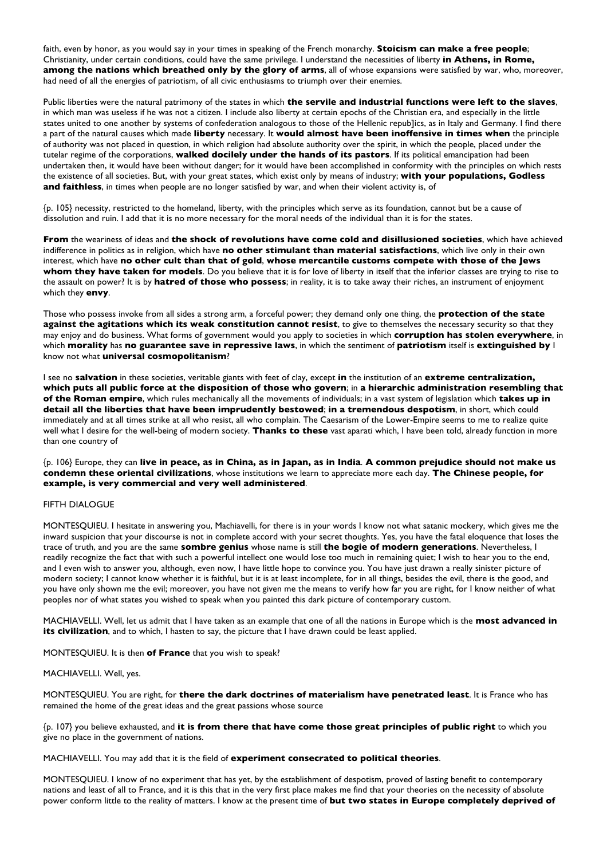faith, even by honor, as you would say in your times in speaking of the French monarchy. **Stoicism can make a free people**; Christianity, under certain conditions, could have the same privilege. I understand the necessities of liberty **in Athens, in Rome, among the nations which breathed only by the glory of arms**, all of whose expansions were satisfied by war, who, moreover, had need of all the energies of patriotism, of all civic enthusiasms to triumph over their enemies.

Public liberties were the natural patrimony of the states in which **the servile and industrial functions were left to the slaves**, in which man was useless if he was not a citizen. I include also liberty at certain epochs of the Christian era, and especially in the little states united to one another by systems of confederation analogous to those of the Hellenic repub]ics, as in Italy and Germany. I find there a part of the natural causes which made **liberty** necessary. It **would almost have been inoffensive in times when** the principle of authority was not placed in question, in which religion had absolute authority over the spirit, in which the people, placed under the tutelar regime of the corporations, **walked docilely under the hands of its pastors**. If its political emancipation had been undertaken then, it would have been without danger; for it would have been accomplished in conformity with the principles on which rests the existence of all societies. But, with your great states, which exist only by means of industry; **with your populations, Godless and faithless**, in times when people are no longer satisfied by war, and when their violent activity is, of

{p. 105} necessity, restricted to the homeland, liberty, with the principles which serve as its foundation, cannot but be a cause of dissolution and ruin. I add that it is no more necessary for the moral needs of the individual than it is for the states.

**From** the weariness of ideas and **the shock of revolutions have come cold and disillusioned societies**, which have achieved indifference in politics as in religion, which have **no other stimulant than material satisfactions**, which live only in their own interest, which have **no other cult than that of gold**, **whose mercantile customs compete with those of the Jews**  whom they have taken for models. Do you believe that it is for love of liberty in itself that the inferior classes are trying to rise to the assault on power? It is by **hatred of those who possess**; in reality, it is to take away their riches, an instrument of enjoyment which they **envy**.

Those who possess invoke from all sides a strong arm, a forceful power; they demand only one thing, the **protection of the state against the agitations which its weak constitution cannot resist**, to give to themselves the necessary security so that they may enjoy and do business. What forms of government would you apply to societies in which **corruption has stolen everywhere**, in which **morality** has **no guarantee save in repressive laws**, in which the sentiment of **patriotism** itself is **extinguished by** I know not what **universal cosmopolitanism**?

I see no **salvation** in these societies, veritable giants with feet of clay, except **in** the institution of an **extreme centralization, which puts all public force at the disposition of those who govern**; in **a hierarchic administration resembling that of the Roman empire**, which rules mechanically all the movements of individuals; in a vast system of legislation which **takes up in detail all the liberties that have been imprudently bestowed**; **in a tremendous despotism**, in short, which could immediately and at all times strike at all who resist, all who complain. The Caesarism of the Lower-Empire seems to me to realize quite well what I desire for the well-being of modern society. **Thanks to these** vast aparati which, I have been told, already function in more than one country of

{p. 106} Europe, they can **live in peace, as in China, as in Japan, as in India**. **A common prejudice should not make us condemn these oriental civilizations**, whose institutions we learn to appreciate more each day. **The Chinese people, for example, is very commercial and very well administered**.

## FIFTH DIALOGUE

MONTESQUIEU. I hesitate in answering you, Machiavelli, for there is in your words I know not what satanic mockery, which gives me the inward suspicion that your discourse is not in complete accord with your secret thoughts. Yes, you have the fatal eloquence that loses the trace of truth, and you are the same **sombre genius** whose name is still **the bogie of modern generations**. Nevertheless, I readily recognize the fact that with such a powerful intellect one would lose too much in remaining quiet; I wish to hear you to the end, and I even wish to answer you, although, even now, I have little hope to convince you. You have just drawn a really sinister picture of modern society; I cannot know whether it is faithful, but it is at least incomplete, for in all things, besides the evil, there is the good, and you have only shown me the evil; moreover, you have not given me the means to verify how far you are right, for I know neither of what peoples nor of what states you wished to speak when you painted this dark picture of contemporary custom.

MACHIAVELLI. Well, let us admit that I have taken as an example that one of all the nations in Europe which is the **most advanced in its civilization**, and to which, I hasten to say, the picture that I have drawn could be least applied.

MONTESQUIEU. It is then **of France** that you wish to speak?

## MACHIAVELLI. Well, yes.

MONTESQUIEU. You are right, for **there the dark doctrines of materialism have penetrated least**. It is France who has remained the home of the great ideas and the great passions whose source

{p. 107} you believe exhausted, and **it is from there that have come those great principles of public right** to which you give no place in the government of nations.

MACHIAVELLI. You may add that it is the field of **experiment consecrated to political theories**.

MONTESQUIEU. I know of no experiment that has yet, by the establishment of despotism, proved of lasting benefit to contemporary nations and least of all to France, and it is this that in the very first place makes me find that your theories on the necessity of absolute power conform little to the reality of matters. I know at the present time of **but two states in Europe completely deprived of**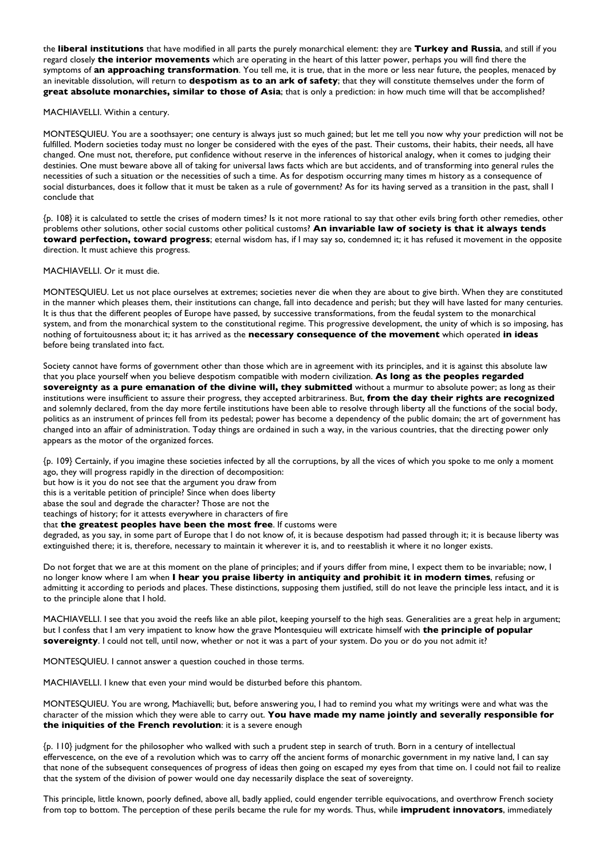the **liberal institutions** that have modified in all parts the purely monarchical element: they are **Turkey and Russia**, and still if you regard closely **the interior movements** which are operating in the heart of this latter power, perhaps you will find there the symptoms of **an approaching transformation**. You tell me, it is true, that in the more or less near future, the peoples, menaced by an inevitable dissolution, will return to **despotism as to an ark of safety**; that they will constitute themselves under the form of **great absolute monarchies, similar to those of Asia**; that is only a prediction: in how much time will that be accomplished?

# MACHIAVELLI. Within a century.

MONTESQUIEU. You are a soothsayer; one century is always just so much gained; but let me tell you now why your prediction will not be fulfilled. Modern societies today must no longer be considered with the eyes of the past. Their customs, their habits, their needs, all have changed. One must not, therefore, put confidence without reserve in the inferences of historical analogy, when it comes to judging their destinies. One must beware above all of taking for universal laws facts which are but accidents, and of transforming into general rules the necessities of such a situation or the necessities of such a time. As for despotism occurring many times m history as a consequence of social disturbances, does it follow that it must be taken as a rule of government? As for its having served as a transition in the past, shall I conclude that

{p. 108} it is calculated to settle the crises of modern times? Is it not more rational to say that other evils bring forth other remedies, other problems other solutions, other social customs other political customs? **An invariable law of society is that it always tends toward perfection, toward progress**; eternal wisdom has, if I may say so, condemned it; it has refused it movement in the opposite direction. It must achieve this progress.

#### MACHIAVELLI. Or it must die.

MONTESQUIEU. Let us not place ourselves at extremes; societies never die when they are about to give birth. When they are constituted in the manner which pleases them, their institutions can change, fall into decadence and perish; but they will have lasted for many centuries. It is thus that the different peoples of Europe have passed, by successive transformations, from the feudal system to the monarchical system, and from the monarchical system to the constitutional regime. This progressive development, the unity of which is so imposing, has nothing of fortuitousness about it; it has arrived as the **necessary consequence of the movement** which operated **in ideas** before being translated into fact.

Society cannot have forms of government other than those which are in agreement with its principles, and it is against this absolute law that you place yourself when you believe despotism compatible with modern civilization. **As long as the peoples regarded sovereignty as a pure emanation of the divine will, they submitted** without a murmur to absolute power; as long as their institutions were insufficient to assure their progress, they accepted arbitrariness. But, **from the day their rights are recognized**  and solemnly declared, from the day more fertile institutions have been able to resolve through liberty all the functions of the social body, politics as an instrument of princes fell from its pedestal; power has become a dependency of the public domain; the art of government has changed into an affair of administration. Today things are ordained in such a way, in the various countries, that the directing power only appears as the motor of the organized forces.

{p. 109} Certainly, if you imagine these societies infected by all the corruptions, by all the vices of which you spoke to me only a moment ago, they will progress rapidly in the direction of decomposition:

but how is it you do not see that the argument you draw from

this is a veritable petition of principle? Since when does liberty

abase the soul and degrade the character? Those are not the

teachings of history; for it attests everywhere in characters of fire

#### that **the greatest peoples have been the most free**. If customs were

degraded, as you say, in some part of Europe that I do not know of, it is because despotism had passed through it; it is because liberty was extinguished there; it is, therefore, necessary to maintain it wherever it is, and to reestablish it where it no longer exists.

Do not forget that we are at this moment on the plane of principles; and if yours differ from mine, I expect them to be invariable; now, I no longer know where I am when **I hear you praise liberty in antiquity and prohibit it in modern times**, refusing or admitting it according to periods and places. These distinctions, supposing them justified, still do not leave the principle less intact, and it is to the principle alone that I hold.

MACHIAVELLI. I see that you avoid the reefs like an able pilot, keeping yourself to the high seas. Generalities are a great help in argument; but I confess that I am very impatient to know how the grave Montesquieu will extricate himself with **the principle of popular sovereignty**. I could not tell, until now, whether or not it was a part of your system. Do you or do you not admit it?

MONTESQUIEU. I cannot answer a question couched in those terms.

MACHIAVELLI. I knew that even your mind would be disturbed before this phantom.

MONTESQUIEU. You are wrong, Machiavelli; but, before answering you, I had to remind you what my writings were and what was the character of the mission which they were able to carry out. **You have made my name jointly and severally responsible for the iniquities of the French revolution**: it is a severe enough

{p. 110} judgment for the philosopher who walked with such a prudent step in search of truth. Born in a century of intellectual effervescence, on the eve of a revolution which was to carry off the ancient forms of monarchic government in my native land, I can say that none of the subsequent consequences of progress of ideas then going on escaped my eyes from that time on. I could not fail to realize that the system of the division of power would one day necessarily displace the seat of sovereignty.

This principle, little known, poorly defined, above all, badly applied, could engender terrible equivocations, and overthrow French society from top to bottom. The perception of these perils became the rule for my words. Thus, while **imprudent innovators**, immediately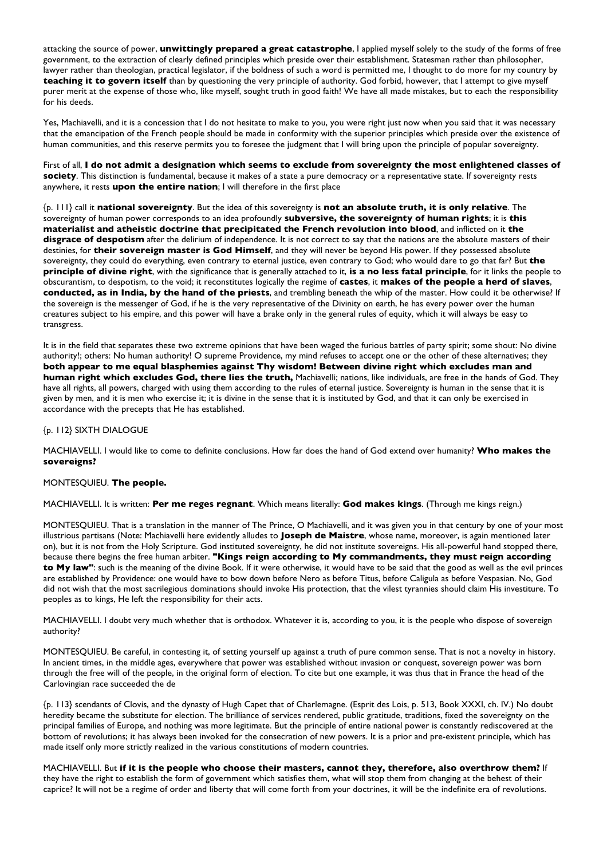attacking the source of power, **unwittingly prepared a great catastrophe**, I applied myself solely to the study of the forms of free government, to the extraction of clearly defined principles which preside over their establishment. Statesman rather than philosopher, lawyer rather than theologian, practical legislator, if the boldness of such a word is permitted me, I thought to do more for my country by **teaching it to govern itself** than by questioning the very principle of authority. God forbid, however, that I attempt to give myself purer merit at the expense of those who, like myself, sought truth in good faith! We have all made mistakes, but to each the responsibility for his deeds.

Yes, Machiavelli, and it is a concession that I do not hesitate to make to you, you were right just now when you said that it was necessary that the emancipation of the French people should be made in conformity with the superior principles which preside over the existence of human communities, and this reserve permits you to foresee the judgment that I will bring upon the principle of popular sovereignty.

First of all, **I do not admit a designation which seems to exclude from sovereignty the most enlightened classes of society**. This distinction is fundamental, because it makes of a state a pure democracy or a representative state. If sovereignty rests anywhere, it rests **upon the entire nation**; I will therefore in the first place

{p. 111} call it **national sovereignty**. But the idea of this sovereignty is **not an absolute truth, it is only relative**. The sovereignty of human power corresponds to an idea profoundly **subversive, the sovereignty of human rights**; it is **this materialist and atheistic doctrine that precipitated the French revolution into blood**, and inflicted on it **the disgrace of despotism** after the delirium of independence. It is not correct to say that the nations are the absolute masters of their destinies, for **their sovereign master is God Himself**, and they will never be beyond His power. If they possessed absolute sovereignty, they could do everything, even contrary to eternal justice, even contrary to God; who would dare to go that far? But **the principle of divine right**, with the significance that is generally attached to it, **is a no less fatal principle**, for it links the people to obscurantism, to despotism, to the void; it reconstitutes logically the regime of **castes**, it **makes of the people a herd of slaves**, **conducted, as in India, by the hand of the priests**, and trembling beneath the whip of the master. How could it be otherwise? If the sovereign is the messenger of God, if he is the very representative of the Divinity on earth, he has every power over the human creatures subject to his empire, and this power will have a brake only in the general rules of equity, which it will always be easy to transgress.

It is in the field that separates these two extreme opinions that have been waged the furious battles of party spirit; some shout: No divine authority!; others: No human authority! O supreme Providence, my mind refuses to accept one or the other of these alternatives; they **both appear to me equal blasphemies against Thy wisdom! Between divine right which excludes man and human right which excludes God, there lies the truth,** Machiavelli; nations, like individuals, are free in the hands of God. They have all rights, all powers, charged with using them according to the rules of eternal justice. Sovereignty is human in the sense that it is given by men, and it is men who exercise it; it is divine in the sense that it is instituted by God, and that it can only be exercised in accordance with the precepts that He has established.

{p. 112} SIXTH DIALOGUE

MACHIAVELLI. I would like to come to definite conclusions. How far does the hand of God extend over humanity? **Who makes the sovereigns?** 

#### MONTESQUIEU. **The people.**

MACHIAVELLI. It is written: **Per me reges regnant**. Which means literally: **God makes kings**. (Through me kings reign.)

MONTESQUIEU. That is a translation in the manner of The Prince, O Machiavelli, and it was given you in that century by one of your most illustrious partisans (Note: Machiavelli here evidently alludes to **Joseph de Maistre**, whose name, moreover, is again mentioned later on), but it is not from the Holy Scripture. God instituted sovereignty, he did not institute sovereigns. His all-powerful hand stopped there, because there begins the free human arbiter. **"Kings reign according to My commandments, they must reign according to My law"**: such is the meaning of the divine Book. If it were otherwise, it would have to be said that the good as well as the evil princes are established by Providence: one would have to bow down before Nero as before Titus, before Caligula as before Vespasian. No, God did not wish that the most sacrilegious dominations should invoke His protection, that the vilest tyrannies should claim His investiture. To peoples as to kings, He left the responsibility for their acts.

MACHIAVELLI. I doubt very much whether that is orthodox. Whatever it is, according to you, it is the people who dispose of sovereign authority?

MONTESQUIEU. Be careful, in contesting it, of setting yourself up against a truth of pure common sense. That is not a novelty in history. In ancient times, in the middle ages, everywhere that power was established without invasion or conquest, sovereign power was born through the free will of the people, in the original form of election. To cite but one example, it was thus that in France the head of the Carlovingian race succeeded the de

{p. 113} scendants of Clovis, and the dynasty of Hugh Capet that of Charlemagne. (Esprit des Lois, p. 513, Book XXXI, ch. IV.) No doubt heredity became the substitute for election. The brilliance of services rendered, public gratitude, traditions, fixed the sovereignty on the principal families of Europe, and nothing was more legitimate. But the principle of entire national power is constantly rediscovered at the bottom of revolutions; it has always been invoked for the consecration of new powers. It is a prior and pre-existent principle, which has made itself only more strictly realized in the various constitutions of modern countries.

MACHIAVELLI. But **if it is the people who choose their masters, cannot they, therefore, also overthrow them?** If they have the right to establish the form of government which satisfies them, what will stop them from changing at the behest of their caprice? It will not be a regime of order and liberty that will come forth from your doctrines, it will be the indefinite era of revolutions.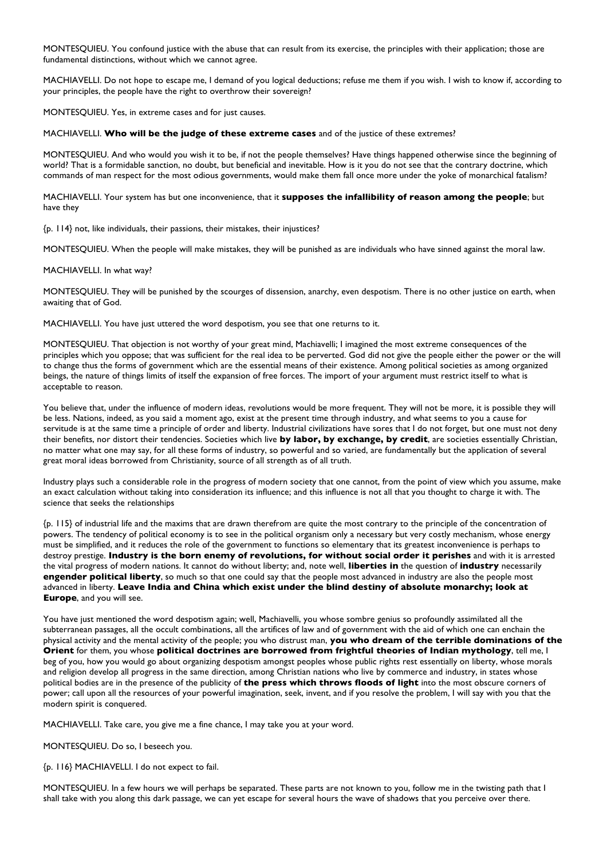MONTESQUIEU. You confound justice with the abuse that can result from its exercise, the principles with their application; those are fundamental distinctions, without which we cannot agree.

MACHIAVELLI. Do not hope to escape me, I demand of you logical deductions; refuse me them if you wish. I wish to know if, according to your principles, the people have the right to overthrow their sovereign?

MONTESQUIEU. Yes, in extreme cases and for just causes.

MACHIAVELLI. **Who will be the judge of these extreme cases** and of the justice of these extremes?

MONTESQUIEU. And who would you wish it to be, if not the people themselves? Have things happened otherwise since the beginning of world? That is a formidable sanction, no doubt, but beneficial and inevitable. How is it you do not see that the contrary doctrine, which commands of man respect for the most odious governments, would make them fall once more under the yoke of monarchical fatalism?

MACHIAVELLI. Your system has but one inconvenience, that it **supposes the infallibility of reason among the people**; but have they

{p. 114} not, like individuals, their passions, their mistakes, their injustices?

MONTESQUIEU. When the people will make mistakes, they will be punished as are individuals who have sinned against the moral law.

MACHIAVELLI. In what way?

MONTESQUIEU. They will be punished by the scourges of dissension, anarchy, even despotism. There is no other justice on earth, when awaiting that of God.

MACHIAVELLI. You have just uttered the word despotism, you see that one returns to it.

MONTESQUIEU. That objection is not worthy of your great mind, Machiavelli; I imagined the most extreme consequences of the principles which you oppose; that was sufficient for the real idea to be perverted. God did not give the people either the power or the will to change thus the forms of government which are the essential means of their existence. Among political societies as among organized beings, the nature of things limits of itself the expansion of free forces. The import of your argument must restrict itself to what is acceptable to reason.

You believe that, under the influence of modern ideas, revolutions would be more frequent. They will not be more, it is possible they will be less. Nations, indeed, as you said a moment ago, exist at the present time through industry, and what seems to you a cause for servitude is at the same time a principle of order and liberty. Industrial civilizations have sores that I do not forget, but one must not deny their benefits, nor distort their tendencies. Societies which live **by labor, by exchange, by credit**, are societies essentially Christian, no matter what one may say, for all these forms of industry, so powerful and so varied, are fundamentally but the application of several great moral ideas borrowed from Christianity, source of all strength as of all truth.

Industry plays such a considerable role in the progress of modern society that one cannot, from the point of view which you assume, make an exact calculation without taking into consideration its influence; and this influence is not all that you thought to charge it with. The science that seeks the relationships

{p. 115} of industrial life and the maxims that are drawn therefrom are quite the most contrary to the principle of the concentration of powers. The tendency of political economy is to see in the political organism only a necessary but very costly mechanism, whose energy must be simplified, and it reduces the role of the government to functions so elementary that its greatest inconvenience is perhaps to destroy prestige. **Industry is the born enemy of revolutions, for without social order it perishes** and with it is arrested the vital progress of modern nations. It cannot do without liberty; and, note well, **liberties in** the question of **industry** necessarily **engender political liberty**, so much so that one could say that the people most advanced in industry are also the people most advanced in liberty. **Leave India and China which exist under the blind destiny of absolute monarchy; look at Europe**, and you will see.

You have just mentioned the word despotism again; well, Machiavelli, you whose sombre genius so profoundly assimilated all the subterranean passages, all the occult combinations, all the artifices of law and of government with the aid of which one can enchain the physical activity and the mental activity of the people; you who distrust man, **you who dream of the terrible dominations of the Orient** for them, you whose **political doctrines are borrowed from frightful theories of Indian mythology**, tell me, I beg of you, how you would go about organizing despotism amongst peoples whose public rights rest essentially on liberty, whose morals and religion develop all progress in the same direction, among Christian nations who live by commerce and industry, in states whose political bodies are in the presence of the publicity of **the press which throws floods of light** into the most obscure corners of power; call upon all the resources of your powerful imagination, seek, invent, and if you resolve the problem, I will say with you that the modern spirit is conquered.

MACHIAVELLI. Take care, you give me a fine chance, I may take you at your word.

MONTESQUIEU. Do so, I beseech you.

{p. 116} MACHIAVELLI. I do not expect to fail.

MONTESQUIEU. In a few hours we will perhaps be separated. These parts are not known to you, follow me in the twisting path that I shall take with you along this dark passage, we can yet escape for several hours the wave of shadows that you perceive over there.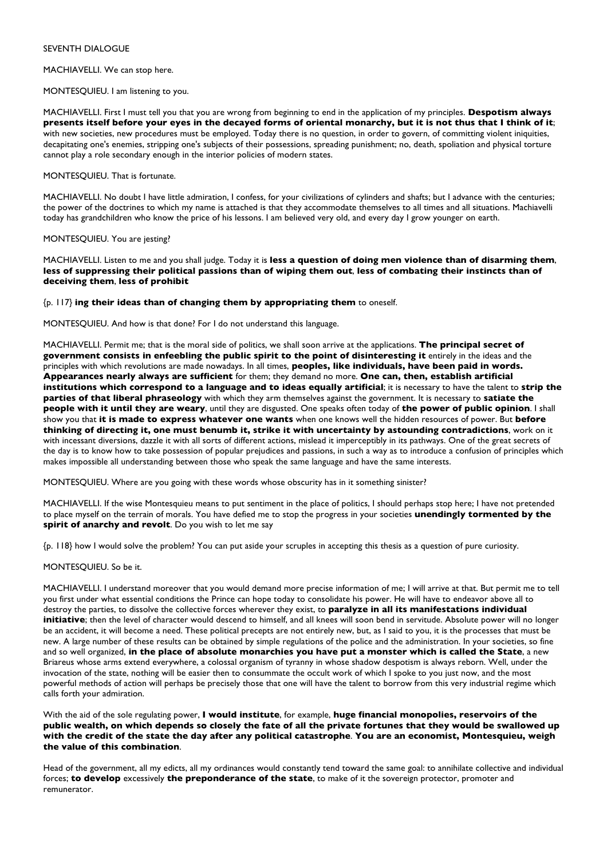### SEVENTH DIALOGUE

#### MACHIAVELLI. We can stop here.

MONTESQUIEU. I am listening to you.

MACHIAVELLI. First I must tell you that you are wrong from beginning to end in the application of my principles. **Despotism always presents itself before your eyes in the decayed forms of oriental monarchy, but it is not thus that I think of it**; with new societies, new procedures must be employed. Today there is no question, in order to govern, of committing violent iniquities, decapitating one's enemies, stripping one's subjects of their possessions, spreading punishment; no, death, spoliation and physical torture cannot play a role secondary enough in the interior policies of modern states.

## MONTESQUIEU. That is fortunate.

MACHIAVELLI. No doubt I have little admiration, I confess, for your civilizations of cylinders and shafts; but I advance with the centuries; the power of the doctrines to which my name is attached is that they accommodate themselves to all times and all situations. Machiavelli today has grandchildren who know the price of his lessons. I am believed very old, and every day I grow younger on earth.

# MONTESOUIEU. You are jesting?

MACHIAVELLI. Listen to me and you shall judge. Today it is **less a question of doing men violence than of disarming them**, **less of suppressing their political passions than of wiping them out**, **less of combating their instincts than of deceiving them**, **less of prohibit**

## {p. 117} **ing their ideas than of changing them by appropriating them** to oneself.

MONTESQUIEU. And how is that done? For I do not understand this language.

MACHIAVELLI. Permit me; that is the moral side of politics, we shall soon arrive at the applications. **The principal secret of government consists in enfeebling the public spirit to the point of disinteresting it** entirely in the ideas and the principles with which revolutions are made nowadays. In all times, **peoples, like individuals, have been paid in words. Appearances nearly always are sufficient** for them; they demand no more. **One can, then, establish artificial institutions which correspond to a language and to ideas equally artificial**; it is necessary to have the talent to **strip the parties of that liberal phraseology** with which they arm themselves against the government. It is necessary to **satiate the people with it until they are weary**, until they are disgusted. One speaks often today of **the power of public opinion**. I shall show you that **it is made to express whatever one wants** when one knows well the hidden resources of power. But **before thinking of directing it, one must benumb it, strike it with uncertainty by astounding contradictions**, work on it with incessant diversions, dazzle it with all sorts of different actions, mislead it imperceptibly in its pathways. One of the great secrets of the day is to know how to take possession of popular prejudices and passions, in such a way as to introduce a confusion of principles which makes impossible all understanding between those who speak the same language and have the same interests.

MONTESQUIEU. Where are you going with these words whose obscurity has in it something sinister?

MACHIAVELLI. If the wise Montesquieu means to put sentiment in the place of politics, I should perhaps stop here; I have not pretended to place myself on the terrain of morals. You have defied me to stop the progress in your societies **unendingly tormented by the spirit of anarchy and revolt**. Do you wish to let me say

{p. 118} how I would solve the problem? You can put aside your scruples in accepting this thesis as a question of pure curiosity.

# MONTESQUIEU. So be it.

MACHIAVELLI. I understand moreover that you would demand more precise information of me; I will arrive at that. But permit me to tell you first under what essential conditions the Prince can hope today to consolidate his power. He will have to endeavor above all to destroy the parties, to dissolve the collective forces wherever they exist, to **paralyze in all its manifestations individual initiative**; then the level of character would descend to himself, and all knees will soon bend in servitude. Absolute power will no longer be an accident, it will become a need. These political precepts are not entirely new, but, as I said to you, it is the processes that must be new. A large number of these results can be obtained by simple regulations of the police and the administration. In your societies, so fine and so well organized, **in the place of absolute monarchies you have put a monster which is called the State**, a new Briareus whose arms extend everywhere, a colossal organism of tyranny in whose shadow despotism is always reborn. Well, under the invocation of the state, nothing will be easier then to consummate the occult work of which I spoke to you just now, and the most powerful methods of action will perhaps be precisely those that one will have the talent to borrow from this very industrial regime which calls forth your admiration.

With the aid of the sole regulating power, **I would institute**, for example, **huge financial monopolies, reservoirs of the public wealth, on which depends so closely the fate of all the private fortunes that they would be swallowed up with the credit of the state the day after any political catastrophe**. **You are an economist, Montesquieu, weigh the value of this combination**.

Head of the government, all my edicts, all my ordinances would constantly tend toward the same goal: to annihilate collective and individual forces; **to develop** excessively **the preponderance of the state**, to make of it the sovereign protector, promoter and remunerator.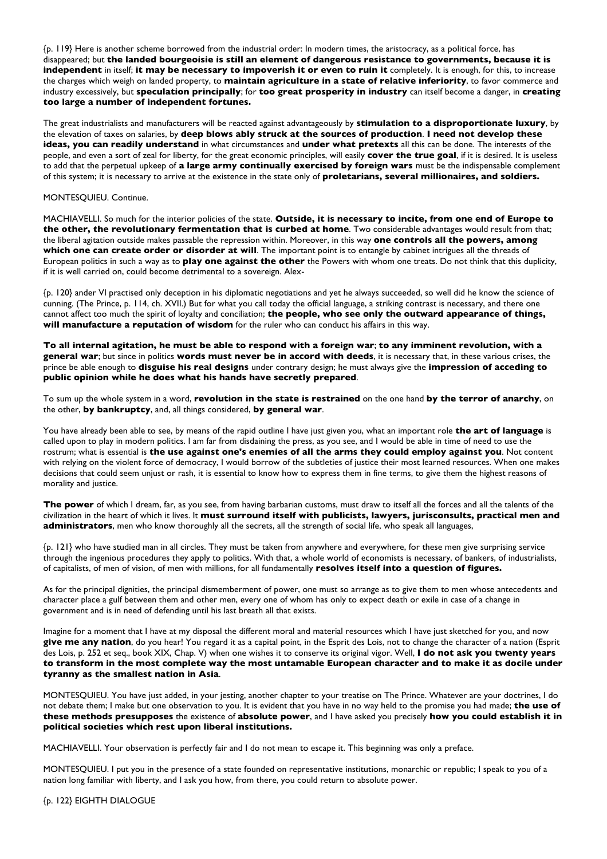{p. 119} Here is another scheme borrowed from the industrial order: In modern times, the aristocracy, as a political force, has disappeared; but **the landed bourgeoisie is still an element of dangerous resistance to governments, because it is independent** in itself; **it may be necessary to impoverish it or even to ruin it** completely. It is enough, for this, to increase the charges which weigh on landed property, to **maintain agriculture in a state of relative inferiority**, to favor commerce and industry excessively, but **speculation principally**; for **too great prosperity in industry** can itself become a danger, in **creating too large a number of independent fortunes.**

The great industrialists and manufacturers will be reacted against advantageously by **stimulation to a disproportionate luxury**, by the elevation of taxes on salaries, by **deep blows ably struck at the sources of production**. **I need not develop these ideas, you can readily understand** in what circumstances and **under what pretexts** all this can be done. The interests of the people, and even a sort of zeal for liberty, for the great economic principles, will easily **cover the true goal**, if it is desired. It is useless to add that the perpetual upkeep of **a large army continually exercised by foreign wars** must be the indispensable complement of this system; it is necessary to arrive at the existence in the state only of **proletarians, several millionaires, and soldiers.** 

## MONTESQUIEU. Continue.

MACHIAVELLI. So much for the interior policies of the state. **Outside, it is necessary to incite, from one end of Europe to the other, the revolutionary fermentation that is curbed at home**. Two considerable advantages would result from that; the liberal agitation outside makes passable the repression within. Moreover, in this way **one controls all the powers, among which one can create order or disorder at will**. The important point is to entangle by cabinet intrigues all the threads of European politics in such a way as to **play one against the other** the Powers with whom one treats. Do not think that this duplicity, if it is well carried on, could become detrimental to a sovereign. Alex-

{p. 120} ander VI practised only deception in his diplomatic negotiations and yet he always succeeded, so well did he know the science of cunning. (The Prince, p. 114, ch. XVII.) But for what you call today the official language, a striking contrast is necessary, and there one cannot affect too much the spirit of loyalty and conciliation; **the people, who see only the outward appearance of things, will manufacture a reputation of wisdom** for the ruler who can conduct his affairs in this way.

**To all internal agitation, he must be able to respond with a foreign war**; **to any imminent revolution, with a general war**; but since in politics **words must never be in accord with deeds**, it is necessary that, in these various crises, the prince be able enough to **disguise his real designs** under contrary design; he must always give the **impression of acceding to public opinion while he does what his hands have secretly prepared**.

To sum up the whole system in a word, **revolution in the state is restrained** on the one hand **by the terror of anarchy**, on the other, **by bankruptcy**, and, all things considered, **by general war**.

You have already been able to see, by means of the rapid outline I have just given you, what an important role **the art of language** is called upon to play in modern politics. I am far from disdaining the press, as you see, and I would be able in time of need to use the rostrum; what is essential is **the use against one's enemies of all the arms they could employ against you**. Not content with relying on the violent force of democracy, I would borrow of the subtleties of justice their most learned resources. When one makes decisions that could seem unjust or rash, it is essential to know how to express them in fine terms, to give them the highest reasons of morality and justice.

**The power** of which I dream, far, as you see, from having barbarian customs, must draw to itself all the forces and all the talents of the civilization in the heart of which it lives. It **must surround itself with publicists, lawyers, jurisconsults, practical men and administrators**, men who know thoroughly all the secrets, all the strength of social life, who speak all languages,

{p. 121} who have studied man in all circles. They must be taken from anywhere and everywhere, for these men give surprising service through the ingenious procedures they apply to politics. With that, a whole world of economists is necessary, of bankers, of industrialists, of capitalists, of men of vision, of men with millions, for all fundamentally **resolves itself into a question of figures.** 

As for the principal dignities, the principal dismemberment of power, one must so arrange as to give them to men whose antecedents and character place a gulf between them and other men, every one of whom has only to expect death or exile in case of a change in government and is in need of defending until his last breath all that exists.

Imagine for a moment that I have at my disposal the different moral and material resources which I have just sketched for you, and now **give me any nation**, do you hear! You regard it as a capital point, in the Esprit des Lois, not to change the character of a nation (Esprit des Lois, p. 252 et seq., book XIX, Chap. V) when one wishes it to conserve its original vigor. Well, **I do not ask you twenty years to transform in the most complete way the most untamable European character and to make it as docile under tyranny as the smallest nation in Asia**.

MONTESQUIEU. You have just added, in your jesting, another chapter to your treatise on The Prince. Whatever are your doctrines, I do not debate them; I make but one observation to you. It is evident that you have in no way held to the promise you had made; **the use of these methods presupposes** the existence of **absolute power**, and I have asked you precisely **how you could establish it in political societies which rest upon liberal institutions.** 

MACHIAVELLI. Your observation is perfectly fair and I do not mean to escape it. This beginning was only a preface.

MONTESQUIEU. I put you in the presence of a state founded on representative institutions, monarchic or republic; I speak to you of a nation long familiar with liberty, and I ask you how, from there, you could return to absolute power.

# {p. 122} EIGHTH DIALOGUE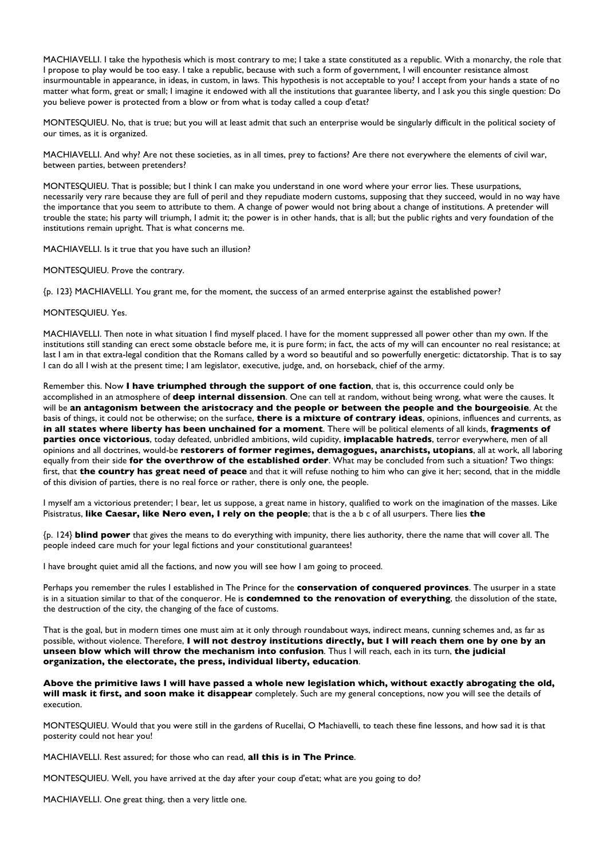MACHIAVELLI. I take the hypothesis which is most contrary to me; I take a state constituted as a republic. With a monarchy, the role that I propose to play would be too easy. I take a republic, because with such a form of government, I will encounter resistance almost insurmountable in appearance, in ideas, in custom, in laws. This hypothesis is not acceptable to you? I accept from your hands a state of no matter what form, great or small; I imagine it endowed with all the institutions that guarantee liberty, and I ask you this single question: Do you believe power is protected from a blow or from what is today called a coup d'etat?

MONTESQUIEU. No, that is true; but you will at least admit that such an enterprise would be singularly difficult in the political society of our times, as it is organized.

MACHIAVELLI. And why? Are not these societies, as in all times, prey to factions? Are there not everywhere the elements of civil war, between parties, between pretenders?

MONTESQUIEU. That is possible; but I think I can make you understand in one word where your error lies. These usurpations, necessarily very rare because they are full of peril and they repudiate modern customs, supposing that they succeed, would in no way have the importance that you seem to attribute to them. A change of power would not bring about a change of institutions. A pretender will trouble the state; his party will triumph, I admit it; the power is in other hands, that is all; but the public rights and very foundation of the institutions remain upright. That is what concerns me.

MACHIAVELLI. Is it true that you have such an illusion?

MONTESQUIEU. Prove the contrary.

{p. 123} MACHIAVELLI. You grant me, for the moment, the success of an armed enterprise against the established power?

## MONTESQUIEU. Yes.

MACHIAVELLI. Then note in what situation I find myself placed. I have for the moment suppressed all power other than my own. If the institutions still standing can erect some obstacle before me, it is pure form; in fact, the acts of my will can encounter no real resistance; at last I am in that extra-legal condition that the Romans called by a word so beautiful and so powerfully energetic: dictatorship. That is to say I can do all I wish at the present time; I am legislator, executive, judge, and, on horseback, chief of the army.

Remember this. Now **I have triumphed through the support of one faction**, that is, this occurrence could only be accomplished in an atmosphere of **deep internal dissension**. One can tell at random, without being wrong, what were the causes. It will be **an antagonism between the aristocracy and the people or between the people and the bourgeoisie**. At the basis of things, it could not be otherwise; on the surface, **there is a mixture of contrary ideas**, opinions, influences and currents, as **in all states where liberty has been unchained for a moment**. There will be political elements of all kinds, **fragments of parties once victorious**, today defeated, unbridled ambitions, wild cupidity, **implacable hatreds**, terror everywhere, men of all opinions and all doctrines, would-be **restorers of former regimes, demagogues, anarchists, utopians**, all at work, all laboring equally from their side **for the overthrow of the established order**. What may be concluded from such a situation? Two things: first, that **the country has great need of peace** and that it will refuse nothing to him who can give it her; second, that in the middle of this division of parties, there is no real force or rather, there is only one, the people.

I myself am a victorious pretender; I bear, let us suppose, a great name in history, qualified to work on the imagination of the masses. Like Pisistratus, **like Caesar, like Nero even, I rely on the people**; that is the a b c of all usurpers. There lies **the** 

{p. 124} **blind power** that gives the means to do everything with impunity, there lies authority, there the name that will cover all. The people indeed care much for your legal fictions and your constitutional guarantees!

I have brought quiet amid all the factions, and now you will see how I am going to proceed.

Perhaps you remember the rules I established in The Prince for the **conservation of conquered provinces**. The usurper in a state is in a situation similar to that of the conqueror. He is **condemned to the renovation of everything**, the dissolution of the state, the destruction of the city, the changing of the face of customs.

That is the goal, but in modern times one must aim at it only through roundabout ways, indirect means, cunning schemes and, as far as possible, without violence. Therefore, **I will not destroy institutions directly, but I will reach them one by one by an unseen blow which will throw the mechanism into confusion**. Thus I will reach, each in its turn, **the judicial organization, the electorate, the press, individual liberty, education**.

**Above the primitive laws I will have passed a whole new legislation which, without exactly abrogating the old, will mask it first, and soon make it disappear** completely. Such are my general conceptions, now you will see the details of execution.

MONTESQUIEU. Would that you were still in the gardens of Rucellai, O Machiavelli, to teach these fine lessons, and how sad it is that posterity could not hear you!

MACHIAVELLI. Rest assured; for those who can read, **all this is in The Prince**.

MONTESQUIEU. Well, you have arrived at the day after your coup d'etat; what are you going to do?

MACHIAVELLI. One great thing, then a very little one.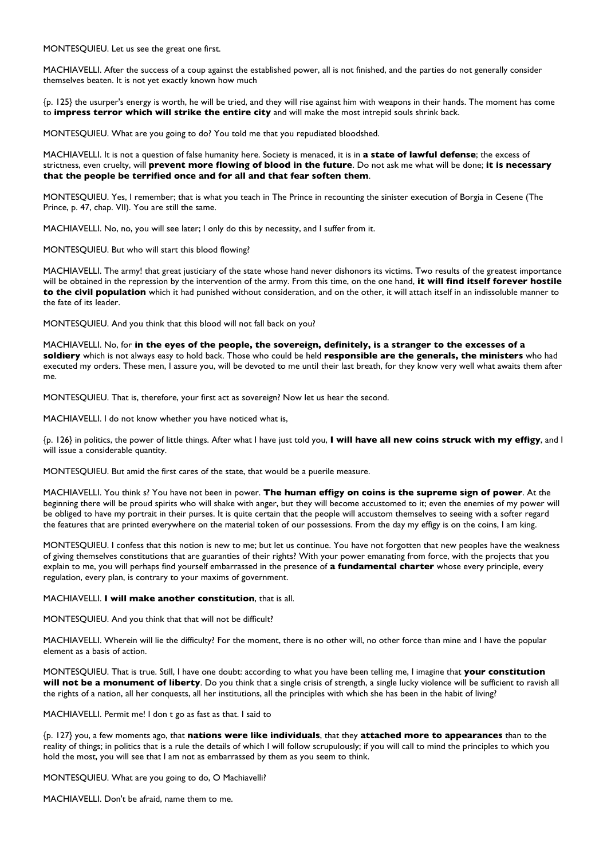MONTESQUIEU. Let us see the great one first.

MACHIAVELLI. After the success of a coup against the established power, all is not finished, and the parties do not generally consider themselves beaten. It is not yet exactly known how much

{p. 125} the usurper's energy is worth, he will be tried, and they will rise against him with weapons in their hands. The moment has come to **impress terror which will strike the entire city** and will make the most intrepid souls shrink back.

MONTESQUIEU. What are you going to do? You told me that you repudiated bloodshed.

MACHIAVELLI. It is not a question of false humanity here. Society is menaced, it is in **a state of lawful defense**; the excess of strictness, even cruelty, will **prevent more flowing of blood in the future**. Do not ask me what will be done; **it is necessary that the people be terrified once and for all and that fear soften them**.

MONTESQUIEU. Yes, I remember; that is what you teach in The Prince in recounting the sinister execution of Borgia in Cesene (The Prince, p. 47, chap. VII). You are still the same.

MACHIAVELLI. No, no, you will see later; I only do this by necessity, and I suffer from it.

MONTESQUIEU. But who will start this blood flowing?

MACHIAVELLI. The army! that great justiciary of the state whose hand never dishonors its victims. Two results of the greatest importance will be obtained in the repression by the intervention of the army. From this time, on the one hand, **it will find itself forever hostile to the civil population** which it had punished without consideration, and on the other, it will attach itself in an indissoluble manner to the fate of its leader.

MONTESQUIEU. And you think that this blood will not fall back on you?

MACHIAVELLI. No, for **in the eyes of the people, the sovereign, definitely, is a stranger to the excesses of a soldiery** which is not always easy to hold back. Those who could be held **responsible are the generals, the ministers** who had executed my orders. These men, I assure you, will be devoted to me until their last breath, for they know very well what awaits them after me.

MONTESQUIEU. That is, therefore, your first act as sovereign? Now let us hear the second.

MACHIAVELLI. I do not know whether you have noticed what is,

{p. 126} in politics, the power of little things. After what I have just told you, **I will have all new coins struck with my effigy**, and I will issue a considerable quantity.

MONTESQUIEU. But amid the first cares of the state, that would be a puerile measure.

MACHIAVELLI. You think s? You have not been in power. **The human effigy on coins is the supreme sign of power**. At the beginning there will be proud spirits who will shake with anger, but they will become accustomed to it; even the enemies of my power will be obliged to have my portrait in their purses. It is quite certain that the people will accustom themselves to seeing with a softer regard the features that are printed everywhere on the material token of our possessions. From the day my effigy is on the coins, I am king.

MONTESQUIEU. I confess that this notion is new to me; but let us continue. You have not forgotten that new peoples have the weakness of giving themselves constitutions that are guaranties of their rights? With your power emanating from force, with the projects that you explain to me, you will perhaps find yourself embarrassed in the presence of **a fundamental charter** whose every principle, every regulation, every plan, is contrary to your maxims of government.

### MACHIAVELLI. **I will make another constitution**, that is all.

MONTESQUIEU. And you think that that will not be difficult?

MACHIAVELLI. Wherein will lie the difficulty? For the moment, there is no other will, no other force than mine and I have the popular element as a basis of action.

MONTESQUIEU. That is true. Still, I have one doubt: according to what you have been telling me, I imagine that **your constitution will not be a monument of liberty**. Do you think that a single crisis of strength, a single lucky violence will be sufficient to ravish all the rights of a nation, all her conquests, all her institutions, all the principles with which she has been in the habit of living?

MACHIAVELLI. Permit me! I don t go as fast as that. I said to

{p. 127} you, a few moments ago, that **nations were like individuals**, that they **attached more to appearances** than to the reality of things; in politics that is a rule the details of which I will follow scrupulously; if you will call to mind the principles to which you hold the most, you will see that I am not as embarrassed by them as you seem to think.

MONTESQUIEU. What are you going to do, O Machiavelli?

MACHIAVELLI. Don't be afraid, name them to me.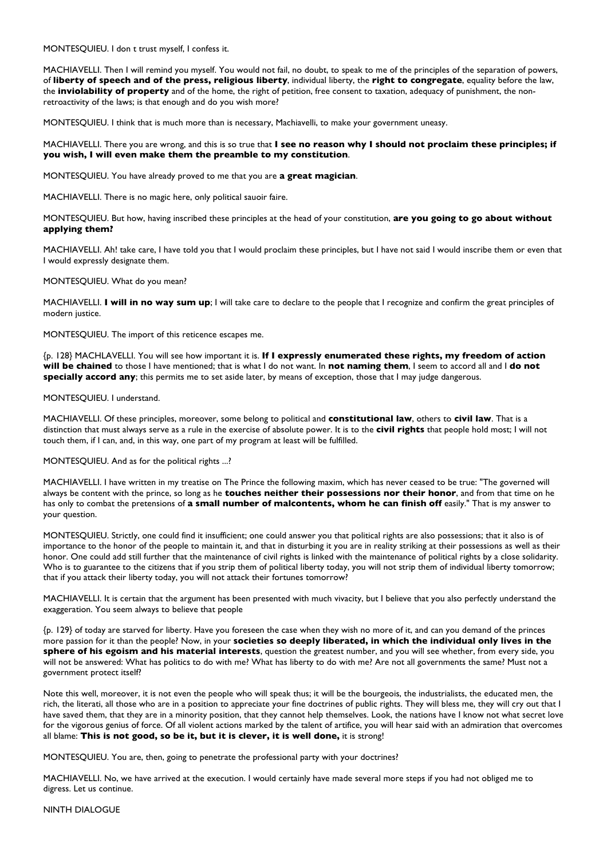MONTESQUIEU. I don t trust myself, I confess it.

MACHIAVELLI. Then I will remind you myself. You would not fail, no doubt, to speak to me of the principles of the separation of powers, of **liberty of speech and of the press, religious liberty**, individual liberty, the **right to congregate**, equality before the law, the **inviolability of property** and of the home, the right of petition, free consent to taxation, adequacy of punishment, the nonretroactivity of the laws; is that enough and do you wish more?

MONTESQUIEU. I think that is much more than is necessary, Machiavelli, to make your government uneasy.

# MACHIAVELLI. There you are wrong, and this is so true that **I see no reason why I should not proclaim these principles; if you wish, I will even make them the preamble to my constitution**.

MONTESQUIEU. You have already proved to me that you are **a great magician**.

MACHIAVELLI. There is no magic here, only political sauoir faire.

MONTESQUIEU. But how, having inscribed these principles at the head of your constitution, **are you going to go about without applying them?**

MACHIAVELLI. Ah! take care, I have told you that I would proclaim these principles, but I have not said I would inscribe them or even that I would expressly designate them.

MONTESQUIEU. What do you mean?

MACHIAVELLI. **I will in no way sum up**; I will take care to declare to the people that I recognize and confirm the great principles of modern justice.

MONTESQUIEU. The import of this reticence escapes me.

{p. 128} MACHLAVELLI. You will see how important it is. **If I expressly enumerated these rights, my freedom of action will be chained** to those I have mentioned; that is what I do not want. In **not naming them**, I seem to accord all and I **do not specially accord any**; this permits me to set aside later, by means of exception, those that I may judge dangerous.

## MONTESQUIEU. I understand.

MACHIAVELLI. Of these principles, moreover, some belong to political and **constitutional law**, others to **civil law**. That is a distinction that must always serve as a rule in the exercise of absolute power. It is to the **civil rights** that people hold most; I will not touch them, if I can, and, in this way, one part of my program at least will be fulfilled.

#### MONTESQUIEU. And as for the political rights ...?

MACHIAVELLI. I have written in my treatise on The Prince the following maxim, which has never ceased to be true: "The governed will always be content with the prince, so long as he **touches neither their possessions nor their honor**, and from that time on he has only to combat the pretensions of **a small number of malcontents, whom he can finish off** easily." That is my answer to your question.

MONTESQUIEU. Strictly, one could find it insufficient; one could answer you that political rights are also possessions; that it also is of importance to the honor of the people to maintain it, and that in disturbing it you are in reality striking at their possessions as well as their honor. One could add still further that the maintenance of civil rights is linked with the maintenance of political rights by a close solidarity. Who is to guarantee to the citizens that if you strip them of political liberty today, you will not strip them of individual liberty tomorrow; that if you attack their liberty today, you will not attack their fortunes tomorrow?

MACHIAVELLI. It is certain that the argument has been presented with much vivacity, but I believe that you also perfectly understand the exaggeration. You seem always to believe that people

{p. 129} of today are starved for liberty. Have you foreseen the case when they wish no more of it, and can you demand of the princes more passion for it than the people? Now, in your **societies so deeply liberated, in which the individual only lives in the sphere of his egoism and his material interests**, question the greatest number, and you will see whether, from every side, you will not be answered: What has politics to do with me? What has liberty to do with me? Are not all governments the same? Must not a government protect itself?

Note this well, moreover, it is not even the people who will speak thus; it will be the bourgeois, the industrialists, the educated men, the rich, the literati, all those who are in a position to appreciate your fine doctrines of public rights. They will bless me, they will cry out that I have saved them, that they are in a minority position, that they cannot help themselves. Look, the nations have I know not what secret love for the vigorous genius of force. Of all violent actions marked by the talent of artifice, you will hear said with an admiration that overcomes all blame: **This is not good, so be it, but it is clever, it is well done,** it is strong!

MONTESQUIEU. You are, then, going to penetrate the professional party with your doctrines?

MACHIAVELLI. No, we have arrived at the execution. I would certainly have made several more steps if you had not obliged me to digress. Let us continue.

### NINTH DIALOGUE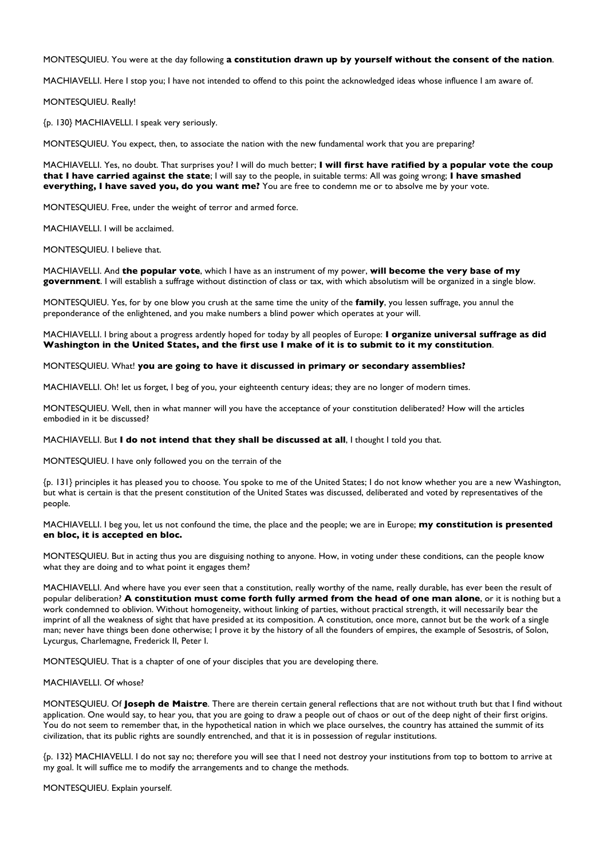### MONTESQUIEU. You were at the day following **a constitution drawn up by yourself without the consent of the nation**.

MACHIAVELLI. Here I stop you; I have not intended to offend to this point the acknowledged ideas whose influence I am aware of.

MONTESQUIEU. Really!

{p. 130} MACHIAVELLI. I speak very seriously.

MONTESQUIEU. You expect, then, to associate the nation with the new fundamental work that you are preparing?

MACHIAVELLI. Yes, no doubt. That surprises you? I will do much better; **I will first have ratified by a popular vote the coup that I have carried against the state**; I will say to the people, in suitable terms: All was going wrong; **I have smashed everything, I have saved you, do you want me?** You are free to condemn me or to absolve me by your vote.

MONTESQUIEU. Free, under the weight of terror and armed force.

MACHIAVELLI. I will be acclaimed.

MONTESQUIEU. I believe that.

MACHIAVELLI. And **the popular vote**, which I have as an instrument of my power, **will become the very base of my government**. I will establish a suffrage without distinction of class or tax, with which absolutism will be organized in a single blow.

MONTESQUIEU. Yes, for by one blow you crush at the same time the unity of the **family**, you lessen suffrage, you annul the preponderance of the enlightened, and you make numbers a blind power which operates at your will.

MACHIAVELLI. I bring about a progress ardently hoped for today by all peoples of Europe: **I organize universal suffrage as did Washington in the United States, and the first use I make of it is to submit to it my constitution**.

#### MONTESQUIEU. What! **you are going to have it discussed in primary or secondary assemblies?**

MACHIAVELLI. Oh! let us forget, I beg of you, your eighteenth century ideas; they are no longer of modern times.

MONTESQUIEU. Well, then in what manner will you have the acceptance of your constitution deliberated? How will the articles embodied in it be discussed?

MACHIAVELLI. But **I do not intend that they shall be discussed at all**, I thought I told you that.

MONTESQUIEU. I have only followed you on the terrain of the

{p. 131} principles it has pleased you to choose. You spoke to me of the United States; I do not know whether you are a new Washington, but what is certain is that the present constitution of the United States was discussed, deliberated and voted by representatives of the people.

MACHIAVELLI. I beg you, let us not confound the time, the place and the people; we are in Europe; **my constitution is presented en bloc, it is accepted en bloc.** 

MONTESQUIEU. But in acting thus you are disguising nothing to anyone. How, in voting under these conditions, can the people know what they are doing and to what point it engages them?

MACHIAVELLI. And where have you ever seen that a constitution, really worthy of the name, really durable, has ever been the result of popular deliberation? **A constitution must come forth fully armed from the head of one man alone**, or it is nothing but a work condemned to oblivion. Without homogeneity, without linking of parties, without practical strength, it will necessarily bear the imprint of all the weakness of sight that have presided at its composition. A constitution, once more, cannot but be the work of a single man; never have things been done otherwise; I prove it by the history of all the founders of empires, the example of Sesostris, of Solon, Lycurgus, Charlemagne, Frederick II, Peter I.

MONTESQUIEU. That is a chapter of one of your disciples that you are developing there.

### MACHIAVELLI. Of whose?

MONTESQUIEU. Of **Joseph de Maistre**. There are therein certain general reflections that are not without truth but that I find without application. One would say, to hear you, that you are going to draw a people out of chaos or out of the deep night of their first origins. You do not seem to remember that, in the hypothetical nation in which we place ourselves, the country has attained the summit of its civilization, that its public rights are soundly entrenched, and that it is in possession of regular institutions.

{p. 132} MACHIAVELLI. I do not say no; therefore you will see that I need not destroy your institutions from top to bottom to arrive at my goal. It will suffice me to modify the arrangements and to change the methods.

MONTESQUIEU. Explain yourself.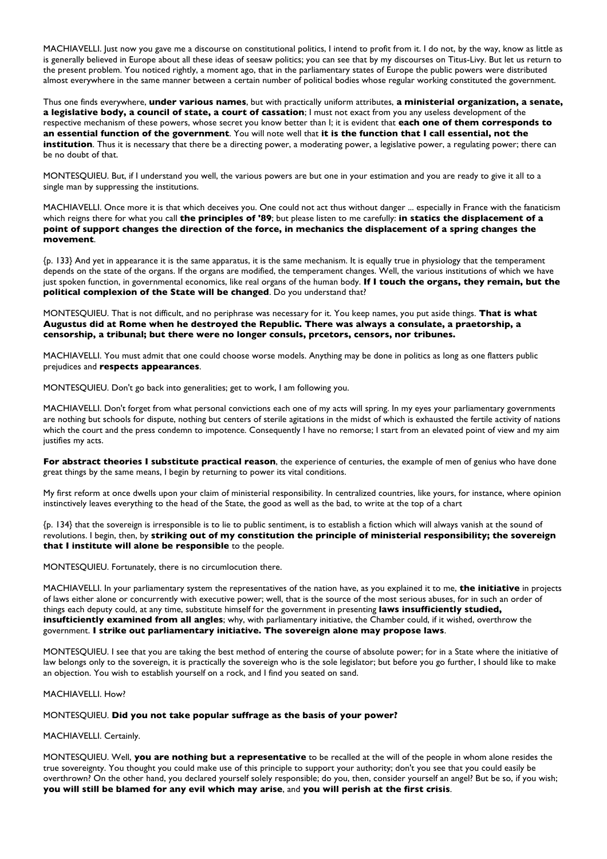MACHIAVELLI. Just now you gave me a discourse on constitutional politics, I intend to profit from it. I do not, by the way, know as little as is generally believed in Europe about all these ideas of seesaw politics; you can see that by my discourses on Titus-Livy. But let us return to the present problem. You noticed rightly, a moment ago, that in the parliamentary states of Europe the public powers were distributed almost everywhere in the same manner between a certain number of political bodies whose regular working constituted the government.

Thus one finds everywhere, **under various names**, but with practically uniform attributes, **a ministerial organization, a senate, a legislative body, a council of state, a court of cassation**; I must not exact from you any useless development of the respective mechanism of these powers, whose secret you know better than I; it is evident that **each one of them corresponds to an essential function of the government**. You will note well that **it is the function that I call essential, not the institution**. Thus it is necessary that there be a directing power, a moderating power, a legislative power, a regulating power; there can be no doubt of that.

MONTESQUIEU. But, if I understand you well, the various powers are but one in your estimation and you are ready to give it all to a single man by suppressing the institutions.

MACHIAVELLI. Once more it is that which deceives you. One could not act thus without danger ... especially in France with the fanaticism which reigns there for what you call **the principles of '89**; but please listen to me carefully: **in statics the displacement of a point of support changes the direction of the force, in mechanics the displacement of a spring changes the movement**.

{p. 133} And yet in appearance it is the same apparatus, it is the same mechanism. It is equally true in physiology that the temperament depends on the state of the organs. If the organs are modified, the temperament changes. Well, the various institutions of which we have just spoken function, in governmental economics, like real organs of the human body. **If I touch the organs, they remain, but the political complexion of the State will be changed**. Do you understand that?

MONTESQUIEU. That is not difficult, and no periphrase was necessary for it. You keep names, you put aside things. **That is what Augustus did at Rome when he destroyed the Republic. There was always a consulate, a praetorship, a censorship, a tribunal; but there were no longer consuls, prcetors, censors, nor tribunes.**

MACHIAVELLI. You must admit that one could choose worse models. Anything may be done in politics as long as one flatters public prejudices and **respects appearances**.

MONTESQUIEU. Don't go back into generalities; get to work, I am following you.

MACHIAVELLI. Don't forget from what personal convictions each one of my acts will spring. In my eyes your parliamentary governments are nothing but schools for dispute, nothing but centers of sterile agitations in the midst of which is exhausted the fertile activity of nations which the court and the press condemn to impotence. Consequently I have no remorse; I start from an elevated point of view and my aim justifies my acts.

**For abstract theories I substitute practical reason**, the experience of centuries, the example of men of genius who have done great things by the same means, I begin by returning to power its vital conditions.

My first reform at once dwells upon your claim of ministerial responsibility. In centralized countries, like yours, for instance, where opinion instinctively leaves everything to the head of the State, the good as well as the bad, to write at the top of a chart

{p. 134} that the sovereign is irresponsible is to lie to public sentiment, is to establish a fiction which will always vanish at the sound of revolutions. I begin, then, by **striking out of my constitution the principle of ministerial responsibility; the sovereign that I institute will alone be responsible** to the people.

MONTESQUIEU. Fortunately, there is no circumlocution there.

MACHIAVELLI. In your parliamentary system the representatives of the nation have, as you explained it to me, **the initiative** in projects of laws either alone or concurrently with executive power; well, that is the source of the most serious abuses, for in such an order of things each deputy could, at any time, substitute himself for the government in presenting **laws insufficiently studied, insufticiently examined from all angles**; why, with parliamentary initiative, the Chamber could, if it wished, overthrow the government. **I strike out parliamentary initiative. The sovereign alone may propose laws**.

MONTESQUIEU. I see that you are taking the best method of entering the course of absolute power; for in a State where the initiative of law belongs only to the sovereign, it is practically the sovereign who is the sole legislator; but before you go further, I should like to make an objection. You wish to establish yourself on a rock, and I find you seated on sand.

# MACHIAVELLI. How?

#### MONTESQUIEU. **Did you not take popular suffrage as the basis of your power?**

MACHIAVELLI. Certainly.

MONTESQUIEU. Well, **you are nothing but a representative** to be recalled at the will of the people in whom alone resides the true sovereignty. You thought you could make use of this principle to support your authority; don't you see that you could easily be overthrown? On the other hand, you declared yourself solely responsible; do you, then, consider yourself an angel? But be so, if you wish; **you will still be blamed for any evil which may arise**, and **you will perish at the first crisis**.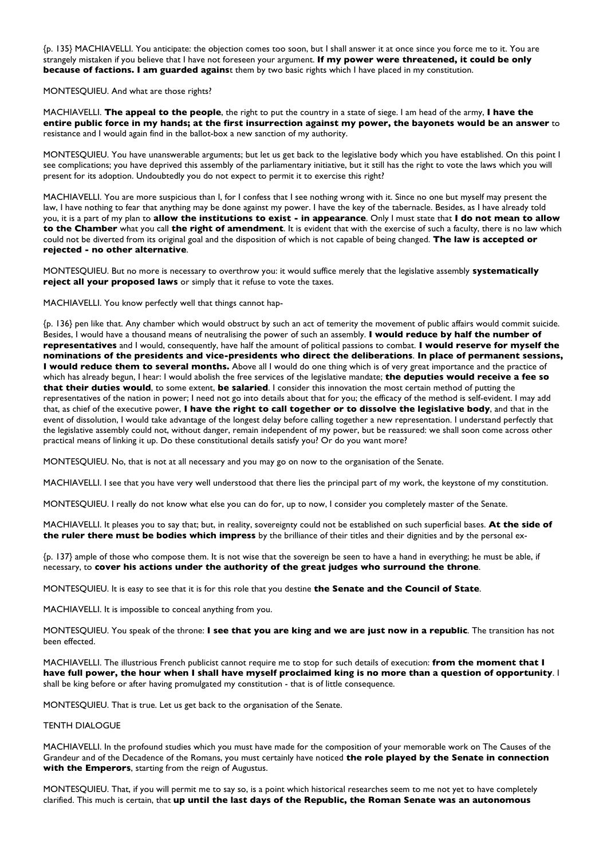{p. 135} MACHIAVELLI. You anticipate: the objection comes too soon, but I shall answer it at once since you force me to it. You are strangely mistaken if you believe that I have not foreseen your argument. **If my power were threatened, it could be only because of factions. I am guarded agains**t them by two basic rights which I have placed in my constitution.

#### MONTESQUIEU. And what are those rights?

MACHIAVELLI. **The appeal to the people**, the right to put the country in a state of siege. I am head of the army, **I have the entire public force in my hands; at the first insurrection against my power, the bayonets would be an answer** to resistance and I would again find in the ballot-box a new sanction of my authority.

MONTESQUIEU. You have unanswerable arguments; but let us get back to the legislative body which you have established. On this point I see complications; you have deprived this assembly of the parliamentary initiative, but it still has the right to vote the laws which you will present for its adoption. Undoubtedly you do not expect to permit it to exercise this right?

MACHIAVELLI. You are more suspicious than I, for I confess that I see nothing wrong with it. Since no one but myself may present the law, I have nothing to fear that anything may be done against my power. I have the key of the tabernacle. Besides, as I have already told you, it is a part of my plan to **allow the institutions to exist - in appearance**. Only I must state that **I do not mean to allow to the Chamber** what you call **the right of amendment**. It is evident that with the exercise of such a faculty, there is no law which could not be diverted from its original goal and the disposition of which is not capable of being changed. **The law is accepted or rejected - no other alternative**.

MONTESQUIEU. But no more is necessary to overthrow you: it would suffice merely that the legislative assembly **systematically reject all your proposed laws** or simply that it refuse to vote the taxes.

MACHIAVELLI. You know perfectly well that things cannot hap-

{p. 136} pen like that. Any chamber which would obstruct by such an act of temerity the movement of public affairs would commit suicide. Besides, I would have a thousand means of neutralising the power of such an assembly. **I would reduce by half the number of representatives** and I would, consequently, have half the amount of political passions to combat. **I would reserve for myself the nominations of the presidents and vice-presidents who direct the deliberations**. **In place of permanent sessions, I would reduce them to several months.** Above all I would do one thing which is of very great importance and the practice of which has already begun, I hear: I would abolish the free services of the legislative mandate; **the deputies would receive a fee so that their duties would**, to some extent, **be salaried**. I consider this innovation the most certain method of putting the representatives of the nation in power; I need not go into details about that for you; the efficacy of the method is self-evident. I may add that, as chief of the executive power, **I have the right to call together or to dissolve the legislative body**, and that in the event of dissolution, I would take advantage of the longest delay before calling together a new representation. I understand perfectly that the legislative assembly could not, without danger, remain independent of my power, but be reassured: we shall soon come across other practical means of linking it up. Do these constitutional details satisfy you? Or do you want more?

MONTESQUIEU. No, that is not at all necessary and you may go on now to the organisation of the Senate.

MACHIAVELLI. I see that you have very well understood that there lies the principal part of my work, the keystone of my constitution.

MONTESQUIEU. I really do not know what else you can do for, up to now, I consider you completely master of the Senate.

MACHIAVELLI. It pleases you to say that; but, in reality, sovereignty could not be established on such superficial bases. **At the side of the ruler there must be bodies which impress** by the brilliance of their titles and their dignities and by the personal ex-

{p. 137} ample of those who compose them. It is not wise that the sovereign be seen to have a hand in everything; he must be able, if necessary, to **cover his actions under the authority of the great judges who surround the throne**.

MONTESQUIEU. It is easy to see that it is for this role that you destine **the Senate and the Council of State**.

MACHIAVELLI. It is impossible to conceal anything from you.

MONTESQUIEU. You speak of the throne: **I see that you are king and we are just now in a republic**. The transition has not been effected.

MACHIAVELLI. The illustrious French publicist cannot require me to stop for such details of execution: **from the moment that I have full power, the hour when I shall have myself proclaimed king is no more than a question of opportunity**. I shall be king before or after having promulgated my constitution - that is of little consequence.

MONTESQUIEU. That is true. Let us get back to the organisation of the Senate.

# TENTH DIALOGUE

MACHIAVELLI. In the profound studies which you must have made for the composition of your memorable work on The Causes of the Grandeur and of the Decadence of the Romans, you must certainly have noticed **the role played by the Senate in connection with the Emperors**, starting from the reign of Augustus.

MONTESQUIEU. That, if you will permit me to say so, is a point which historical researches seem to me not yet to have completely clarified. This much is certain, that **up until the last days of the Republic, the Roman Senate was an autonomous**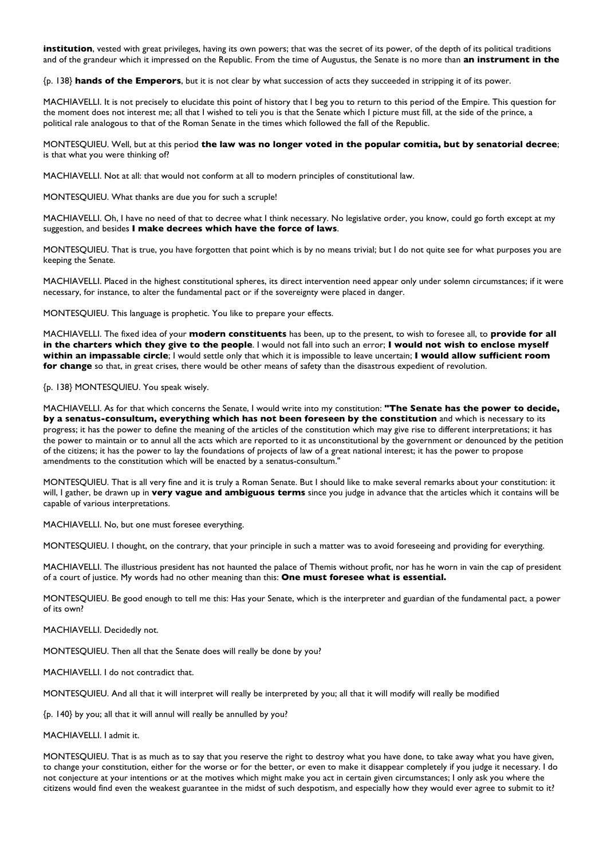**institution**, vested with great privileges, having its own powers; that was the secret of its power, of the depth of its political traditions and of the grandeur which it impressed on the Republic. From the time of Augustus, the Senate is no more than **an instrument in the** 

{p. 138} **hands of the Emperors**, but it is not clear by what succession of acts they succeeded in stripping it of its power.

MACHIAVELLI. It is not precisely to elucidate this point of history that I beg you to return to this period of the Empire. This question for the moment does not interest me; all that I wished to teli you is that the Senate which I picture must fill, at the side of the prince, a political rale analogous to that of the Roman Senate in the times which followed the fall of the Republic.

MONTESQUIEU. Well, but at this period **the law was no longer voted in the popular comitia, but by senatorial decree**; is that what you were thinking of?

MACHIAVELLI. Not at all: that would not conform at all to modern principles of constitutional law.

MONTESQUIEU. What thanks are due you for such a scruple!

MACHIAVELLI. Oh, I have no need of that to decree what I think necessary. No legislative order, you know, could go forth except at my suggestion, and besides **I make decrees which have the force of laws**.

MONTESQUIEU. That is true, you have forgotten that point which is by no means trivial; but I do not quite see for what purposes you are keeping the Senate.

MACHIAVELLI. Placed in the highest constitutional spheres, its direct intervention need appear only under solemn circumstances; if it were necessary, for instance, to alter the fundamental pact or if the sovereignty were placed in danger.

MONTESQUIEU. This language is prophetic. You like to prepare your effects.

MACHIAVELLI. The fixed idea of your **modern constituents** has been, up to the present, to wish to foresee all, to **provide for all in the charters which they give to the people**. I would not fall into such an error; **I would not wish to enclose myself within an impassable circle**; I would settle only that which it is impossible to leave uncertain; **I would allow sufficient room for change** so that, in great crises, there would be other means of safety than the disastrous expedient of revolution.

# {p. 138} MONTESQUIEU. You speak wisely.

MACHIAVELLI. As for that which concerns the Senate, I would write into my constitution: **"The Senate has the power to decide, by a senatus-consultum, everything which has not been foreseen by the constitution** and which is necessary to its progress; it has the power to define the meaning of the articles of the constitution which may give rise to different interpretations; it has the power to maintain or to annul all the acts which are reported to it as unconstitutional by the government or denounced by the petition of the citizens; it has the power to lay the foundations of projects of law of a great national interest; it has the power to propose amendments to the constitution which will be enacted by a senatus-consultum."

MONTESQUIEU. That is all very fine and it is truly a Roman Senate. But I should like to make several remarks about your constitution: it will, I gather, be drawn up in **very vague and ambiguous terms** since you judge in advance that the articles which it contains will be capable of various interpretations.

MACHIAVELLI. No, but one must foresee everything.

MONTESQUIEU. I thought, on the contrary, that your principle in such a matter was to avoid foreseeing and providing for everything.

MACHIAVELLI. The illustrious president has not haunted the palace of Themis without profit, nor has he worn in vain the cap of president of a court of justice. My words had no other meaning than this: **One must foresee what is essential.** 

MONTESQUIEU. Be good enough to tell me this: Has your Senate, which is the interpreter and guardian of the fundamental pact, a power of its own?

MACHIAVELLI. Decidedly not.

MONTESQUIEU. Then all that the Senate does will really be done by you?

MACHIAVELLI. I do not contradict that.

MONTESQUIEU. And all that it will interpret will really be interpreted by you; all that it will modify will really be modified

{p. 140} by you; all that it will annul will really be annulled by you?

### MACHIAVELLI. I admit it.

MONTESQUIEU. That is as much as to say that you reserve the right to destroy what you have done, to take away what you have given, to change your constitution, either for the worse or for the better, or even to make it disappear completely if you judge it necessary. I do not conjecture at your intentions or at the motives which might make you act in certain given circumstances; I only ask you where the citizens would find even the weakest guarantee in the midst of such despotism, and especially how they would ever agree to submit to it?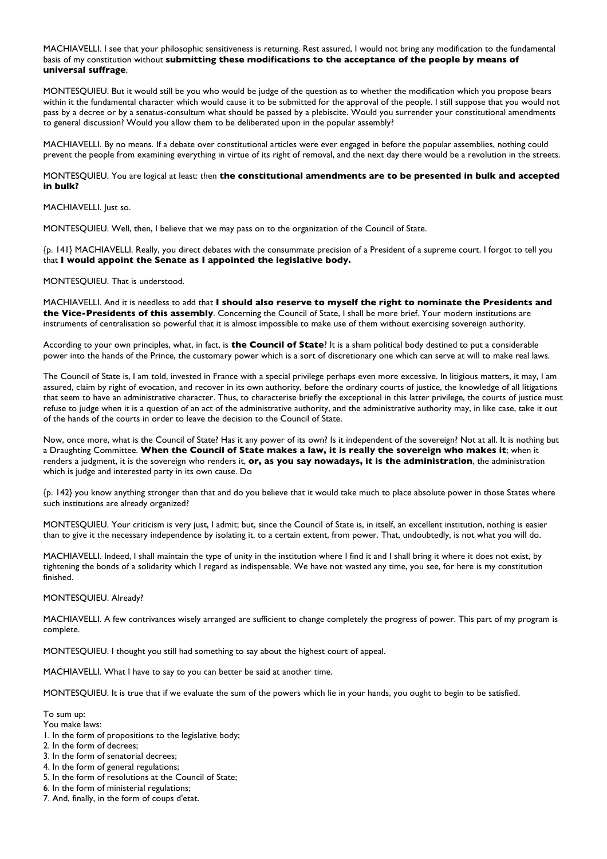MACHIAVELLI. I see that your philosophic sensitiveness is returning. Rest assured, I would not bring any modification to the fundamental basis of my constitution without **submitting these modifications to the acceptance of the people by means of universal suffrage**.

MONTESQUIEU. But it would still be you who would be judge of the question as to whether the modification which you propose bears within it the fundamental character which would cause it to be submitted for the approval of the people. I still suppose that you would not pass by a decree or by a senatus-consultum what should be passed by a plebiscite. Would you surrender your constitutional amendments to general discussion? Would you allow them to be deliberated upon in the popular assembly?

MACHIAVELLI. By no means. If a debate over constitutional articles were ever engaged in before the popular assemblies, nothing could prevent the people from examining everything in virtue of its right of removal, and the next day there would be a revolution in the streets.

# MONTESQUIEU. You are logical at least: then **the constitutional amendments are to be presented in bulk and accepted in bulk?**

# MACHIAVELLI. Just so.

MONTESQUIEU. Well, then, I believe that we may pass on to the organization of the Council of State.

{p. 141} MACHIAVELLI. Really, you direct debates with the consummate precision of a President of a supreme court. I forgot to tell you that **I would appoint the Senate as I appointed the legislative body.**

## MONTESQUIEU. That is understood.

MACHIAVELLI. And it is needless to add that **I should also reserve to myself the right to nominate the Presidents and the Vice-Presidents of this assembly**. Concerning the Council of State, I shall be more brief. Your modern institutions are instruments of centralisation so powerful that it is almost impossible to make use of them without exercising sovereign authority.

According to your own principles, what, in fact, is **the Council of State**? It is a sham political body destined to put a considerable power into the hands of the Prince, the customary power which is a sort of discretionary one which can serve at will to make real laws.

The Council of State is, I am told, invested in France with a special privilege perhaps even more excessive. In litigious matters, it may, I am assured, claim by right of evocation, and recover in its own authority, before the ordinary courts of justice, the knowledge of all litigations that seem to have an administrative character. Thus, to characterise briefly the exceptional in this latter privilege, the courts of justice must refuse to judge when it is a question of an act of the administrative authority, and the administrative authority may, in like case, take it out of the hands of the courts in order to leave the decision to the Council of State.

Now, once more, what is the Council of State? Has it any power of its own? Is it independent of the sovereign? Not at all. It is nothing but a Draughting Committee. **When the Council of State makes a law, it is really the sovereign who makes it**; when it renders a judgment, it is the sovereign who renders it, **or, as you say nowadays, it is the administration**, the administration which is judge and interested party in its own cause. Do

{p. 142} you know anything stronger than that and do you believe that it would take much to place absolute power in those States where such institutions are already organized?

MONTESQUIEU. Your criticism is very just, I admit; but, since the Council of State is, in itself, an excellent institution, nothing is easier than to give it the necessary independence by isolating it, to a certain extent, from power. That, undoubtedly, is not what you will do.

MACHIAVELLI. Indeed, I shall maintain the type of unity in the institution where I find it and I shall bring it where it does not exist, by tightening the bonds of a solidarity which I regard as indispensable. We have not wasted any time, you see, for here is my constitution finished.

# MONTESQUIEU. Already?

MACHIAVELLI. A few contrivances wisely arranged are sufficient to change completely the progress of power. This part of my program is complete.

MONTESQUIEU. I thought you still had something to say about the highest court of appeal.

MACHIAVELLI. What I have to say to you can better be said at another time.

MONTESQUIEU. It is true that if we evaluate the sum of the powers which lie in your hands, you ought to begin to be satisfied.

To sum up:

You make laws:

- 1. In the form of propositions to the legislative body;
- 2. In the form of decrees;
- 3. In the form of senatorial decrees;
- 4. In the form of general regulations;
- 5. In the form of resolutions at the Council of State;
- 6. In the form of ministerial regulations;
- 7. And, finally, in the form of coups d'etat.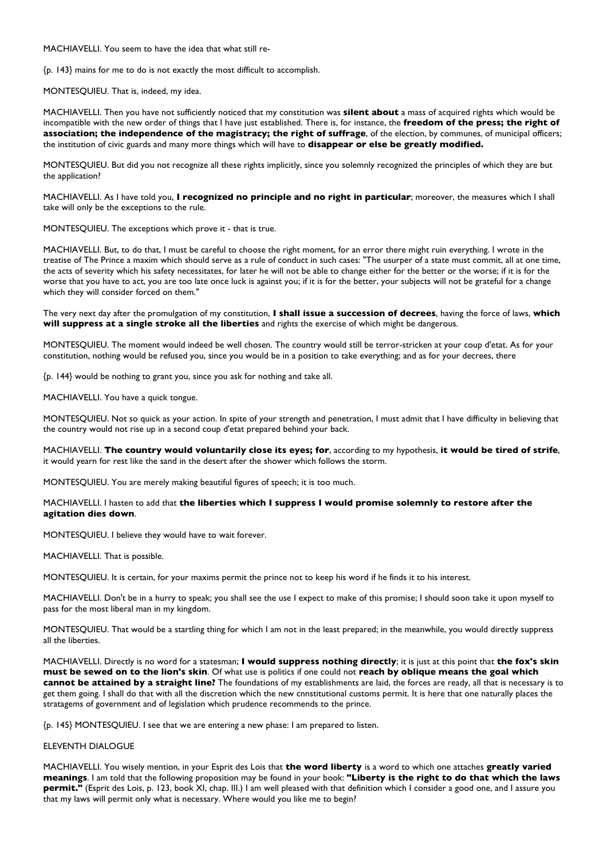MACHIAVELLI. You seem to have the idea that what still re-

{p. 143} mains for me to do is not exactly the most difficult to accomplish.

MONTESQUIEU. That is, indeed, my idea.

MACHIAVELLI. Then you have not sufficiently noticed that my constitution was **silent about** a mass of acquired rights which would be incompatible with the new order of things that I have just established. There is, for instance, the **freedom of the press; the right of association; the independence of the magistracy; the right of suffrage**, of the election, by communes, of municipal officers; the institution of civic guards and many more things which will have to **disappear or else be greatly modified.**

MONTESQUIEU. But did you not recognize all these rights implicitly, since you solemnly recognized the principles of which they are but the application?

MACHIAVELLI. As I have told you, **I recognized no principle and no right in particular**; moreover, the measures which I shall take will only be the exceptions to the rule.

MONTESQUIEU. The exceptions which prove it - that is true.

MACHIAVELLI. But, to do that, I must be careful to choose the right moment, for an error there might ruin everything. I wrote in the treatise of The Prince a maxim which should serve as a rule of conduct in such cases: "The usurper of a state must commit, all at one time, the acts of severity which his safety necessitates, for later he will not be able to change either for the better or the worse; if it is for the worse that you have to act, you are too late once luck is against you; if it is for the better, your subjects will not be grateful for a change which they will consider forced on them."

The very next day after the promulgation of my constitution, **I shall issue a succession of decrees**, having the force of laws, **which will suppress at a single stroke all the liberties** and rights the exercise of which might be dangerous.

MONTESQUIEU. The moment would indeed be well chosen. The country would still be terror-stricken at your coup d'etat. As for your constitution, nothing would be refused you, since you would be in a position to take everything; and as for your decrees, there

{p. 144} would be nothing to grant you, since you ask for nothing and take all.

MACHIAVELLI. You have a quick tongue.

MONTESQUIEU. Not so quick as your action. In spite of your strength and penetration, I must admit that I have difficulty in believing that the country would not rise up in a second coup d'etat prepared behind your back.

MACHIAVELLI. **The country would voluntarily close its eyes; for**, according to my hypothesis, **it would be tired of strife**, it would yearn for rest like the sand in the desert after the shower which follows the storm.

MONTESQUIEU. You are merely making beautiful figures of speech; it is too much.

## MACHIAVELLI. I hasten to add that **the liberties which I suppress I would promise solemnly to restore after the agitation dies down**.

MONTESQUIEU. I believe they would have to wait forever.

MACHIAVELLI. That is possible.

MONTESQUIEU. It is certain, for your maxims permit the prince not to keep his word if he finds it to his interest.

MACHIAVELLI. Don't be in a hurry to speak; you shall see the use I expect to make of this promise; I should soon take it upon myself to pass for the most liberal man in my kingdom.

MONTESQUIEU. That would be a startling thing for which I am not in the least prepared; in the meanwhile, you would directly suppress all the liberties.

MACHIAVELLI. Directly is no word for a statesman; **I would suppress nothing directly**; it is just at this point that **the fox's skin must be sewed on to the lion's skin**. Of what use is politics if one could not **reach by oblique means the goal which cannot be attained by a straight line?** The foundations of my establishments are laid, the forces are ready, all that is necessary is to get them going. I shall do that with all the discretion which the new cnnstitutional customs permit. It is here that one naturally places the stratagems of government and of legislation which prudence recommends to the prince.

{p. 145} MONTESQUIEU. I see that we are entering a new phase: I am prepared to listen.

# ELEVENTH DIALOGUE

MACHIAVELLI. You wisely mention, in your Esprit des Lois that **the word liberty** is a word to which one attaches **greatly varied meanings**. I am told that the following proposition may be found in your book: **"Liberty is the right to do that which the laws**  permit." (Esprit des Lois, p. 123, book XI, chap. III.) I am well pleased with that definition which I consider a good one, and I assure you that my laws will permit only what is necessary. Where would you like me to begin?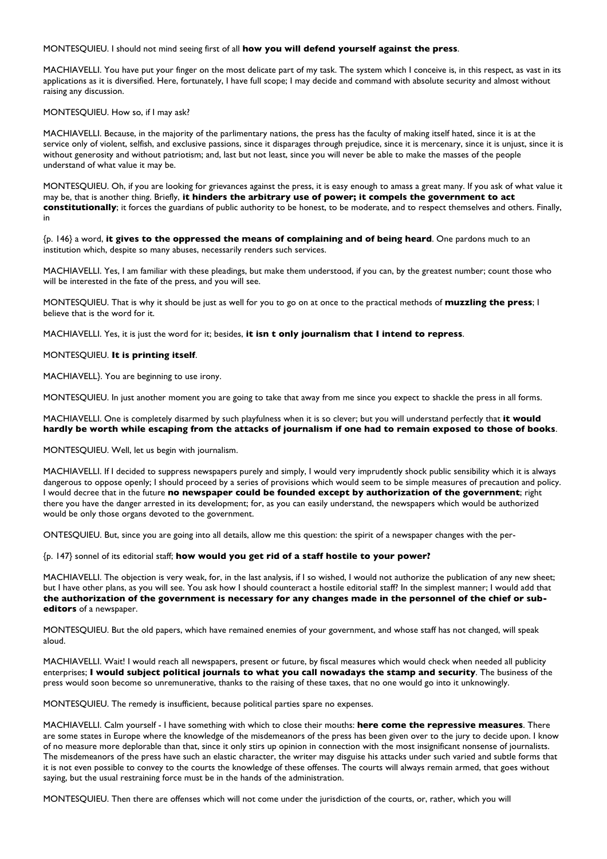## MONTESQUIEU. I should not mind seeing first of all **how you will defend yourself against the press**.

MACHIAVELLI. You have put your finger on the most delicate part of my task. The system which I conceive is, in this respect, as vast in its applications as it is diversified. Here, fortunately, I have full scope; I may decide and command with absolute security and almost without raising any discussion.

### MONTESQUIEU. How so, if I may ask?

MACHIAVELLI. Because, in the majority of the parlimentary nations, the press has the faculty of making itself hated, since it is at the service only of violent, selfish, and exclusive passions, since it disparages through prejudice, since it is mercenary, since it is unjust, since it is without generosity and without patriotism; and, last but not least, since you will never be able to make the masses of the people understand of what value it may be.

MONTESQUIEU. Oh, if you are looking for grievances against the press, it is easy enough to amass a great many. If you ask of what value it may be, that is another thing. Briefly, **it hinders the arbitrary use of power; it compels the government to act constitutionally**; it forces the guardians of public authority to be honest, to be moderate, and to respect themselves and others. Finally, in

{p. 146} a word, **it gives to the oppressed the means of complaining and of being heard**. One pardons much to an institution which, despite so many abuses, necessarily renders such services.

MACHIAVELLI. Yes, I am familiar with these pleadings, but make them understood, if you can, by the greatest number; count those who will be interested in the fate of the press, and you will see.

MONTESQUIEU. That is why it should be just as well for you to go on at once to the practical methods of **muzzling the press**; I believe that is the word for it.

MACHIAVELLI. Yes, it is just the word for it; besides, **it isn t only journalism that I intend to repress**.

#### MONTESQUIEU. **It is printing itself**.

MACHIAVELL}. You are beginning to use irony.

MONTESQUIEU. In just another moment you are going to take that away from me since you expect to shackle the press in all forms.

MACHIAVELLI. One is completely disarmed by such playfulness when it is so clever; but you will understand perfectly that **it would hardly be worth while escaping from the attacks of journalism if one had to remain exposed to those of books**.

MONTESQUIEU. Well, let us begin with journalism.

MACHIAVELLI. If I decided to suppress newspapers purely and simply, I would very imprudently shock public sensibility which it is always dangerous to oppose openly; I should proceed by a series of provisions which would seem to be simple measures of precaution and policy. I would decree that in the future **no newspaper could be founded except by authorization of the government**; right there you have the danger arrested in its development; for, as you can easily understand, the newspapers which would be authorized would be only those organs devoted to the government.

ONTESQUIEU. But, since you are going into all details, allow me this question: the spirit of a newspaper changes with the per-

{p. 147} sonnel of its editorial staff; **how would you get rid of a staff hostile to your power?**

MACHIAVELLI. The objection is very weak, for, in the last analysis, if I so wished, I would not authorize the publication of any new sheet; but I have other plans, as you will see. You ask how I should counteract a hostile editorial staff? In the simplest manner; I would add that **the authorization of the government is necessary for any changes made in the personnel of the chief or subeditors** of a newspaper.

MONTESQUIEU. But the old papers, which have remained enemies of your government, and whose staff has not changed, will speak aloud.

MACHIAVELLI. Wait! I would reach all newspapers, present or future, by fiscal measures which would check when needed all publicity enterprises; **I would subject political journals to what you call nowadays the stamp and security**. The business of the press would soon become so unremunerative, thanks to the raising of these taxes, that no one would go into it unknowingly.

MONTESQUIEU. The remedy is insufficient, because political parties spare no expenses.

MACHIAVELLI. Calm yourself - I have something with which to close their mouths: **here come the repressive measures**. There are some states in Europe where the knowledge of the misdemeanors of the press has been given over to the jury to decide upon. I know of no measure more deplorable than that, since it only stirs up opinion in connection with the most insignificant nonsense of journalists. The misdemeanors of the press have such an elastic character, the writer may disguise his attacks under such varied and subtle forms that it is not even possible to convey to the courts the knowledge of these offenses. The courts will always remain armed, that goes without saying, but the usual restraining force must be in the hands of the administration.

MONTESQUIEU. Then there are offenses which will not come under the jurisdiction of the courts, or, rather, which you will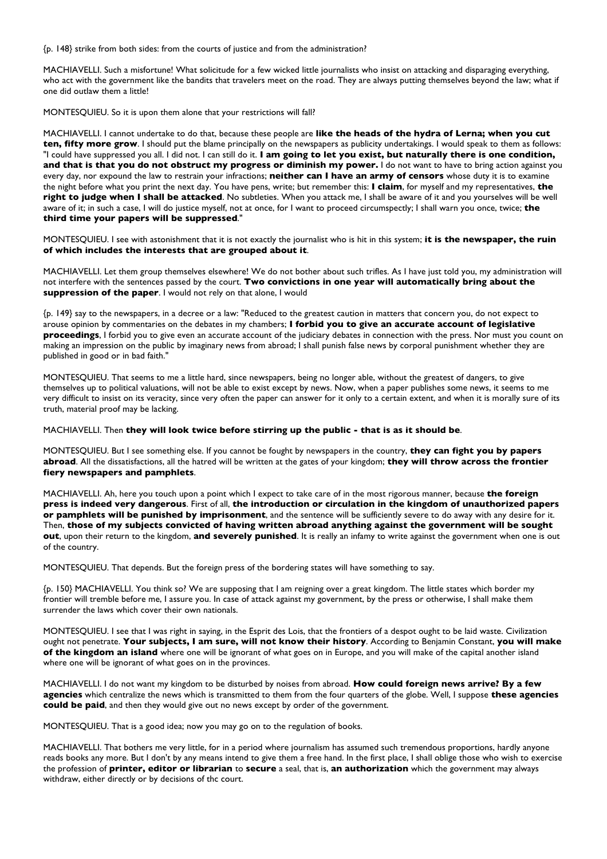{p. 148} strike from both sides: from the courts of justice and from the administration?

MACHIAVELLI. Such a misfortune! What solicitude for a few wicked little journalists who insist on attacking and disparaging everything, who act with the government like the bandits that travelers meet on the road. They are always putting themselves beyond the law; what if one did outlaw them a little!

MONTESQUIEU. So it is upon them alone that your restrictions will fall?

MACHIAVELLI. I cannot undertake to do that, because these people are **like the heads of the hydra of Lerna; when you cut ten, fifty more grow**. I should put the blame principally on the newspapers as publicity undertakings. I would speak to them as follows: "I could have suppressed you all. I did not. I can still do it. **I am going to let you exist, but naturally there is one condition, and that is that you do not obstruct my progress or diminish my power.** I do not want to have to bring action against you every day, nor expound the law to restrain your infractions; **neither can I have an army of censors** whose duty it is to examine the night before what you print the next day. You have pens, write; but remember this: **I claim**, for myself and my representatives, **the right to judge when I shall be attacked**. No subtleties. When you attack me, I shall be aware of it and you yourselves will be well aware of it; in such a case, I will do justice myself, not at once, for I want to proceed circumspectly; I shall warn you once, twice; **the third time your papers will be suppressed**."

MONTESQUIEU. I see with astonishment that it is not exactly the journalist who is hit in this system; **it is the newspaper, the ruin of which includes the interests that are grouped about it**.

MACHIAVELLI. Let them group themselves elsewhere! We do not bother about such trifles. As I have just told you, my administration will not interfere with the sentences passed by the court. **Two convictions in one year will automatically bring about the suppression of the paper**. I would not rely on that alone, I would

{p. 149} say to the newspapers, in a decree or a law: "Reduced to the greatest caution in matters that concern you, do not expect to arouse opinion by commentaries on the debates in my chambers; **I forbid you to give an accurate account of legislative proceedings**, I forbid you to give even an accurate account of the judiciary debates in connection with the press. Nor must you count on making an impression on the public by imaginary news from abroad; I shall punish false news by corporal punishment whether they are published in good or in bad faith."

MONTESQUIEU. That seems to me a little hard, since newspapers, being no longer able, without the greatest of dangers, to give themselves up to political valuations, will not be able to exist except by news. Now, when a paper publishes some news, it seems to me very difficult to insist on its veracity, since very often the paper can answer for it only to a certain extent, and when it is morally sure of its truth, material proof may be lacking.

MACHIAVELLI. Then **they will look twice before stirring up the public - that is as it should be**.

MONTESQUIEU. But I see something else. If you cannot be fought by newspapers in the country, **they can fight you by papers abroad**. All the dissatisfactions, all the hatred will be written at the gates of your kingdom; **they will throw across the frontier fiery newspapers and pamphlets**.

MACHIAVELLI. Ah, here you touch upon a point which I expect to take care of in the most rigorous manner, because **the foreign press is indeed very dangerous**. First of all, **the introduction or circulation in the kingdom of unauthorized papers or pamphlets will be punished by imprisonment**, and the sentence will be sufficiently severe to do away with any desire for it. Then, **those of my subjects convicted of having written abroad anything against the government will be sought out**, upon their return to the kingdom, **and severely punished**. It is really an infamy to write against the government when one is out of the country.

MONTESQUIEU. That depends. But the foreign press of the bordering states will have something to say.

{p. 150} MACHIAVELLI. You think so? We are supposing that I am reigning over a great kingdom. The little states which border my frontier will tremble before me, I assure you. In case of attack against my government, by the press or otherwise, I shall make them surrender the laws which cover their own nationals.

MONTESQUIEU. I see that I was right in saying, in the Esprit des Lois, that the frontiers of a despot ought to be laid waste. Civilization ought not penetrate. **Your subjects, I am sure, will not know their history**. According to Benjamin Constant, **you will make of the kingdom an island** where one will be ignorant of what goes on in Europe, and you will make of the capital another island where one will be ignorant of what goes on in the provinces.

MACHIAVELLI. I do not want my kingdom to be disturbed by noises from abroad. **How could foreign news arrive? By a few agencies** which centralize the news which is transmitted to them from the four quarters of the globe. Well, I suppose **these agencies could be paid**, and then they would give out no news except by order of the government.

MONTESQUIEU. That is a good idea; now you may go on to the regulation of books.

MACHIAVELLI. That bothers me very little, for in a period where journalism has assumed such tremendous proportions, hardly anyone reads books any more. But I don't by any means intend to give them a free hand. In the first place, I shall oblige those who wish to exercise the profession of **printer, editor or librarian** to **secure** a seal, that is, **an authorization** which the government may always withdraw, either directly or by decisions of thc court.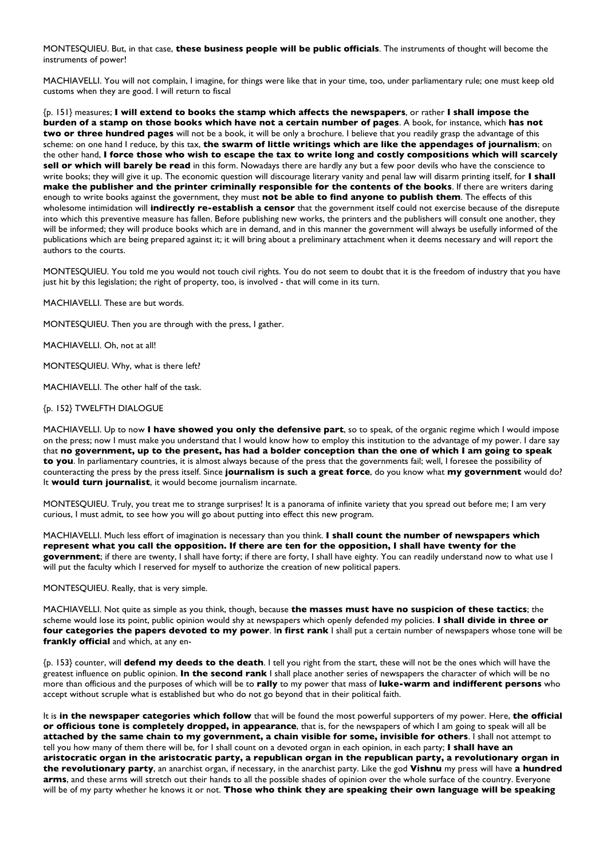MONTESQUIEU. But, in that case, **these business people will be public officials**. The instruments of thought will become the instruments of power!

MACHIAVELLI. You will not complain, I imagine, for things were like that in your time, too, under parliamentary rule; one must keep old customs when they are good. I will return to fiscal

{p. 151} measures; **I will extend to books the stamp which affects the newspapers**, or rather **I shall impose the burden of a stamp on those books which have not a certain number of pages**. A book, for instance, which **has not two or three hundred pages** will not be a book, it will be only a brochure. I believe that you readily grasp the advantage of this scheme: on one hand I reduce, by this tax, **the swarm of little writings which are like the appendages of journalism**; on the other hand, **I force those who wish to escape the tax to write long and costly compositions which will scarcely sell or which will barely be read** in this form. Nowadays there are hardly any but a few poor devils who have the conscience to write books; they will give it up. The economic question will discourage literary vanity and penal law will disarm printing itself, for **I shall make the publisher and the printer criminally responsible for the contents of the books**. If there are writers daring enough to write books against the government, they must **not be able to find anyone to publish them**. The effects of this wholesome intimidation will **indirectly re-establish a censor** that the government itself could not exercise because of the disrepute into which this preventive measure has fallen. Before publishing new works, the printers and the publishers will consult one another, they will be informed; they will produce books which are in demand, and in this manner the government will always be usefully informed of the publications which are being prepared against it; it will bring about a preliminary attachment when it deems necessary and will report the authors to the courts.

MONTESQUIEU. You told me you would not touch civil rights. You do not seem to doubt that it is the freedom of industry that you have just hit by this legislation; the right of property, too, is involved - that will come in its turn.

MACHIAVELLI. These are but words.

MONTESQUIEU. Then you are through with the press, I gather.

MACHIAVELLI. Oh, not at all!

MONTESQUIEU. Why, what is there left?

MACHIAVELLI. The other half of the task.

## {p. 152} TWELFTH DIALOGUE

MACHIAVELLI. Up to now **I have showed you only the defensive part**, so to speak, of the organic regime which I would impose on the press; now I must make you understand that I would know how to employ this institution to the advantage of my power. I dare say that **no government, up to the present, has had a bolder conception than the one of which I am going to speak to you**. In parliamentary countries, it is almost always because of the press that the governments fail; well, I foresee the possibility of counteracting the press by the press itself. Since **journalism is such a great force**, do you know what **my government** would do? It **would turn journalist**, it would become journalism incarnate.

MONTESQUIEU. Truly, you treat me to strange surprises! It is a panorama of infinite variety that you spread out before me; I am very curious, I must admit, to see how you will go about putting into effect this new program.

MACHIAVELLI. Much less effort of imagination is necessary than you think. **I shall count the number of newspapers which represent what you call the opposition. If there are ten for the opposition, I shall have twenty for the government**; if there are twenty, I shall have forty; if there are forty, I shall have eighty. You can readily understand now to what use I will put the faculty which I reserved for myself to authorize the creation of new political papers.

# MONTESQUIEU. Really, that is very simple.

MACHIAVELLI. Not quite as simple as you think, though, because **the masses must have no suspicion of these tactics**; the scheme would lose its point, public opinion would shy at newspapers which openly defended my policies. **I shall divide in three or four categories the papers devoted to my power**. I**n first rank** I shall put a certain number of newspapers whose tone will be **frankly official** and which, at any en-

{p. 153} counter, will **defend my deeds to the death**. I tell you right from the start, these will not be the ones which will have the greatest influence on public opinion. **In the second rank** I shall place another series of newspapers the character of which will be no more than officious and the purposes of which will be to **rally** to my power that mass of **luke-warm and indifferent persons** who accept without scruple what is established but who do not go beyond that in their political faith.

It is **in the newspaper categories which follow** that will be found the most powerful supporters of my power. Here, **the official or officious tone is completely dropped, in appearance**, that is, for the newspapers of which I am going to speak will all be **attached by the same chain to my government, a chain visible for some, invisible for others**. I shall not attempt to tell you how many of them there will be, for I shall count on a devoted organ in each opinion, in each party; **I shall have an aristocratic organ in the aristocratic party, a republican organ in the republican party, a revolutionary organ in the revolutionary party**, an anarchist organ, if necessary, in the anarchist party. Like the god **Vishnu** my press will have **a hundred arms**, and these arms will stretch out their hands to all the possible shades of opinion over the whole surface of the country. Everyone will be of my party whether he knows it or not. **Those who think they are speaking their own language will be speaking**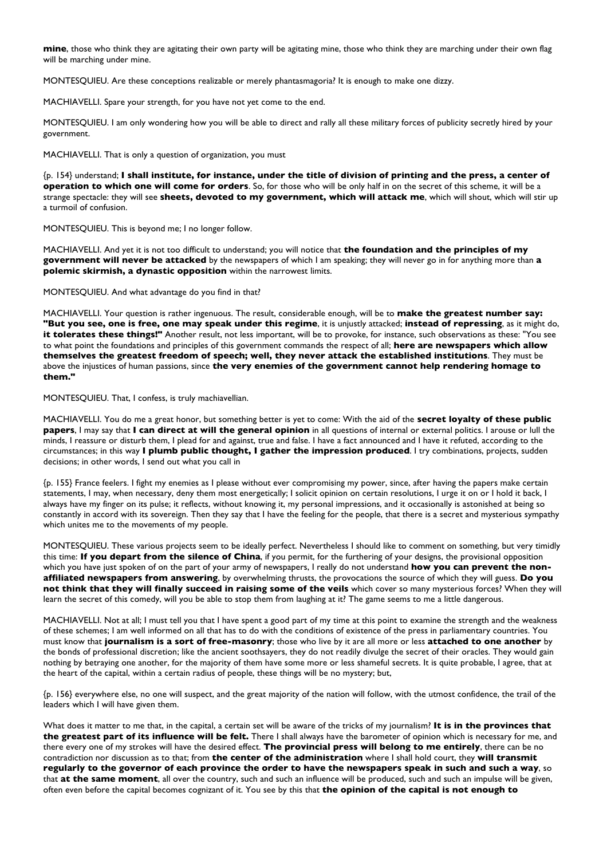**mine**, those who think they are agitating their own party will be agitating mine, those who think they are marching under their own flag will be marching under mine.

MONTESQUIEU. Are these conceptions realizable or merely phantasmagoria? It is enough to make one dizzy.

MACHIAVELLI. Spare your strength, for you have not yet come to the end.

MONTESQUIEU. I am only wondering how you will be able to direct and rally all these military forces of publicity secretly hired by your government.

MACHIAVELLI. That is only a question of organization, you must

{p. 154} understand; **I shall institute, for instance, under the title of division of printing and the press, a center of operation to which one will come for orders**. So, for those who will be only half in on the secret of this scheme, it will be a strange spectacle: they will see **sheets, devoted to my government, which will attack me**, which will shout, which will stir up a turmoil of confusion.

MONTESQUIEU. This is beyond me; I no longer follow.

MACHIAVELLI. And yet it is not too difficult to understand; you will notice that **the foundation and the principles of my government will never be attacked** by the newspapers of which I am speaking; they will never go in for anything more than **a polemic skirmish, a dynastic opposition** within the narrowest limits.

MONTESQUIEU. And what advantage do you find in that?

MACHIAVELLI. Your question is rather ingenuous. The result, considerable enough, will be to **make the greatest number say: "But you see, one is free, one may speak under this regime**, it is unjustly attacked; **instead of repressing**, as it might do, **it tolerates these things!"** Another result, not less important, will be to provoke, for instance, such observations as these: "You see to what point the foundations and principles of this government commands the respect of all; **here are newspapers which allow themselves the greatest freedom of speech; well, they never attack the established institutions**. They must be above the injustices of human passions, since **the very enemies of the government cannot help rendering homage to them."**

MONTESQUIEU. That, I confess, is truly machiavellian.

MACHIAVELLI. You do me a great honor, but something better is yet to come: With the aid of the **secret loyalty of these public papers**, I may say that **I can direct at will the general opinion** in all questions of internal or external politics. I arouse or lull the minds, I reassure or disturb them, I plead for and against, true and false. I have a fact announced and I have it refuted, according to the circumstances; in this way **I plumb public thought, I gather the impression produced**. I try combinations, projects, sudden decisions; in other words, I send out what you call in

{p. 155} France feelers. I fight my enemies as I please without ever compromising my power, since, after having the papers make certain statements, I may, when necessary, deny them most energetically; I solicit opinion on certain resolutions, I urge it on or I hold it back, I always have my finger on its pulse; it reflects, without knowing it, my personal impressions, and it occasionally is astonished at being so constantly in accord with its sovereign. Then they say that I have the feeling for the people, that there is a secret and mysterious sympathy which unites me to the movements of my people.

MONTESQUIEU. These various projects seem to be ideally perfect. Nevertheless I should like to comment on something, but very timidly this time: **If you depart from the silence of China**, if you permit, for the furthering of your designs, the provisional opposition which you have just spoken of on the part of your army of newspapers, I really do not understand **how you can prevent the nonaffiliated newspapers from answering**, by overwhelming thrusts, the provocations the source of which they will guess. **Do you not think that they will finally succeed in raising some of the veils** which cover so many mysterious forces? When they will learn the secret of this comedy, will you be able to stop them from laughing at it? The game seems to me a little dangerous.

MACHIAVELLI. Not at all; I must tell you that I have spent a good part of my time at this point to examine the strength and the weakness of these schemes; I am well informed on all that has to do with the conditions of existence of the press in parliamentary countries. You must know that **journalism is a sort of free-masonry**; those who live by it are all more or less **attached to one another** by the bonds of professional discretion; like the ancient soothsayers, they do not readily divulge the secret of their oracles. They would gain nothing by betraying one another, for the majority of them have some more or less shameful secrets. It is quite probable, I agree, that at the heart of the capital, within a certain radius of people, these things will be no mystery; but,

{p. 156} everywhere else, no one will suspect, and the great majority of the nation will follow, with the utmost confidence, the trail of the leaders which I will have given them.

What does it matter to me that, in the capital, a certain set will be aware of the tricks of my journalism? **It is in the provinces that the greatest part of its influence will be felt.** There I shall always have the barometer of opinion which is necessary for me, and there every one of my strokes will have the desired effect. **The provincial press will belong to me entirely**, there can be no contradiction nor discussion as to that; from **the center of the administration** where I shall hold court, they **will transmit regularly to the governor of each province the order to have the newspapers speak in such and such a way**, so that **at the same moment**, all over the country, such and such an influence will be produced, such and such an impulse will be given, often even before the capital becomes cognizant of it. You see by this that **the opinion of the capital is not enough to**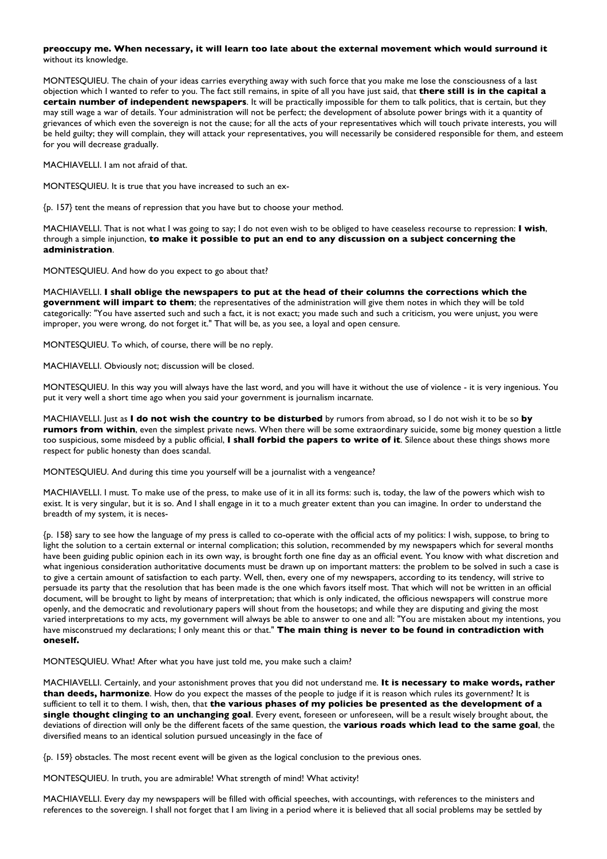## **preoccupy me. When necessary, it will learn too late about the external movement which would surround it**  without its knowledge.

MONTESQUIEU. The chain of your ideas carries everything away with such force that you make me lose the consciousness of a last objection which I wanted to refer to you. The fact still remains, in spite of all you have just said, that **there still is in the capital a certain number of independent newspapers**. It will be practically impossible for them to talk politics, that is certain, but they may still wage a war of details. Your administration will not be perfect; the development of absolute power brings with it a quantity of grievances of which even the sovereign is not the cause; for all the acts of your representatives which will touch private interests, you will be held guilty; they will complain, they will attack your representatives, you will necessarily be considered responsible for them, and esteem for you will decrease gradually.

MACHIAVELLI. I am not afraid of that.

MONTESQUIEU. It is true that you have increased to such an ex-

{p. 157} tent the means of repression that you have but to choose your method.

MACHIAVELLI. That is not what I was going to say; I do not even wish to be obliged to have ceaseless recourse to repression: **I wish**, through a simple injunction, **to make it possible to put an end to any discussion on a subject concerning the administration**.

MONTESQUIEU. And how do you expect to go about that?

MACHIAVELLI. **I shall oblige the newspapers to put at the head of their columns the corrections which the government will impart to them**; the representatives of the administration will give them notes in which they will be told categorically: "You have asserted such and such a fact, it is not exact; you made such and such a criticism, you were unjust, you were improper, you were wrong, do not forget it." That will be, as you see, a loyal and open censure.

MONTESQUIEU. To which, of course, there will be no reply.

MACHIAVELLI. Obviously not; discussion will be closed.

MONTESQUIEU. In this way you will always have the last word, and you will have it without the use of violence - it is very ingenious. You put it very well a short time ago when you said your government is journalism incarnate.

MACHIAVELLI. Just as **I do not wish the country to be disturbed** by rumors from abroad, so I do not wish it to be so **by rumors from within**, even the simplest private news. When there will be some extraordinary suicide, some big money question a little too suspicious, some misdeed by a public official, **I shall forbid the papers to write of it**. Silence about these things shows more respect for public honesty than does scandal.

MONTESQUIEU. And during this time you yourself will be a journalist with a vengeance?

MACHIAVELLI. I must. To make use of the press, to make use of it in all its forms: such is, today, the law of the powers which wish to exist. It is very singular, but it is so. And I shall engage in it to a much greater extent than you can imagine. In order to understand the breadth of my system, it is neces-

{p. 158} sary to see how the language of my press is called to co-operate with the official acts of my politics: I wish, suppose, to bring to light the solution to a certain external or internal complication; this solution, recommended by my newspapers which for several months have been guiding public opinion each in its own way, is brought forth one fine day as an official event. You know with what discretion and what ingenious consideration authoritative documents must be drawn up on important matters: the problem to be solved in such a case is to give a certain amount of satisfaction to each party. Well, then, every one of my newspapers, according to its tendency, will strive to persuade its party that the resolution that has been made is the one which favors itself most. That which will not be written in an official document, will be brought to light by means of interpretation; that which is only indicated, the officious newspapers will construe more openly, and the democratic and revolutionary papers will shout from the housetops; and while they are disputing and giving the most varied interpretations to my acts, my government will always be able to answer to one and all: "You are mistaken about my intentions, you have misconstrued my declarations; I only meant this or that." **The main thing is never to be found in contradiction with oneself.**

MONTESQUIEU. What! After what you have just told me, you make such a claim?

MACHIAVELLI. Certainly, and your astonishment proves that you did not understand me. **It is necessary to make words, rather than deeds, harmonize**. How do you expect the masses of the people to judge if it is reason which rules its government? It is sufficient to tell it to them. I wish, then, that **the various phases of my policies be presented as the development of a single thought clinging to an unchanging goal**. Every event, foreseen or unforeseen, will be a result wisely brought about, the deviations of direction will only be the different facets of the same question, the **various roads which lead to the same goal**, the diversified means to an identical solution pursued unceasingly in the face of

{p. 159} obstacles. The most recent event will be given as the logical conclusion to the previous ones.

MONTESQUIEU. In truth, you are admirable! What strength of mind! What activity!

MACHIAVELLI. Every day my newspapers will be filled with official speeches, with accountings, with references to the ministers and references to the sovereign. I shall not forget that I am living in a period where it is believed that all social problems may be settled by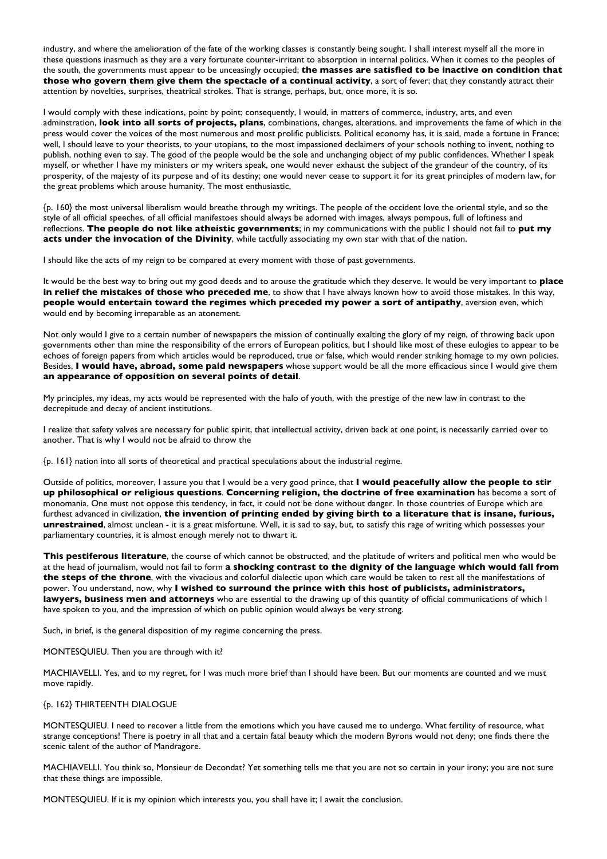industry, and where the amelioration of the fate of the working classes is constantly being sought. I shall interest myself all the more in these questions inasmuch as they are a very fortunate counter-irritant to absorption in internal politics. When it comes to the peoples of the south, the governments must appear to be unceasingly occupied; **the masses are satisfied to be inactive on condition that those who govern them give them the spectacle of a continual activity**, a sort of fever; that they constantly attract their attention by novelties, surprises, theatrical strokes. That is strange, perhaps, but, once more, it is so.

I would comply with these indications, point by point; consequently, I would, in matters of commerce, industry, arts, and even adminstration, **look into all sorts of projects, plans**, combinations, changes, alterations, and improvements the fame of which in the press would cover the voices of the most numerous and most prolific publicists. Political economy has, it is said, made a fortune in France; well, I should leave to your theorists, to your utopians, to the most impassioned declaimers of your schools nothing to invent, nothing to publish, nothing even to say. The good of the people would be the sole and unchanging object of my public confidences. Whether I speak myself, or whether I have my ministers or my writers speak, one would never exhaust the subject of the grandeur of the country, of its prosperity, of the majesty of its purpose and of its destiny; one would never cease to support it for its great principles of modern law, for the great problems which arouse humanity. The most enthusiastic,

{p. 160} the most universal liberalism would breathe through my writings. The people of the occident love the oriental style, and so the style of all official speeches, of all official manifestoes should always be adorned with images, always pompous, full of loftiness and reflections. **The people do not like atheistic governments**; in my communications with the public I should not fail to **put my acts under the invocation of the Divinity**, while tactfully associating my own star with that of the nation.

I should like the acts of my reign to be compared at every moment with those of past governments.

It would be the best way to bring out my good deeds and to arouse the gratitude which they deserve. It would be very important to **place in relief the mistakes of those who preceded me**, to show that I have always known how to avoid those mistakes. In this way, **people would entertain toward the regimes which preceded my power a sort of antipathy**, aversion even, which would end by becoming irreparable as an atonement.

Not only would I give to a certain number of newspapers the mission of continually exalting the glory of my reign, of throwing back upon governments other than mine the responsibility of the errors of European politics, but I should like most of these eulogies to appear to be echoes of foreign papers from which articles would be reproduced, true or false, which would render striking homage to my own policies. Besides, **I would have, abroad, some paid newspapers** whose support would be all the more efficacious since I would give them **an appearance of opposition on several points of detail**.

My principles, my ideas, my acts would be represented with the halo of youth, with the prestige of the new law in contrast to the decrepitude and decay of ancient institutions.

I realize that safety valves are necessary for public spirit, that intellectual activity, driven back at one point, is necessarily carried over to another. That is why I would not be afraid to throw the

{p. 161} nation into all sorts of theoretical and practical speculations about the industrial regime.

Outside of politics, moreover, I assure you that I would be a very good prince, that **I would peacefully allow the people to stir up philosophical or religious questions**. **Concerning religion, the doctrine of free examination** has become a sort of monomania. One must not oppose this tendency, in fact, it could not be done without danger. In those countries of Europe which are furthest advanced in civilization, **the invention of printing ended by giving birth to a literature that is insane, furious, unrestrained**, almost unclean - it is a great misfortune. Well, it is sad to say, but, to satisfy this rage of writing which possesses your parliamentary countries, it is almost enough merely not to thwart it.

**This pestiferous literature**, the course of which cannot be obstructed, and the platitude of writers and political men who would be at the head of journalism, would not fail to form **a shocking contrast to the dignity of the language which would fall from the steps of the throne**, with the vivacious and colorful dialectic upon which care would be taken to rest all the manifestations of power. You understand, now, why **I wished to surround the prince with this host of publicists, administrators, lawyers, business men and attorneys** who are essential to the drawing up of this quantity of official communications of which I have spoken to you, and the impression of which on public opinion would always be very strong.

Such, in brief, is the general disposition of my regime concerning the press.

MONTESQUIEU. Then you are through with it?

MACHIAVELLI. Yes, and to my regret, for I was much more brief than I should have been. But our moments are counted and we must move rapidly.

# {p. 162} THIRTEENTH DIALOGUE

MONTESQUIEU. I need to recover a little from the emotions which you have caused me to undergo. What fertility of resource, what strange conceptions! There is poetry in all that and a certain fatal beauty which the modern Byrons would not deny; one finds there the scenic talent of the author of Mandragore.

MACHIAVELLI. You think so, Monsieur de Decondat? Yet something tells me that you are not so certain in your irony; you are not sure that these things are impossible.

MONTESQUIEU. If it is my opinion which interests you, you shall have it; I await the conclusion.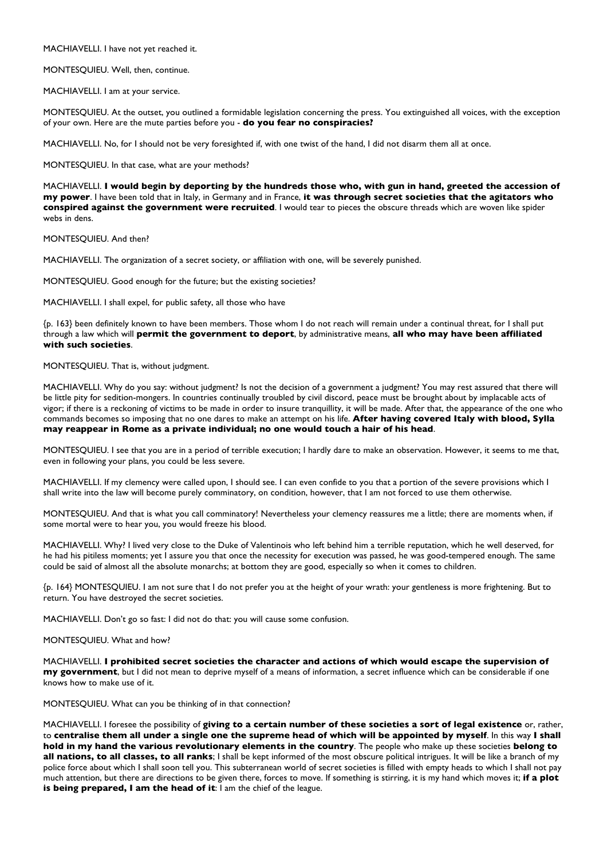MACHIAVELLI. I have not yet reached it.

MONTESQUIEU. Well, then, continue.

MACHIAVELLI. I am at your service.

MONTESQUIEU. At the outset, you outlined a formidable legislation concerning the press. You extinguished all voices, with the exception of your own. Here are the mute parties before you - **do you fear no conspiracies?**

MACHIAVELLI. No, for I should not be very foresighted if, with one twist of the hand, I did not disarm them all at once.

MONTESQUIEU. In that case, what are your methods?

MACHIAVELLI. **I would begin by deporting by the hundreds those who, with gun in hand, greeted the accession of my power**. I have been told that in Italy, in Germany and in France, **it was through secret societies that the agitators who conspired against the government were recruited**. I would tear to pieces the obscure threads which are woven like spider webs in dens.

MONTESQUIEU. And then?

MACHIAVELLI. The organization of a secret society, or affiliation with one, will be severely punished.

MONTESQUIEU. Good enough for the future; but the existing societies?

MACHIAVELLI. I shall expel, for public safety, all those who have

{p. 163} been definitely known to have been members. Those whom I do not reach will remain under a continual threat, for I shall put through a law which will **permit the government to deport**, by administrative means, **all who may have been affiliated with such societies**.

## MONTESQUIEU. That is, without judgment.

MACHIAVELLI. Why do you say: without judgment? Is not the decision of a government a judgment? You may rest assured that there will be little pity for sedition-mongers. In countries continually troubled by civil discord, peace must be brought about by implacable acts of vigor; if there is a reckoning of victims to be made in order to insure tranquillity, it will be made. After that, the appearance of the one who commands becomes so imposing that no one dares to make an attempt on his life. **After having covered Italy with blood, Sylla may reappear in Rome as a private individual; no one would touch a hair of his head**.

MONTESQUIEU. I see that you are in a period of terrible execution; I hardly dare to make an observation. However, it seems to me that, even in following your plans, you could be less severe.

MACHIAVELLI. If my clemency were called upon, I should see. I can even confide to you that a portion of the severe provisions which I shall write into the law will become purely comminatory, on condition, however, that I am not forced to use them otherwise.

MONTESQUIEU. And that is what you call comminatory! Nevertheless your clemency reassures me a little; there are moments when, if some mortal were to hear you, you would freeze his blood.

MACHIAVELLI. Why? I lived very close to the Duke of Valentinois who left behind him a terrible reputation, which he well deserved, for he had his pitiless moments; yet I assure you that once the necessity for execution was passed, he was good-tempered enough. The same could be said of almost all the absolute monarchs; at bottom they are good, especially so when it comes to children.

{p. 164} MONTESQUIEU. I am not sure that I do not prefer you at the height of your wrath: your gentleness is more frightening. But to return. You have destroyed the secret societies.

MACHIAVELLI. Don't go so fast: I did not do that: you will cause some confusion.

MONTESQUIEU. What and how?

MACHIAVELLI. **I prohibited secret societies the character and actions of which would escape the supervision of my government**, but I did not mean to deprive myself of a means of information, a secret influence which can be considerable if one knows how to make use of it.

MONTESQUIEU. What can you be thinking of in that connection?

MACHIAVELLI. I foresee the possibility of **giving to a certain number of these societies a sort of legal existence** or, rather, to **centralise them all under a single one the supreme head of which will be appointed by myself**. In this way **I shall hold in my hand the various revolutionary elements in the country**. The people who make up these societies **belong to all nations, to all classes, to all ranks**; I shall be kept informed of the most obscure political intrigues. It will be like a branch of my police force about which I shall soon tell you. This subterranean world of secret societies is filled with empty heads to which I shall not pay much attention, but there are directions to be given there, forces to move. If something is stirring, it is my hand which moves it; **if a plot is being prepared, I am the head of it**: I am the chief of the league.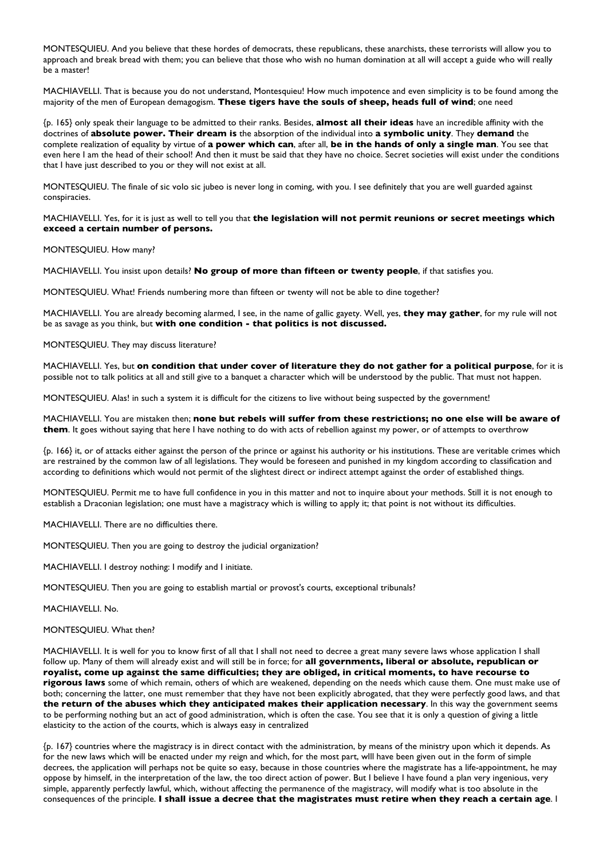MONTESQUIEU. And you believe that these hordes of democrats, these republicans, these anarchists, these terrorists will allow you to approach and break bread with them; you can believe that those who wish no human domination at all will accept a guide who will really be a master!

MACHIAVELLI. That is because you do not understand, Montesquieu! How much impotence and even simplicity is to be found among the majority of the men of European demagogism. **These tigers have the souls of sheep, heads full of wind**; one need

{p. 165} only speak their language to be admitted to their ranks. Besides, **almost all their ideas** have an incredible affinity with the doctrines of **absolute power. Their dream is** the absorption of the individual into **a symbolic unity**. They **demand** the complete realization of equality by virtue of **a power which can**, after all, **be in the hands of only a single man**. You see that even here I am the head of their school! And then it must be said that they have no choice. Secret societies will exist under the conditions that I have just described to you or they will not exist at all.

MONTESQUIEU. The finale of sic volo sic jubeo is never long in coming, with you. I see definitely that you are well guarded against conspiracies.

MACHIAVELLI. Yes, for it is just as well to tell you that **the legislation will not permit reunions or secret meetings which exceed a certain number of persons.**

MONTESQUIEU. How many?

MACHIAVELLI. You insist upon details? **No group of more than fifteen or twenty people**, if that satisfies you.

MONTESQUIEU. What! Friends numbering more than fifteen or twenty will not be able to dine together?

MACHIAVELLI. You are already becoming alarmed, I see, in the name of gallic gayety. Well, yes, **they may gather**, for my rule will not be as savage as you think, but **with one condition - that politics is not discussed.**

MONTESQUIEU. They may discuss literature?

MACHIAVELLI. Yes, but **on condition that under cover of literature they do not gather for a political purpose**, for it is possible not to talk politics at all and still give to a banquet a character which will be understood by the public. That must not happen.

MONTESQUIEU. Alas! in such a system it is difficult for the citizens to live without being suspected by the government!

MACHIAVELLI. You are mistaken then; **none but rebels will suffer from these restrictions; no one else will be aware of them**. It goes without saying that here I have nothing to do with acts of rebellion against my power, or of attempts to overthrow

{p. 166} it, or of attacks either against the person of the prince or against his authority or his institutions. These are veritable crimes which are restrained by the common law of all legislations. They would be foreseen and punished in my kingdom according to classification and according to definitions which would not permit of the slightest direct or indirect attempt against the order of established things.

MONTESQUIEU. Permit me to have full confidence in you in this matter and not to inquire about your methods. Still it is not enough to establish a Draconian legislation; one must have a magistracy which is willing to apply it; that point is not without its difficulties.

MACHIAVELLI. There are no difficulties there.

MONTESQUIEU. Then you are going to destroy the judicial organization?

MACHIAVELLI. I destroy nothing: I modify and I initiate.

MONTESQUIEU. Then you are going to establish martial or provost's courts, exceptional tribunals?

MACHIAVELLI. No.

# MONTESQUIEU. What then?

MACHIAVELLI. It is well for you to know first of all that I shall not need to decree a great many severe laws whose application I shall follow up. Many of them will already exist and will still be in force; for **all governments, liberal or absolute, republican or royalist, come up against the same difficulties; they are obliged, in critical moments, to have recourse to rigorous laws** some of which remain, others of which are weakened, depending on the needs which cause them. One must make use of both; concerning the latter, one must remember that they have not been explicitly abrogated, that they were perfectly good laws, and that **the return of the abuses which they anticipated makes their application necessary**. In this way the government seems to be performing nothing but an act of good administration, which is often the case. You see that it is only a question of giving a little elasticity to the action of the courts, which is always easy in centralized

{p. 167} countries where the magistracy is in direct contact with the administration, by means of the ministry upon which it depends. As for the new laws which will be enacted under my reign and which, for the most part, wlll have been given out in the form of simple decrees, the application will perhaps not be quite so easy, because in those countries where the magistrate has a life-appointment, he may oppose by himself, in the interpretation of the law, the too direct action of power. But I believe I have found a plan very ingenious, very simple, apparently perfectly lawful, which, without affecting the permanence of the magistracy, will modify what is too absolute in the consequences of the principle. **I shall issue a decree that the magistrates must retire when they reach a certain age**. I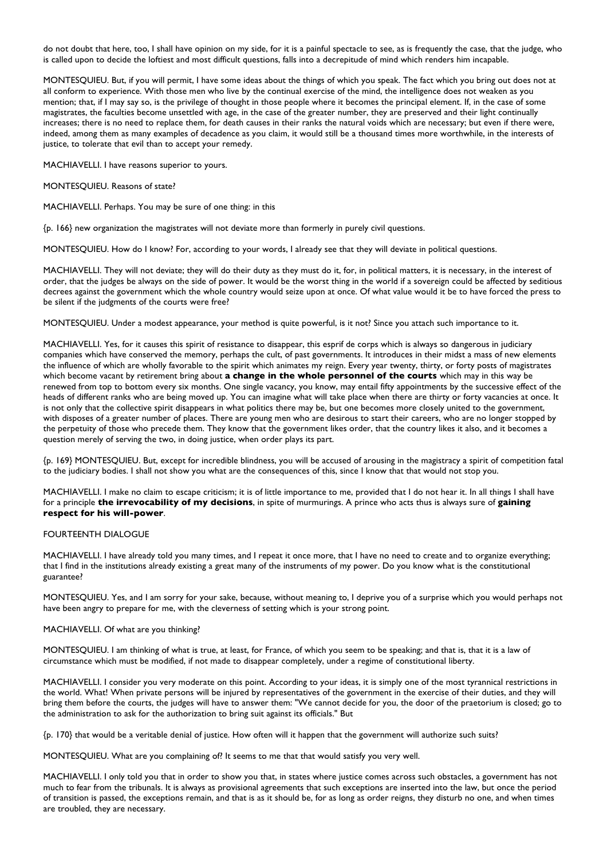do not doubt that here, too, I shall have opinion on my side, for it is a painful spectacle to see, as is frequently the case, that the judge, who is called upon to decide the loftiest and most difficult questions, falls into a decrepitude of mind which renders him incapable.

MONTESQUIEU. But, if you will permit, I have some ideas about the things of which you speak. The fact which you bring out does not at all conform to experience. With those men who live by the continual exercise of the mind, the intelligence does not weaken as you mention; that, if I may say so, is the privilege of thought in those people where it becomes the principal element. If, in the case of some magistrates, the faculties become unsettled with age, in the case of the greater number, they are preserved and their light continually increases; there is no need to replace them, for death causes in their ranks the natural voids which are necessary; but even if there were, indeed, among them as many examples of decadence as you claim, it would still be a thousand times more worthwhile, in the interests of justice, to tolerate that evil than to accept your remedy.

MACHIAVELLI. I have reasons superior to yours.

# MONTESQUIEU. Reasons of state?

MACHIAVELLI. Perhaps. You may be sure of one thing: in this

{p. 166} new organization the magistrates will not deviate more than formerly in purely civil questions.

MONTESQUIEU. How do I know? For, according to your words, I already see that they will deviate in political questions.

MACHIAVELLI. They will not deviate; they will do their duty as they must do it, for, in political matters, it is necessary, in the interest of order, that the judges be always on the side of power. It would be the worst thing in the world if a sovereign could be affected by seditious decrees against the government which the whole country would seize upon at once. Of what value would it be to have forced the press to be silent if the judgments of the courts were free?

MONTESQUIEU. Under a modest appearance, your method is quite powerful, is it not? Since you attach such importance to it.

MACHIAVELLI. Yes, for it causes this spirit of resistance to disappear, this esprif de corps which is always so dangerous in judiciary companies which have conserved the memory, perhaps the cult, of past governments. It introduces in their midst a mass of new elements the influence of which are wholly favorable to the spirit which animates my reign. Every year twenty, thirty, or forty posts of magistrates which become vacant by retirement bring about **a change in the whole personnel of the courts** which may in this way be renewed from top to bottom every six months. One single vacancy, you know, may entail fifty appointments by the successive effect of the heads of different ranks who are being moved up. You can imagine what will take place when there are thirty or forty vacancies at once. It is not only that the collective spirit disappears in what politics there may be, but one becomes more closely united to the government, with disposes of a greater number of places. There are young men who are desirous to start their careers, who are no longer stopped by the perpetuity of those who precede them. They know that the government likes order, that the country likes it also, and it becomes a question merely of serving the two, in doing justice, when order plays its part.

{p. 169} MONTESQUIEU. But, except for incredible blindness, you will be accused of arousing in the magistracy a spirit of competition fatal to the judiciary bodies. I shall not show you what are the consequences of this, since I know that that would not stop you.

MACHIAVELLI. I make no claim to escape criticism; it is of little importance to me, provided that I do not hear it. In all things I shall have for a principle **the irrevocability of my decisions**, in spite of murmurings. A prince who acts thus is always sure of **gaining respect for his will-power**.

# FOURTEENTH DIALOGUE

MACHIAVELLI. I have already told you many times, and I repeat it once more, that I have no need to create and to organize everything; that I find in the institutions already existing a great many of the instruments of my power. Do you know what is the constitutional guarantee?

MONTESQUIEU. Yes, and I am sorry for your sake, because, without meaning to, I deprive you of a surprise which you would perhaps not have been angry to prepare for me, with the cleverness of setting which is your strong point.

## MACHIAVELLI. Of what are you thinking?

MONTESQUIEU. I am thinking of what is true, at least, for France, of which you seem to be speaking; and that is, that it is a law of circumstance which must be modified, if not made to disappear completely, under a regime of constitutional liberty.

MACHIAVELLI. I consider you very moderate on this point. According to your ideas, it is simply one of the most tyrannical restrictions in the world. What! When private persons will be injured by representatives of the government in the exercise of their duties, and they will bring them before the courts, the judges will have to answer them: "We cannot decide for you, the door of the praetorium is closed; go to the administration to ask for the authorization to bring suit against its officials." But

{p. 170} that would be a veritable denial of justice. How often will it happen that the government will authorize such suits?

MONTESQUIEU. What are you complaining of? It seems to me that that would satisfy you very well.

MACHIAVELLI. I only told you that in order to show you that, in states where justice comes across such obstacles, a government has not much to fear from the tribunals. It is always as provisional agreements that such exceptions are inserted into the law, but once the period of transition is passed, the exceptions remain, and that is as it should be, for as long as order reigns, they disturb no one, and when times are troubled, they are necessary.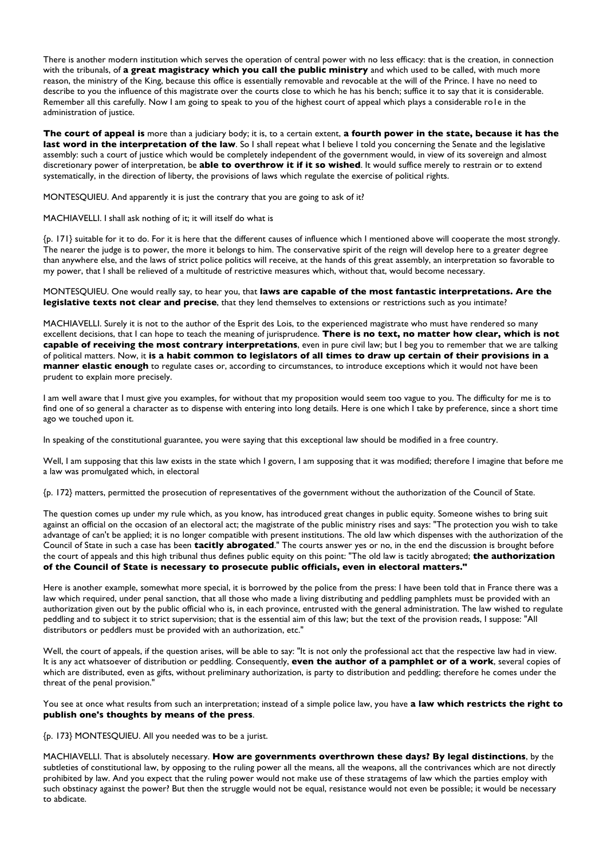There is another modern institution which serves the operation of central power with no less efficacy: that is the creation, in connection with the tribunals, of **a great magistracy which you call the public ministry** and which used to be called, with much more reason, the ministry of the King, because this office is essentially removable and revocable at the will of the Prince. I have no need to describe to you the influence of this magistrate over the courts close to which he has his bench; suffice it to say that it is considerable. Remember all this carefully. Now I am going to speak to you of the highest court of appeal which plays a considerable ro1e in the administration of justice.

**The court of appeal is** more than a judiciary body; it is, to a certain extent, **a fourth power in the state, because it has the last word in the interpretation of the law**. So I shall repeat what I believe I told you concerning the Senate and the legislative assembly: such a court of justice which would be completely independent of the government would, in view of its sovereign and almost discretionary power of interpretation, be **able to overthrow it if it so wished**. It would suffice merely to restrain or to extend systematically, in the direction of liberty, the provisions of laws which regulate the exercise of political rights.

MONTESQUIEU. And apparently it is just the contrary that you are going to ask of it?

MACHIAVELLI. I shall ask nothing of it; it will itself do what is

{p. 171} suitable for it to do. For it is here that the different causes of influence which I mentioned above will cooperate the most strongly. The nearer the judge is to power, the more it belongs to him. The conservative spirit of the reign will develop here to a greater degree than anywhere else, and the laws of strict police politics will receive, at the hands of this great assembly, an interpretation so favorable to my power, that I shall be relieved of a multitude of restrictive measures which, without that, would become necessary.

MONTESQUIEU. One would really say, to hear you, that **laws are capable of the most fantastic interpretations. Are the legislative texts not clear and precise**, that they lend themselves to extensions or restrictions such as you intimate?

MACHIAVELLI. Surely it is not to the author of the Esprit des Lois, to the experienced magistrate who must have rendered so many excellent decisions, that I can hope to teach the meaning of jurisprudence. **There is no text, no matter how clear, which is not capable of receiving the most contrary interpretations**, even in pure civil law; but I beg you to remember that we are talking of political matters. Now, it **is a habit common to legislators of all times to draw up certain of their provisions in a manner elastic enough** to regulate cases or, according to circumstances, to introduce exceptions which it would not have been prudent to explain more precisely.

I am well aware that I must give you examples, for without that my proposition would seem too vague to you. The difficulty for me is to find one of so general a character as to dispense with entering into long details. Here is one which I take by preference, since a short time ago we touched upon it.

In speaking of the constitutional guarantee, you were saying that this exceptional law should be modified in a free country.

Well, I am supposing that this law exists in the state which I govern, I am supposing that it was modified; therefore I imagine that before me a law was promulgated which, in electoral

{p. 172} matters, permitted the prosecution of representatives of the government without the authorization of the Council of State.

The question comes up under my rule which, as you know, has introduced great changes in public equity. Someone wishes to bring suit against an official on the occasion of an electoral act; the magistrate of the public ministry rises and says: "The protection you wish to take advantage of can't be applied; it is no longer compatible with present institutions. The old law which dispenses with the authorization of the Council of State in such a case has been **tacitly abrogated**." The courts answer yes or no, in the end the discussion is brought before the court of appeals and this high tribunal thus defines public equity on this point: "The old law is tacitly abrogated; **the authorization of the Council of State is necessary to prosecute public officials, even in electoral matters."** 

Here is another example, somewhat more special, it is borrowed by the police from the press: I have been told that in France there was a law which required, under penal sanction, that all those who made a living distributing and peddling pamphlets must be provided with an authorization given out by the public official who is, in each province, entrusted with the general administration. The law wished to regulate peddling and to subject it to strict supervision; that is the essential aim of this law; but the text of the provision reads, I suppose: "All distributors or peddlers must be provided with an authorization, etc."

Well, the court of appeals, if the question arises, will be able to say: "It is not only the professional act that the respective law had in view. It is any act whatsoever of distribution or peddling. Consequently, **even the author of a pamphlet or of a work**, several copies of which are distributed, even as gifts, without preliminary authorization, is party to distribution and peddling; therefore he comes under the threat of the penal provision."

You see at once what results from such an interpretation; instead of a simple police law, you have **a law which restricts the right to publish one's thoughts by means of the press**.

{p. 173} MONTESQUIEU. All you needed was to be a jurist.

MACHIAVELLI. That is absolutely necessary. **How are governments overthrown these days? By legal distinctions**, by the subtleties of constitutional law, by opposing to the ruling power all the means, all the weapons, all the contrivances which are not directly prohibited by law. And you expect that the ruling power would not make use of these stratagems of law which the parties employ with such obstinacy against the power? But then the struggle would not be equal, resistance would not even be possible; it would be necessary to abdicate.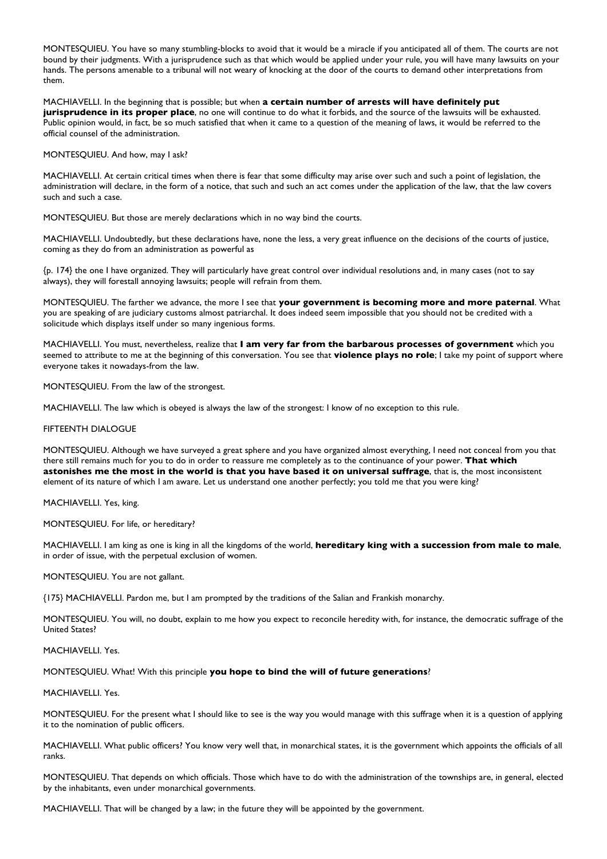MONTESQUIEU. You have so many stumbling-blocks to avoid that it would be a miracle if you anticipated all of them. The courts are not bound by their judgments. With a jurisprudence such as that which would be applied under your rule, you will have many lawsuits on your hands. The persons amenable to a tribunal will not weary of knocking at the door of the courts to demand other interpretations from them.

MACHIAVELLI. In the beginning that is possible; but when **a certain number of arrests will have definitely put jurisprudence in its proper place**, no one will continue to do what it forbids, and the source of the lawsuits will be exhausted. Public opinion would, in fact, be so much satisfied that when it came to a question of the meaning of laws, it would be referred to the official counsel of the administration.

MONTESQUIEU. And how, may I ask?

MACHIAVELLI. At certain critical times when there is fear that some difficulty may arise over such and such a point of legislation, the administration will declare, in the form of a notice, that such and such an act comes under the application of the law, that the law covers such and such a case.

MONTESQUIEU. But those are merely declarations which in no way bind the courts.

MACHIAVELLI. Undoubtedly, but these declarations have, none the less, a very great influence on the decisions of the courts of justice, coming as they do from an administration as powerful as

{p. 174} the one I have organized. They will particularly have great control over individual resolutions and, in many cases (not to say always), they will forestall annoying lawsuits; people will refrain from them.

MONTESQUIEU. The farther we advance, the more I see that **your government is becoming more and more paternal**. What you are speaking of are judiciary customs almost patriarchal. It does indeed seem impossible that you should not be credited with a solicitude which displays itself under so many ingenious forms.

MACHIAVELLI. You must, nevertheless, realize that **I am very far from the barbarous processes of government** which you seemed to attribute to me at the beginning of this conversation. You see that **violence plays no role**; I take my point of support where everyone takes it nowadays-from the law.

MONTESQUIEU. From the law of the strongest.

MACHIAVELLI. The law which is obeyed is always the law of the strongest: I know of no exception to this rule.

### FIFTEENTH DIALOGUE

MONTESQUIEU. Although we have surveyed a great sphere and you have organized almost everything, I need not conceal from you that there still remains much for you to do in order to reassure me completely as to the continuance of your power. **That which astonishes me the most in the world is that you have based it on universal suffrage**, that is, the most inconsistent element of its nature of which I am aware. Let us understand one another perfectly; you told me that you were king?

MACHIAVELLI. Yes, king.

MONTESQUIEU. For life, or hereditary?

MACHIAVELLI. I am king as one is king in all the kingdoms of the world, **hereditary king with a succession from male to male**, in order of issue, with the perpetual exclusion of women.

MONTESQUIEU. You are not gallant.

{175} MACHIAVELLI. Pardon me, but I am prompted by the traditions of the Salian and Frankish monarchy.

MONTESQUIEU. You will, no doubt, explain to me how you expect to reconcile heredity with, for instance, the democratic suffrage of the United States?

# MACHIAVELLI. Yes.

MONTESQUIEU. What! With this principle **you hope to bind the will of future generations**?

### MACHIAVELLI. Yes.

MONTESQUIEU. For the present what I should like to see is the way you would manage with this suffrage when it is a question of applying it to the nomination of public officers.

MACHIAVELLI. What public officers? You know very well that, in monarchical states, it is the government which appoints the officials of all ranks.

MONTESQUIEU. That depends on which officials. Those which have to do with the administration of the townships are, in general, elected by the inhabitants, even under monarchical governments.

MACHIAVELLI. That will be changed by a law; in the future they will be appointed by the government.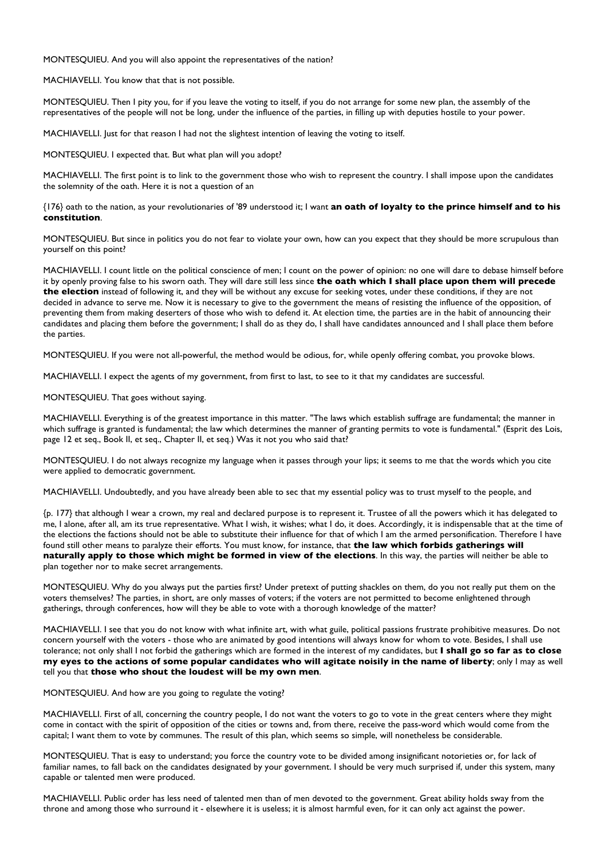MONTESQUIEU. And you will also appoint the representatives of the nation?

MACHIAVELLI. You know that that is not possible.

MONTESQUIEU. Then I pity you, for if you leave the voting to itself, if you do not arrange for some new plan, the assembly of the representatives of the people will not be long, under the influence of the parties, in filling up with deputies hostile to your power.

MACHIAVELLI. Just for that reason I had not the slightest intention of leaving the voting to itself.

MONTESQUIEU. I expected that. But what plan will you adopt?

MACHIAVELLI. The first point is to link to the government those who wish to represent the country. I shall impose upon the candidates the solemnity of the oath. Here it is not a question of an

{176} oath to the nation, as your revolutionaries of '89 understood it; I want **an oath of loyalty to the prince himself and to his constitution**.

MONTESQUIEU. But since in politics you do not fear to violate your own, how can you expect that they should be more scrupulous than yourself on this point?

MACHIAVELLI. I count little on the political conscience of men; I count on the power of opinion: no one will dare to debase himself before it by openly proving false to his sworn oath. They will dare still less since **the oath which I shall place upon them will precede the election** instead of following it, and they will be without any excuse for seeking votes, under these conditions, if they are not decided in advance to serve me. Now it is necessary to give to the government the means of resisting the influence of the opposition, of preventing them from making deserters of those who wish to defend it. At election time, the parties are in the habit of announcing their candidates and placing them before the government; I shall do as they do, I shall have candidates announced and I shall place them before the parties.

MONTESQUIEU. If you were not all-powerful, the method would be odious, for, while openly offering combat, you provoke blows.

MACHIAVELLI. I expect the agents of my government, from first to last, to see to it that my candidates are successful.

# MONTESQUIEU. That goes without saying.

MACHIAVELLI. Everything is of the greatest importance in this matter. "The laws which establish suffrage are fundamental; the manner in which suffrage is granted is fundamental; the law which determines the manner of granting permits to vote is fundamental." (Esprit des Lois, page 12 et seq., Book II, et seq., Chapter II, et seq.) Was it not you who said that?

MONTESQUIEU. I do not always recognize my language when it passes through your lips; it seems to me that the words which you cite were applied to democratic government.

MACHIAVELLI. Undoubtedly, and you have already been able to sec that my essential policy was to trust myself to the people, and

{p. 177} that although I wear a crown, my real and declared purpose is to represent it. Trustee of all the powers which it has delegated to me, I alone, after all, am its true representative. What I wish, it wishes; what I do, it does. Accordingly, it is indispensable that at the time of the elections the factions should not be able to substitute their influence for that of which I am the armed personification. Therefore I have found still other means to paralyze their efforts. You must know, for instance, that **the law which forbids gatherings will naturally apply to those which might be formed in view of the elections**. In this way, the parties will neither be able to plan together nor to make secret arrangements.

MONTESQUIEU. Why do you always put the parties first? Under pretext of putting shackles on them, do you not really put them on the voters themselves? The parties, in short, are only masses of voters; if the voters are not permitted to become enlightened through gatherings, through conferences, how will they be able to vote with a thorough knowledge of the matter?

MACHIAVELLI. I see that you do not know with what infinite art, with what guile, political passions frustrate prohibitive measures. Do not concern yourself with the voters - those who are animated by good intentions will always know for whom to vote. Besides, I shall use tolerance; not only shall I not forbid the gatherings which are formed in the interest of my candidates, but **I shall go so far as to close my eyes to the actions of some popular candidates who will agitate noisily in the name of liberty**; only I may as well tell you that **those who shout the loudest will be my own men**.

#### MONTESQUIEU. And how are you going to regulate the voting?

MACHIAVELLI. First of all, concerning the country people, I do not want the voters to go to vote in the great centers where they might come in contact with the spirit of opposition of the cities or towns and, from there, receive the pass-word which would come from the capital; I want them to vote by communes. The result of this plan, which seems so simple, will nonetheless be considerable.

MONTESQUIEU. That is easy to understand; you force the country vote to be divided among insignificant notorieties or, for lack of familiar names, to fall back on the candidates designated by your government. I should be very much surprised if, under this system, many capable or talented men were produced.

MACHIAVELLI. Public order has less need of talented men than of men devoted to the government. Great ability holds sway from the throne and among those who surround it - elsewhere it is useless; it is almost harmful even, for it can only act against the power.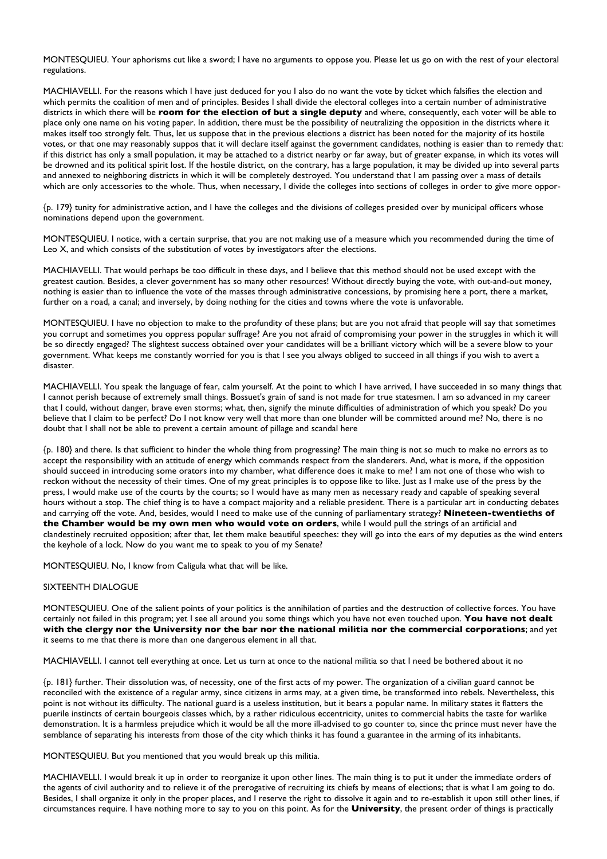MONTESQUIEU. Your aphorisms cut like a sword; I have no arguments to oppose you. Please let us go on with the rest of your electoral regulations.

MACHIAVELLI. For the reasons which I have just deduced for you I also do no want the vote by ticket which falsifies the election and which permits the coalition of men and of principles. Besides I shall divide the electoral colleges into a certain number of administrative districts in which there will be **room for the election of but a single deputy** and where, consequently, each voter will be able to place only one name on his voting paper. In addition, there must be the possibility of neutralizing the opposition in the districts where it makes itself too strongly felt. Thus, let us suppose that in the previous elections a district has been noted for the majority of its hostile votes, or that one may reasonably suppos that it will declare itself against the government candidates, nothing is easier than to remedy that: if this district has only a small population, it may be attached to a district nearby or far away, but of greater expanse, in which its votes will be drowned and its political spirit lost. If the hostile district, on the contrary, has a large population, it may be divided up into several parts and annexed to neighboring districts in which it will be completely destroyed. You understand that I am passing over a mass of details which are only accessories to the whole. Thus, when necessary, I divide the colleges into sections of colleges in order to give more oppor-

{p. 179} tunity for administrative action, and I have the colleges and the divisions of colleges presided over by municipal officers whose nominations depend upon the government.

MONTESQUIEU. I notice, with a certain surprise, that you are not making use of a measure which you recommended during the time of Leo X, and which consists of the substitution of votes by investigators after the elections.

MACHIAVELLI. That would perhaps be too difficult in these days, and I believe that this method should not be used except with the greatest caution. Besides, a clever government has so many other resources! Without directly buying the vote, with out-and-out money, nothing is easier than to influence the vote of the masses through administrative concessions, by promising here a port, there a market, further on a road, a canal; and inversely, by doing nothing for the cities and towns where the vote is unfavorable.

MONTESQUIEU. I have no objection to make to the profundity of these plans; but are you not afraid that people will say that sometimes you corrupt and sometimes you oppress popular suffrage? Are you not afraid of compromising your power in the struggles in which it will be so directly engaged? The slightest success obtained over your candidates will be a brilliant victory which will be a severe blow to your government. What keeps me constantly worried for you is that I see you always obliged to succeed in all things if you wish to avert a disaster.

MACHIAVELLI. You speak the language of fear, calm yourself. At the point to which I have arrived, I have succeeded in so many things that I cannot perish because of extremely small things. Bossuet's grain of sand is not made for true statesmen. I am so advanced in my career that I could, without danger, brave even storms; what, then, signify the minute difficulties of administration of which you speak? Do you believe that I claim to be perfect? Do I not know very well that more than one blunder will be committed around me? No, there is no doubt that I shall not be able to prevent a certain amount of pillage and scandal here

{p. 180} and there. Is that sufficient to hinder the whole thing from progressing? The main thing is not so much to make no errors as to accept the responsibility with an attitude of energy which commands respect from the slanderers. And, what is more, if the opposition should succeed in introducing some orators into my chamber, what difference does it make to me? I am not one of those who wish to reckon without the necessity of their times. One of my great principles is to oppose like to like. Just as I make use of the press by the press, I would make use of the courts by the courts; so I would have as many men as necessary ready and capable of speaking several hours without a stop. The chief thing is to have a compact majority and a reliable president. There is a particular art in conducting debates and carrying off the vote. And, besides, would I need to make use of the cunning of parliamentary strategy? **Nineteen-twentieths of the Chamber would be my own men who would vote on orders**, while I would pull the strings of an artificial and clandestinely recruited opposition; after that, let them make beautiful speeches: they will go into the ears of my deputies as the wind enters the keyhole of a lock. Now do you want me to speak to you of my Senate?

MONTESQUIEU. No, I know from Caligula what that will be like.

# SIXTEENTH DIALOGUE

MONTESQUIEU. One of the salient points of your politics is the annihilation of parties and the destruction of collective forces. You have certainly not failed in this program; yet I see all around you some things which you have not even touched upon. **You have not dealt with the clergy nor the University nor the bar nor the national militia nor the commercial corporations**; and yet it seems to me that there is more than one dangerous element in all that.

MACHIAVELLI. I cannot tell everything at once. Let us turn at once to the national militia so that I need be bothered about it no

{p. 181} further. Their dissolution was, of necessity, one of the first acts of my power. The organization of a civilian guard cannot be reconciled with the existence of a regular army, since citizens in arms may, at a given time, be transformed into rebels. Nevertheless, this point is not without its difficulty. The national guard is a useless institution, but it bears a popular name. In military states it flatters the puerile instincts of certain bourgeois classes which, by a rather ridiculous eccentricity, unites to commercial habits the taste for warlike demonstration. It is a harmless prejudice which it would be all the more ill-advised to go counter to, since thc prince must never have the semblance of separating his interests from those of the city which thinks it has found a guarantee in the arming of its inhabitants.

MONTESQUIEU. But you mentioned that you would break up this militia.

MACHIAVELLI. I would break it up in order to reorganize it upon other lines. The main thing is to put it under the immediate orders of the agents of civil authority and to relieve it of the prerogative of recruiting its chiefs by means of elections; that is what I am going to do. Besides, I shall organize it only in the proper places, and I reserve the right to dissolve it again and to re-establish it upon still other lines, if circumstances require. I have nothing more to say to you on this point. As for the **University**, the present order of things is practically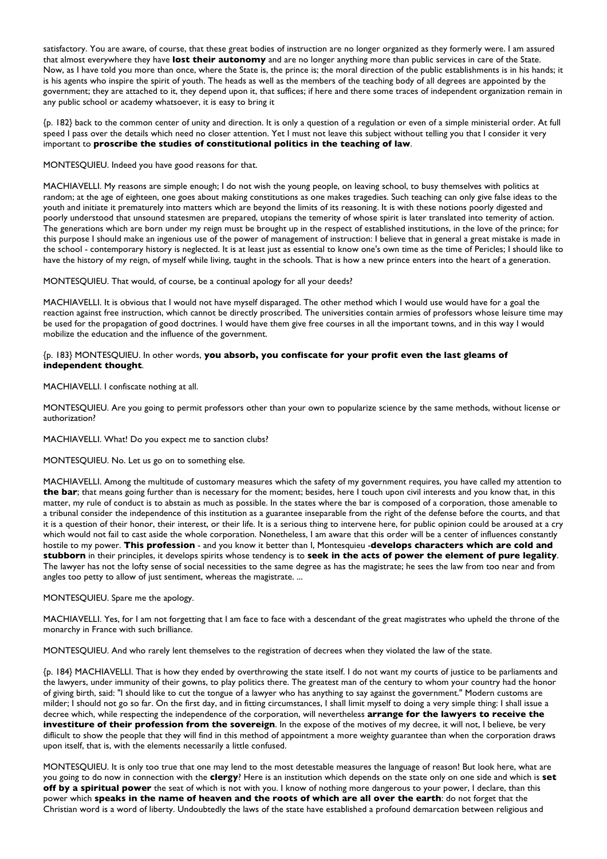satisfactory. You are aware, of course, that these great bodies of instruction are no longer organized as they formerly were. I am assured that almost everywhere they have **lost their autonomy** and are no longer anything more than public services in care of the State. Now, as I have told you more than once, where the State is, the prince is; the moral direction of the public establishments is in his hands; it is his agents who inspire the spirit of youth. The heads as well as the members of the teaching body of all degrees are appointed by the government; they are attached to it, they depend upon it, that suffices; if here and there some traces of independent organization remain in any public school or academy whatsoever, it is easy to bring it

{p. 182} back to the common center of unity and direction. It is only a question of a regulation or even of a simple ministerial order. At full speed I pass over the details which need no closer attention. Yet I must not leave this subject without telling you that I consider it very important to **proscribe the studies of constitutional politics in the teaching of law**.

MONTESQUIEU. Indeed you have good reasons for that.

MACHIAVELLI. My reasons are simple enough; I do not wish the young people, on leaving school, to busy themselves with politics at random; at the age of eighteen, one goes about making constitutions as one makes tragedies. Such teaching can only give false ideas to the youth and initiate it prematurely into matters which are beyond the limits of its reasoning. It is with these notions poorly digested and poorly understood that unsound statesmen are prepared, utopians the temerity of whose spirit is later translated into temerity of action. The generations which are born under my reign must be brought up in the respect of established institutions, in the love of the prince; for this purpose I should make an ingenious use of the power of management of instruction: I believe that in general a great mistake is made in the school - contemporary history is neglected. It is at least just as essential to know one's own time as the time of Pericles; I should like to have the history of my reign, of myself while living, taught in the schools. That is how a new prince enters into the heart of a generation.

MONTESQUIEU. That would, of course, be a continual apology for all your deeds?

MACHIAVELLI. It is obvious that I would not have myself disparaged. The other method which I would use would have for a goal the reaction against free instruction, which cannot be directly proscribed. The universities contain armies of professors whose leisure time may be used for the propagation of good doctrines. I would have them give free courses in all the important towns, and in this way I would mobilize the education and the influence of the government.

# {p. 183} MONTESQUIEU. In other words, **you absorb, you confiscate for your profit even the last gleams of independent thought**.

MACHIAVELLI. I confiscate nothing at all.

MONTESQUIEU. Are you going to permit professors other than your own to popularize science by the same methods, without license or authorization?

MACHIAVELLI. What! Do you expect me to sanction clubs?

MONTESQUIEU. No. Let us go on to something else.

MACHIAVELLI. Among the multitude of customary measures which the safety of my government requires, you have called my attention to **the bar**; that means going further than is necessary for the moment; besides, here I touch upon civil interests and you know that, in this matter, my rule of conduct is to abstain as much as possible. In the states where the bar is composed of a corporation, those amenable to a tribunal consider the independence of this institution as a guarantee inseparable from the right of the defense before the courts, and that it is a question of their honor, their interest, or their life. It is a serious thing to intervene here, for public opinion could be aroused at a cry which would not fail to cast aside the whole corporation. Nonetheless, I am aware that this order will be a center of influences constantly hostile to my power. **This profession** - and you know it better than I, Montesquieu -**develops characters which are cold and stubborn** in their principles, it develops spirits whose tendency is to **seek in the acts of power the element of pure legality**. The lawyer has not the lofty sense of social necessities to the same degree as has the magistrate; he sees the law from too near and from angles too petty to allow of just sentiment, whereas the magistrate. ...

MONTESQUIEU. Spare me the apology.

MACHIAVELLI. Yes, for I am not forgetting that I am face to face with a descendant of the great magistrates who upheld the throne of the monarchy in France with such brilliance.

MONTESQUIEU. And who rarely lent themselves to the registration of decrees when they violated the law of the state.

{p. 184} MACHIAVELLI. That is how they ended by overthrowing the state itself. I do not want my courts of justice to be parliaments and the lawyers, under immunity of their gowns, to play politics there. The greatest man of the century to whom your country had the honor of giving birth, said: "I should like to cut the tongue of a lawyer who has anything to say against the government." Modern customs are milder; I should not go so far. On the first day, and in fitting circumstances, I shall limit myself to doing a very simple thing: I shall issue a decree which, while respecting the independence of the corporation, will nevertheless **arrange for the lawyers to receive the investiture of their profession from the sovereign**. In the expose of the motives of my decree, it will not, I believe, be very diflicult to show the people that they will find in this method of appointment a more weighty guarantee than when the corporation draws upon itself, that is, with the elements necessarily a little confused.

MONTESQUIEU. It is only too true that one may lend to the most detestable measures the language of reason! But look here, what are you going to do now in connection with the **clergy**? Here is an institution which depends on the state only on one side and which is **set off by a spiritual power** the seat of which is not with you. I know of nothing more dangerous to your power, I declare, than this power which **speaks in the name of heaven and the roots of which are all over the earth**: do not forget that the Christian word is a word of liberty. Undoubtedly the laws of the state have established a profound demarcation between religious and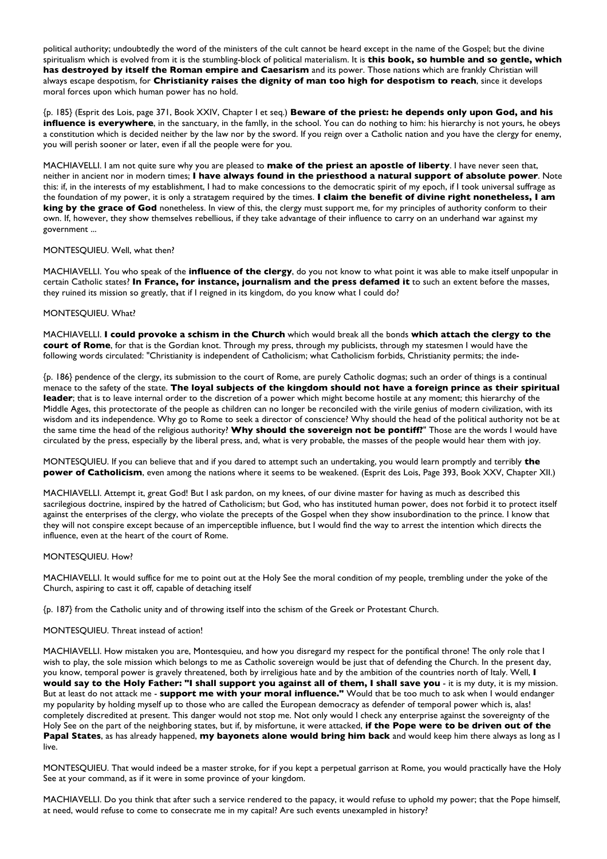political authority; undoubtedly the word of the ministers of the cult cannot be heard except in the name of the Gospel; but the divine spiritualism which is evolved from it is the stumbling-block of political materialism. It is **this book, so humble and so gentle, which has destroyed by itself the Roman empire and Caesarism** and its power. Those nations which are frankly Christian will always escape despotism, for **Christianity raises the dignity of man too high for despotism to reach**, since it develops moral forces upon which human power has no hold.

{p. 185} (Esprit des Lois, page 371, Book XXIV, Chapter I et seq.) **Beware of the priest: he depends only upon God, and his influence is everywhere**, in the sanctuary, in the famlly, in the school. You can do nothing to him: his hierarchy is not yours, he obeys a constitution which is decided neither by the law nor by the sword. If you reign over a Catholic nation and you have the clergy for enemy, you will perish sooner or later, even if all the people were for you.

MACHIAVELLI. I am not quite sure why you are pleased to **make of the priest an apostle of liberty**. I have never seen that, neither in ancient nor in modern times; **I have always found in the priesthood a natural support of absolute power**. Note this: if, in the interests of my establishment, I had to make concessions to the democratic spirit of my epoch, if I took universal suffrage as the foundation of my power, it is only a stratagem required by the times. **I claim the benefit of divine right nonetheless, I am king by the grace of God** nonetheless. In view of this, the clergy must support me, for my principles of authority conform to their own. If, however, they show themselves rebellious, if they take advantage of their influence to carry on an underhand war against my government ...

# MONTESQUIEU. Well, what then?

MACHIAVELLI. You who speak of the **influence of the clergy**, do you not know to what point it was able to make itself unpopular in certain Catholic states? **In France, for instance, journalism and the press defamed it** to such an extent before the masses, they ruined its mission so greatly, that if I reigned in its kingdom, do you know what I could do?

# MONTESQUIEU. What?

MACHIAVELLI. **I could provoke a schism in the Church** which would break all the bonds **which attach the clergy to the court of Rome**, for that is the Gordian knot. Through my press, through my publicists, through my statesmen I would have the following words circulated: "Christianity is independent of Catholicism; what Catholicism forbids, Christianity permits; the inde-

{p. 186} pendence of the clergy, its submission to the court of Rome, are purely Catholic dogmas; such an order of things is a continual menace to the safety of the state. **The loyal subjects of the kingdom should not have a foreign prince as their spiritual leader**; that is to leave internal order to the discretion of a power which might become hostile at any moment; this hierarchy of the Middle Ages, this protectorate of the people as children can no longer be reconciled with the virile genius of modern civilization, with its wisdom and its independence. Why go to Rome to seek a director of conscience? Why should the head of the political authority not be at the same time the head of the religious authority? **Why should the sovereign not be pontiff?**" Those are the words I would have circulated by the press, especially by the liberal press, and, what is very probable, the masses of the people would hear them with joy.

MONTESQUIEU. If you can believe that and if you dared to attempt such an undertaking, you would learn promptly and terribly **the power of Catholicism**, even among the nations where it seems to be weakened. (Esprit des Lois, Page 393, Book XXV, Chapter XII.)

MACHIAVELLI. Attempt it, great God! But I ask pardon, on my knees, of our divine master for having as much as described this sacrilegious doctrine, inspired by the hatred of Catholicism; but God, who has instituted human power, does not forbid it to protect itself against the enterprises of the clergy, who violate the precepts of the Gospel when they show insubordination to the prince. I know that they will not conspire except because of an imperceptible influence, but I would find the way to arrest the intention which directs the influence, even at the heart of the court of Rome.

# MONTESQUIEU. How?

MACHIAVELLI. It would suffice for me to point out at the Holy See the moral condition of my people, trembling under the yoke of the Church, aspiring to cast it off, capable of detaching itself

{p. 187} from the Catholic unity and of throwing itself into the schism of the Greek or Protestant Church.

# MONTESQUIEU. Threat instead of action!

MACHIAVELLI. How mistaken you are, Montesquieu, and how you disregard my respect for the pontifical throne! The only role that I wish to play, the sole mission which belongs to me as Catholic sovereign would be just that of defending the Church. In the present day, you know, temporal power is gravely threatened, both by irreligious hate and by the ambition of the countries north of Italy. Well, **I would say to the Holy Father: "I shall support you against all of them, I shall save you** - it is my duty, it is my mission. But at least do not attack me - **support me with your moral influence."** Would that be too much to ask when I would endanger my popularity by holding myself up to those who are called the European democracy as defender of temporal power which is, alas! completely discredited at present. This danger would not stop me. Not only would I check any enterprise against the sovereignty of the Holy See on the part of the neighboring states, but if, by misfortune, it were attacked, **if the Pope were to be driven out of the Papal States**, as has already happened, **my bayonets alone would bring him back** and would keep him there always as long as I live.

MONTESQUIEU. That would indeed be a master stroke, for if you kept a perpetual garrison at Rome, you would practically have the Holy See at your command, as if it were in some province of your kingdom.

MACHIAVELLI. Do you think that after such a service rendered to the papacy, it would refuse to uphold my power; that the Pope himself, at need, would refuse to come to consecrate me in my capital? Are such events unexampled in history?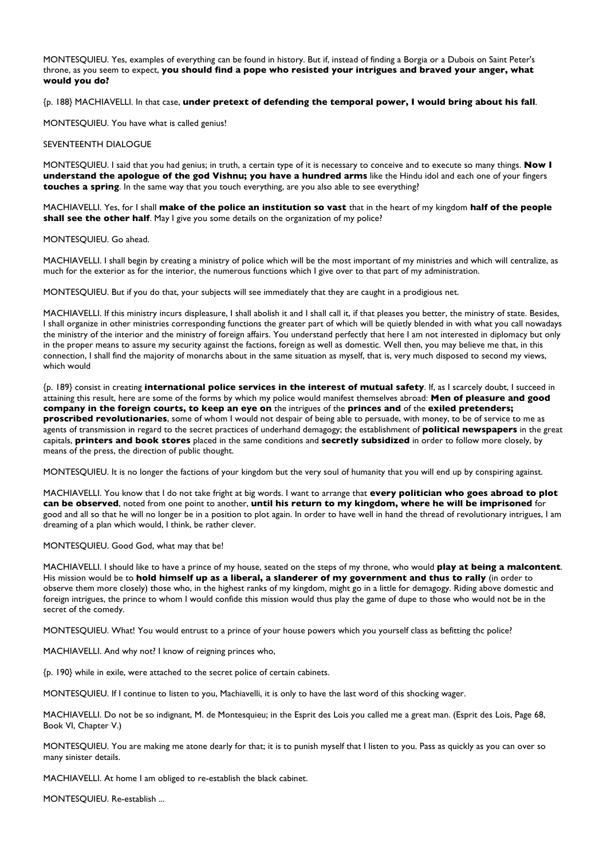MONTESQUIEU. Yes, examples of everything can be found in history. But if, instead of finding a Borgia or a Dubois on Saint Peter's throne, as you seem to expect, **you should find a pope who resisted your intrigues and braved your anger, what would you do?** 

## {p. 188} MACHIAVELLI. In that case, **under pretext of defending the temporal power, I would bring about his fall**.

MONTESQUIEU. You have what is called genius!

SEVENTEENTH DIALOGUE

MONTESQUIEU. I said that you had genius; in truth, a certain type of it is necessary to conceive and to execute so many things. **Now I understand the apologue of the god Vishnu; you have a hundred arms** like the Hindu idol and each one of your fingers **touches a spring**. In the same way that you touch everything, are you also able to see everything?

MACHIAVELLI. Yes, for I shall **make of the police an institution so vast** that in the heart of my kingdom **half of the people**  shall see the other half. May I give you some details on the organization of my police?

MONTESQUIEU. Go ahead.

MACHIAVELLI. I shall begin by creating a ministry of police which will be the most important of my ministries and which will centralize, as much for the exterior as for the interior, the numerous functions which I give over to that part of my administration.

MONTESQUIEU. But if you do that, your subjects will see immediately that they are caught in a prodigious net.

MACHIAVELLI. If this ministry incurs displeasure, I shall abolish it and I shall call it, if that pleases you better, the ministry of state. Besides, I shall organize in other ministries corresponding functions the greater part of which will be quietly blended in with what you call nowadays the ministry of the interior and the ministry of foreign affairs. You understand perfectly that here I am not interested in diplomacy but only in the proper means to assure my security against the factions, foreign as well as domestic. Well then, you may believe me that, in this connection, I shall find the majority of monarchs about in the same situation as myself, that is, very much disposed to second my views, which would

{p. 189} consist in creating **international police services in the interest of mutual safety**. If, as I scarcely doubt, I succeed in attaining this result, here are some of the forms by which my police would manifest themselves abroad: **Men of pleasure and good company in the foreign courts, to keep an eye on** the intrigues of the **princes and** of the **exiled pretenders; proscribed revolutionaries**, some of whom I would not despair of being able to persuade, with money, to be of service to me as agents of transmission in regard to the secret practices of underhand demagogy; the establishment of **political newspapers** in the great capitals, **printers and book stores** placed in the same conditions and **secretly subsidized** in order to follow more closely, by means of the press, the direction of public thought.

MONTESQUIEU. It is no longer the factions of your kingdom but the very soul of humanity that you will end up by conspiring against.

MACHIAVELLI. You know that I do not take fright at big words. I want to arrange that **every politician who goes abroad to plot can be observed**, noted from one point to another, **until his return to my kingdom, where he will be imprisoned** for good and all so that he will no longer be in a position to plot again. In order to have well in hand the thread of revolutionary intrigues, I am dreaming of a plan which would, I think, be rather clever.

MONTESQUIEU. Good God, what may that be!

MACHIAVELLI. I should like to have a prince of my house, seated on the steps of my throne, who would **play at being a malcontent**. His mission would be to **hold himself up as a liberal, a slanderer of my government and thus to rally** (in order to observe them more closely) those who, in the highest ranks of my kingdom, might go in a little for demagogy. Riding above domestic and foreign intrigues, the prince to whom I would confide this mission would thus play the game of dupe to those who would not be in the secret of the comedy.

MONTESQUIEU. What! You would entrust to a prince of your house powers which you yourself class as befitting thc police?

MACHIAVELLI. And why not? I know of reigning princes who,

{p. 190} while in exile, were attached to the secret police of certain cabinets.

MONTESQUIEU. If I continue to listen to you, Machiavelli, it is only to have the last word of this shocking wager.

MACHIAVELLI. Do not be so indignant, M. de Montesquieu; in the Esprit des Lois you called me a great man. (Esprit des Lois, Page 68, Book VI, Chapter V.)

MONTESQUIEU. You are making me atone dearly for that; it is to punish myself that I listen to you. Pass as quickly as you can over so many sinister details.

MACHIAVELLI. At home I am obliged to re-establish the black cabinet.

MONTESQUIEU. Re-establish ...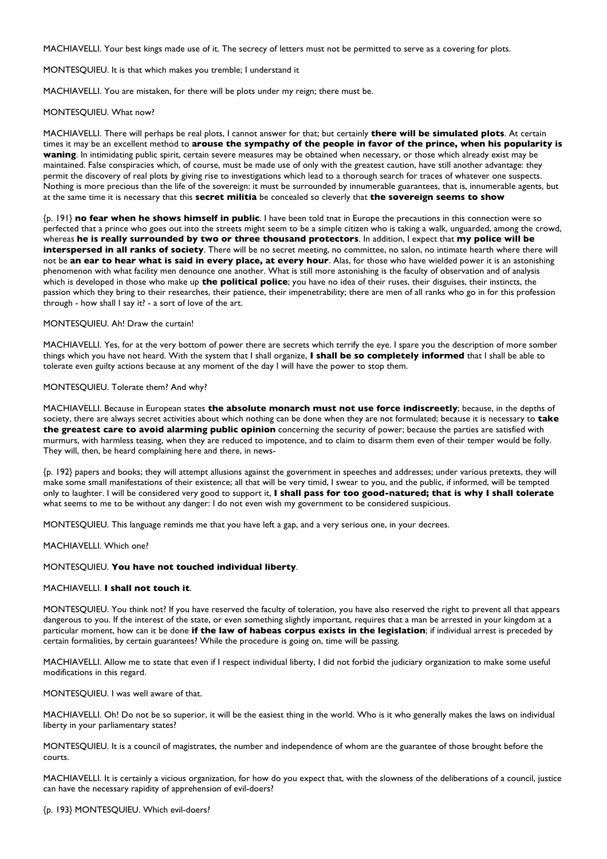MACHIAVELLI. Your best kings made use of it. The secrecy of letters must not be permitted to serve as a covering for plots.

MONTESQUIEU. It is that which makes you tremble; I understand it

MACHIAVELLI. You are mistaken, for there will be plots under my reign; there must be.

#### MONTESQUIEU. What now?

MACHIAVELLI. There will perhaps be real plots, I cannot answer for that; but certainly **there will be simulated plots**. At certain times it may be an excellent method to **arouse the sympathy of the people in favor of the prince, when his popularity is waning**. In intimidating public spirit, certain severe measures may be obtained when necessary, or those which already exist may be maintained. False conspiracies which, of course, must be made use of only with the greatest caution, have still another advantage: they permit the discovery of real plots by giving rise to investigations which lead to a thorough search for traces of whatever one suspects. Nothing is more precious than the life of the sovereign: it must be surrounded by innumerable guarantees, that is, innumerable agents, but at the same time it is necessary that this **secret militia** be concealed so cleverly that **the sovereign seems to show** 

{p. 191} **no fear when he shows himself in public**. I have been told tnat in Europe the precautions in this connection were so perfected that a prince who goes out into the streets might seem to be a simple citizen who is taking a walk, unguarded, among the crowd, whereas **he is really surrounded by two or three thousand protectors**. In addition, I expect that **my police will be interspersed in all ranks of society**. There will be no secret meeting, no committee, no salon, no intimate hearth where there will not be **an ear to hear what is said in every place, at every hour**. Alas, for those who have wielded power it is an astonishing phenomenon with what facility men denounce one another. What is still more astonishing is the faculty of observation and of analysis which is developed in those who make up **the political police**; you have no idea of their ruses, their disguises, their instincts, the passion which they bring to their researches, their patience, their impenetrability; there are men of all ranks who go in for this profession through - how shall I say it? - a sort of love of the art.

### MONTESQUIEU. Ah! Draw the curtain!

MACHIAVELLI. Yes, for at the very bottom of power there are secrets which terrify the eye. I spare you the description of more somber things which you have not heard. With the system that I shall organize, **I shall be so completely informed** that I shall be able to tolerate even guilty actions because at any moment of the day I will have the power to stop them.

### MONTESQUIEU. Tolerate them? And why?

MACHIAVELLI. Because in European states **the absolute monarch must not use force indiscreetly**; because, in the depths of society, there are always secret activities about which nothing can be done when they are not formulated; because it is necessary to **take the greatest care to avoid alarming public opinion** concerning the security of power; because the parties are satisfied with murmurs, with harmless teasing, when they are reduced to impotence, and to claim to disarm them even of their temper would be folly. They will, then, be heard complaining here and there, in news-

{p. 192} papers and books; they will attempt allusions against the government in speeches and addresses; under various pretexts, they will make some small manifestations of their existence; all that will be very timid, I swear to you, and the public, if informed, will be tempted only to laughter. I will be considered very good to support it, **I shall pass for too good-natured; that is why I shall tolerate** what seems to me to be without any danger: I do not even wish my government to be considered suspicious.

MONTESQUIEU. This language reminds me that you have left a gap, and a very serious one, in your decrees.

MACHIAVELLI. Which one?

### MONTESQUIEU. **You have not touched individual liberty**.

#### MACHIAVELLI. **I shall not touch it**.

MONTESQUIEU. You think not? If you have reserved the faculty of toleration, you have also reserved the right to prevent all that appears dangerous to you. If the interest of the state, or even something slightly important, requires that a man be arrested in your kingdom at a particular moment, how can it be done **if the law of habeas corpus exists in the legislation**; if individual arrest is preceded by certain formalities, by certain guarantees? While the procedure is going on, time will be passing.

MACHIAVELLI. Allow me to state that even if I respect individual liberty, I did not forbid the judiciary organization to make some useful modifications in this regard.

# MONTESQUIEU. I was well aware of that.

MACHIAVELLI. Oh! Do not be so superior, it will be the easiest thing in the world. Who is it who generally makes the laws on individual liberty in your parliamentary states?

MONTESQUIEU. It is a council of magistrates, the number and independence of whom are the guarantee of those brought before the courts.

MACHIAVELLI. It is certainly a vicious organization, for how do you expect that, with the slowness of the deliberations of a council, justice can have the necessary rapidity of apprehension of evil-doers?

### {p. 193} MONTESQUIEU. Which evil-doers?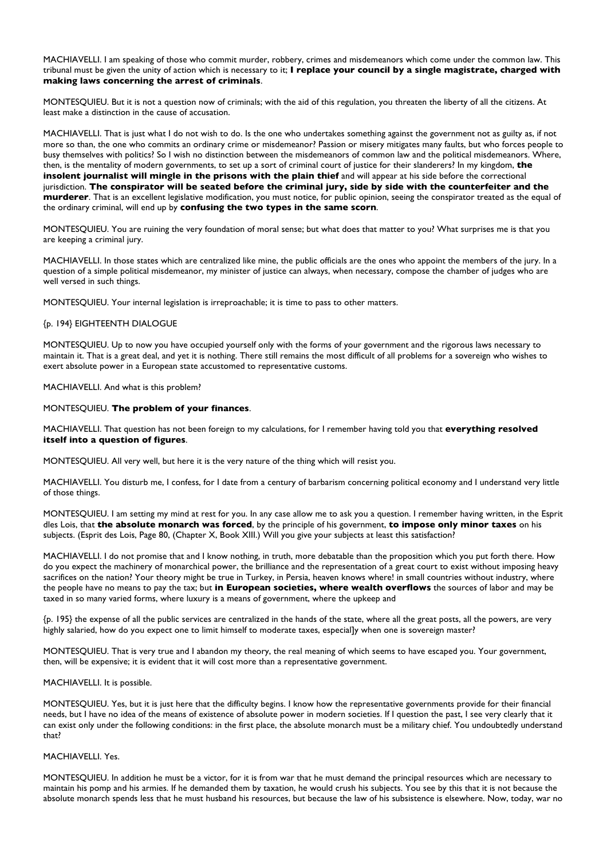MACHIAVELLI. I am speaking of those who commit murder, robbery, crimes and misdemeanors which come under the common law. This tribunal must be given the unity of action which is necessary to it; **I replace your council by a single magistrate, charged with making laws concerning the arrest of criminals**.

MONTESQUIEU. But it is not a question now of criminals; with the aid of this regulation, you threaten the liberty of all the citizens. At least make a distinction in the cause of accusation.

MACHIAVELLI. That is just what I do not wish to do. Is the one who undertakes something against the government not as guilty as, if not more so than, the one who commits an ordinary crime or misdemeanor? Passion or misery mitigates many faults, but who forces people to busy themselves with politics? So I wish no distinction between the misdemeanors of common law and the political misdemeanors. Where, then, is the mentality of modern governments, to set up a sort of criminal court of justice for their slanderers? In my kingdom, **the insolent journalist will mingle in the prisons with the plain thief** and will appear at his side before the correctional jurisdiction. **The conspirator will be seated before the criminal jury, side by side with the counterfeiter and the murderer**. That is an excellent legislative modification, you must notice, for public opinion, seeing the conspirator treated as the equal of the ordinary criminal, will end up by **confusing the two types in the same scorn**.

MONTESQUIEU. You are ruining the very foundation of moral sense; but what does that matter to you? What surprises me is that you are keeping a criminal jury.

MACHIAVELLI. In those states which are centralized like mine, the public officials are the ones who appoint the members of the jury. In a question of a simple political misdemeanor, my minister of justice can always, when necessary, compose the chamber of judges who are well versed in such things.

MONTESQUIEU. Your internal legislation is irreproachable; it is time to pass to other matters.

#### {p. 194} EIGHTEENTH DIALOGUE

MONTESQUIEU. Up to now you have occupied yourself only with the forms of your government and the rigorous laws necessary to maintain it. That is a great deal, and yet it is nothing. There still remains the most difficult of all problems for a sovereign who wishes to exert absolute power in a European state accustomed to representative customs.

## MACHIAVELLI. And what is this problem?

## MONTESQUIEU. **The problem of your finances**.

MACHIAVELLI. That question has not been foreign to my calculations, for I remember having told you that **everything resolved itself into a question of figures**.

MONTESQUIEU. All very well, but here it is the very nature of the thing which will resist you.

MACHIAVELLI. You disturb me, I confess, for I date from a century of barbarism concerning political economy and I understand very little of those things.

MONTESQUIEU. I am setting my mind at rest for you. In any case allow me to ask you a question. I remember having written, in the Esprit dles Lois, that **the absolute monarch was forced**, by the principle of his government, **to impose only minor taxes** on his subjects. (Esprit des Lois, Page 80, (Chapter X, Book XIII.) Will you give your subjects at least this satisfaction?

MACHIAVELLI. I do not promise that and I know nothing, in truth, more debatable than the proposition which you put forth there. How do you expect the machinery of monarchical power, the brilliance and the representation of a great court to exist without imposing heavy sacrifices on the nation? Your theory might be true in Turkey, in Persia, heaven knows where! in small countries without industry, where the people have no means to pay the tax; but **in European societies, where wealth overflows** the sources of labor and may be taxed in so many varied forms, where luxury is a means of government, where the upkeep and

{p. 195} the expense of all the public services are centralized in the hands of the state, where all the great posts, all the powers, are very highly salaried, how do you expect one to limit himself to moderate taxes, especial]y when one is sovereign master?

MONTESQUIEU. That is very true and I abandon my theory, the real meaning of which seems to have escaped you. Your government, then, will be expensive; it is evident that it will cost more than a representative government.

#### MACHIAVELLI. It is possible.

MONTESQUIEU. Yes, but it is just here that the difficulty begins. I know how the representative governments provide for their financial needs, but I have no idea of the means of existence of absolute power in modern societies. If I question the past, I see very clearly that it can exist only under the following conditions: in the first place, the absolute monarch must be a military chief. You undoubtedly understand that?

## MACHIAVELLI. Yes.

MONTESQUIEU. In addition he must be a victor, for it is from war that he must demand the principal resources which are necessary to maintain his pomp and his armies. If he demanded them by taxation, he would crush his subjects. You see by this that it is not because the absolute monarch spends less that he must husband his resources, but because the law of his subsistence is elsewhere. Now, today, war no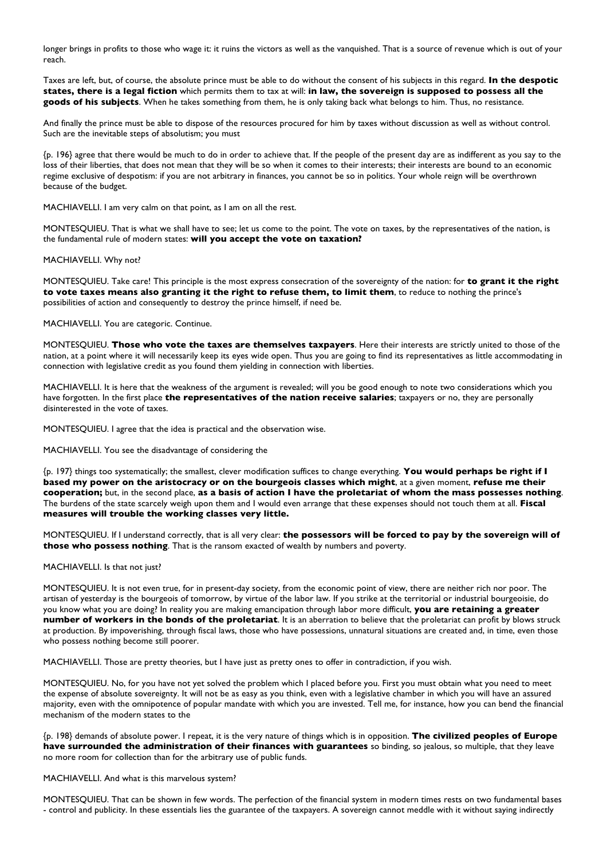longer brings in profits to those who wage it: it ruins the victors as well as the vanquished. That is a source of revenue which is out of your reach.

Taxes are left, but, of course, the absolute prince must be able to do without the consent of his subjects in this regard. **In the despotic states, there is a legal fiction** which permits them to tax at will: **in law, the sovereign is supposed to possess all the goods of his subjects**. When he takes something from them, he is only taking back what belongs to him. Thus, no resistance.

And finally the prince must be able to dispose of the resources procured for him by taxes without discussion as well as without control. Such are the inevitable steps of absolutism; you must

{p. 196} agree that there would be much to do in order to achieve that. If the people of the present day are as indifferent as you say to the loss of their liberties, that does not mean that they will be so when it comes to their interests; their interests are bound to an economic regime exclusive of despotism: if you are not arbitrary in finances, you cannot be so in politics. Your whole reign will be overthrown because of the budget.

MACHIAVELLI. I am very calm on that point, as I am on all the rest.

MONTESQUIEU. That is what we shall have to see; let us come to the point. The vote on taxes, by the representatives of the nation, is the fundamental rule of modern states: **will you accept the vote on taxation?** 

#### MACHIAVELLI. Why not?

MONTESQUIEU. Take care! This principle is the most express consecration of the sovereignty of the nation: for **to grant it the right to vote taxes means also granting it the right to refuse them, to limit them**, to reduce to nothing the prince's possibilities of action and consequently to destroy the prince himself, if need be.

#### MACHIAVELLI. You are categoric. Continue.

MONTESQUIEU. **Those who vote the taxes are themselves taxpayers**. Here their interests are strictly united to those of the nation, at a point where it will necessarily keep its eyes wide open. Thus you are going to find its representatives as little accommodating in connection with legislative credit as you found them yielding in connection with liberties.

MACHIAVELLI. It is here that the weakness of the argument is revealed; will you be good enough to note two considerations which you have forgotten. In the first place **the representatives of the nation receive salaries**; taxpayers or no, they are personally disinterested in the vote of taxes.

MONTESQUIEU. I agree that the idea is practical and the observation wise.

## MACHIAVELLI. You see the disadvantage of considering the

{p. 197} things too systematically; the smallest, clever modification suffices to change everything. **You would perhaps be right if I based my power on the aristocracy or on the bourgeois classes which might**, at a given moment, **refuse me their cooperation;** but, in the second place, **as a basis of action I have the proletariat of whom the mass possesses nothing**. The burdens of the state scarcely weigh upon them and I would even arrange that these expenses should not touch them at all. **Fiscal measures will trouble the working classes very little.** 

MONTESQUIEU. If I understand correctly, that is all very clear: **the possessors will be forced to pay by the sovereign will of those who possess nothing**. That is the ransom exacted of wealth by numbers and poverty.

#### MACHIAVELLI. Is that not just?

MONTESQUIEU. It is not even true, for in present-day society, from the economic point of view, there are neither rich nor poor. The artisan of yesterday is the bourgeois of tomorrow, by virtue of the labor law. If you strike at the territorial or industrial bourgeoisie, do you know what you are doing? In reality you are making emancipation through labor more difficult, **you are retaining a greater number of workers in the bonds of the proletariat**. It is an aberration to believe that the proletariat can profit by blows struck at production. By impoverishing, through fiscal laws, those who have possessions, unnatural situations are created and, in time, even those who possess nothing become still poorer.

MACHIAVELLI. Those are pretty theories, but I have just as pretty ones to offer in contradiction, if you wish.

MONTESQUIEU. No, for you have not yet solved the problem which I placed before you. First you must obtain what you need to meet the expense of absolute sovereignty. It will not be as easy as you think, even with a legislative chamber in which you will have an assured majority, even with the omnipotence of popular mandate with which you are invested. Tell me, for instance, how you can bend the financial mechanism of the modern states to the

{p. 198} demands of absolute power. I repeat, it is the very nature of things which is in opposition. **The civilized peoples of Europe have surrounded the administration of their finances with guarantees** so binding, so jealous, so multiple, that they leave no more room for collection than for the arbitrary use of public funds.

#### MACHIAVELLI. And what is this marvelous system?

MONTESQUIEU. That can be shown in few words. The perfection of the financial system in modern times rests on two fundamental bases - control and publicity. In these essentials lies the guarantee of the taxpayers. A sovereign cannot meddle with it without saying indirectly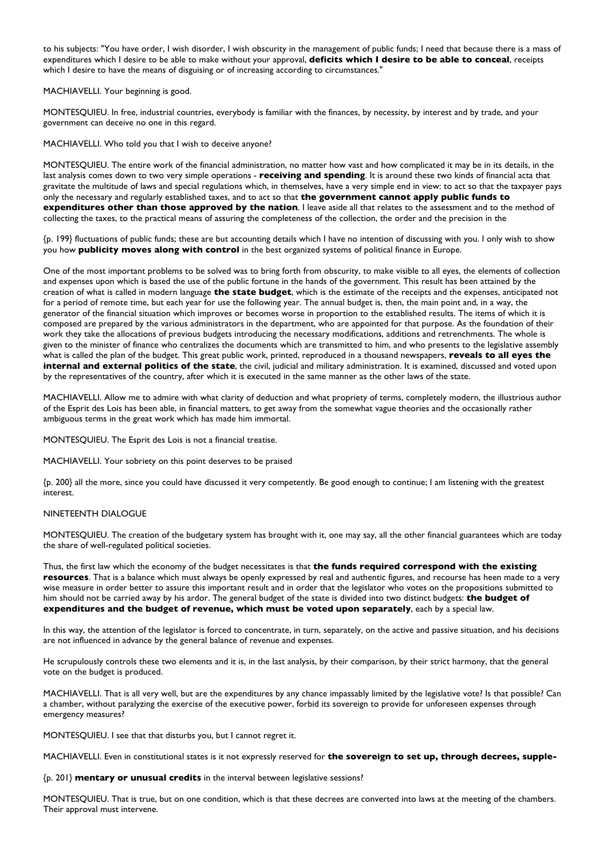to his subjects: "You have order, I wish disorder, I wish obscurity in the management of public funds; I need that because there is a mass of expenditures which I desire to be able to make without your approval, **deficits which I desire to be able to conceal**, receipts which I desire to have the means of disguising or of increasing according to circumstances."

MACHIAVELLI. Your beginning is good.

MONTESQUIEU. In free, industrial countries, everybody is familiar with the finances, by necessity, by interest and by trade, and your government can deceive no one in this regard.

MACHIAVELLI. Who told you that I wish to deceive anyone?

MONTESQUIEU. The entire work of the financial administration, no matter how vast and how complicated it may be in its details, in the last analysis comes down to two very simple operations - **receiving and spending**. It is around these two kinds of financial acta that gravitate the multitude of laws and special regulations which, in themselves, have a very simple end in view: to act so that the taxpayer pays only the necessary and regularly established taxes, and to act so that **the government cannot apply public funds to expenditures other than those approved by the nation**. I leave aside all that relates to the assessment and to the method of collecting the taxes, to the practical means of assuring the completeness of the collection, the order and the precision in the

{p. 199} fluctuations of public funds; these are but accounting details which I have no intention of discussing with you. I only wish to show you how **publicity moves along with control** in the best organized systems of political finance in Europe.

One of the most important problems to be solved was to bring forth from obscurity, to make visible to all eyes, the elements of collection and expenses upon which is based the use of the public fortune in the hands of the government. This result has been attained by the creation of what is called in modern language **the state budget**, which is the estimate of the receipts and the expenses, anticipated not for a period of remote time, but each year for use the following year. The annual budget is, then, the main point and, in a way, the generator of the financial situation which improves or becomes worse in proportion to the established results. The items of which it is composed are prepared by the various administrators in the department, who are appointed for that purpose. As the foundation of their work they take the allocations of previous budgets introducing the necessary modifications, additions and retrenchments. The whole is given to the minister of finance who centralizes the documents which are transmitted to him, and who presents to the legislative assembly what is called the plan of the budget. This great public work, printed, reproduced in a thousand newspapers, **reveals to all eyes the internal and external politics of the state**, the civil, judicial and military administration. It is examined, discussed and voted upon by the representatives of the country, after which it is executed in the same manner as the other laws of the state.

MACHIAVELLI. Allow me to admire with what clarity of deduction and what propriety of terms, completely modern, the illustrious author of the Esprit des Lois has been able, in financial matters, to get away from the somewhat vague theories and the occasionally rather ambiguous terms in the great work which has made him immortal.

MONTESQUIEU. The Esprit des Lois is not a financial treatise.

MACHIAVELLI. Your sobriety on this point deserves to be praised

{p. 200} all the more, since you could have discussed it very competently. Be good enough to continue; I am listening with the greatest interest.

# NINETEENTH DIALOGUE

MONTESQUIEU. The creation of the budgetary system has brought with it, one may say, all the other financial guarantees which are today the share of well-regulated political societies.

Thus, the first law which the economy of the budget necessitates is that **the funds required correspond with the existing resources**. That is a balance which must always be openly expressed by real and authentic figures, and recourse has heen made to a very wise measure in order better to assure this important result and in order that the legislator who votes on the propositions submitted to him should not be carried away by his ardor. The general budget of the state is divided into two distinct budgets: **the budget of expenditures and the budget of revenue, which must be voted upon separately**, each by a special law.

In this way, the attention of the legislator is forced to concentrate, in turn, separately, on the active and passive situation, and his decisions are not influenced in advance by the general balance of revenue and expenses.

He scrupulously controls these two elements and it is, in the last analysis, by their comparison, by their strict harmony, that the general vote on the budget is produced.

MACHIAVELLI. That is all very well, but are the expenditures by any chance impassably limited by the legislative vote? Is that possible? Can a chamber, without paralyzing the exercise of the executive power, forbid its sovereign to provide for unforeseen expenses through emergency measures?

MONTESQUIEU. I see that that disturbs you, but I cannot regret it.

MACHIAVELLI. Even in constitutional states is it not expressly reserved for **the sovereign to set up, through decrees, supple-**

{p. 201} **mentary or unusual credits** in the interval between legislative sessions?

MONTESQUIEU. That is true, but on one condition, which is that these decrees are converted into laws at the meeting of the chambers. Their approval must intervene.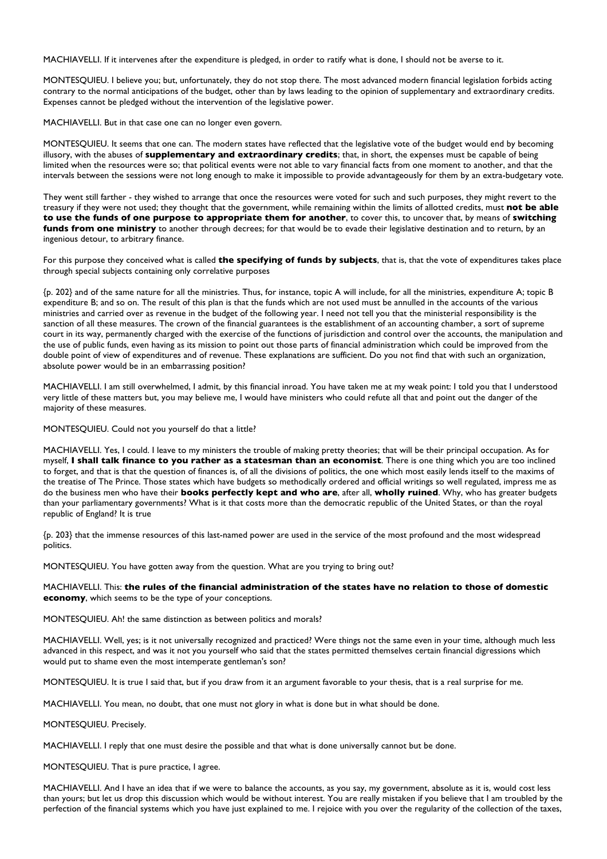MACHIAVELLI. If it intervenes after the expenditure is pledged, in order to ratify what is done, I should not be averse to it.

MONTESQUIEU. I believe you; but, unfortunately, they do not stop there. The most advanced modern financial legislation forbids acting contrary to the normal anticipations of the budget, other than by laws leading to the opinion of supplementary and extraordinary credits. Expenses cannot be pledged without the intervention of the legislative power.

MACHIAVELLI. But in that case one can no longer even govern.

MONTESQUIEU. It seems that one can. The modern states have reflected that the legislative vote of the budget would end by becoming illusory, with the abuses of **supplementary and extraordinary credits**; that, in short, the expenses must be capable of being limited when the resources were so; that political events were not able to vary financial facts from one moment to another, and that the intervals between the sessions were not long enough to make it impossible to provide advantageously for them by an extra-budgetary vote.

They went still farther - they wished to arrange that once the resources were voted for such and such purposes, they might revert to the treasury if they were not used; they thought that the government, while remaining within the limits of allotted credits, must **not be able to use the funds of one purpose to appropriate them for another**, to cover this, to uncover that, by means of **switching**  funds from one ministry to another through decrees; for that would be to evade their legislative destination and to return, by an ingenious detour, to arbitrary finance.

For this purpose they conceived what is called **the specifying of funds by subjects**, that is, that the vote of expenditures takes place through special subjects containing only correlative purposes

{p. 202} and of the same nature for all the ministries. Thus, for instance, topic A will include, for all the ministries, expenditure A; topic B expenditure B; and so on. The result of this plan is that the funds which are not used must be annulled in the accounts of the various ministries and carried over as revenue in the budget of the following year. I need not tell you that the ministerial responsibility is the sanction of all these measures. The crown of the financial guarantees is the establishment of an accounting chamber, a sort of supreme court in its way, permanently charged with the exercise of the functions of jurisdiction and control over the accounts, the manipulation and the use of public funds, even having as its mission to point out those parts of financial administration which could be improved from the double point of view of expenditures and of revenue. These explanations are sufficient. Do you not find that with such an organization, absolute power would be in an embarrassing position?

MACHIAVELLI. I am still overwhelmed, I admit, by this financial inroad. You have taken me at my weak point: I told you that I understood very little of these matters but, you may believe me, I would have ministers who could refute all that and point out the danger of the majority of these measures.

MONTESQUIEU. Could not you yourself do that a little?

MACHIAVELLI. Yes, I could. I leave to my ministers the trouble of making pretty theories; that will be their principal occupation. As for myself, **I shall talk finance to you rather as a statesman than an economist**. There is one thing which you are too inclined to forget, and that is that the question of finances is, of all the divisions of politics, the one which most easily lends itself to the maxims of the treatise of The Prince. Those states which have budgets so methodically ordered and official writings so well regulated, impress me as do the business men who have their **books perfectly kept and who are**, after all, **wholly ruined**. Why, who has greater budgets than your parliamentary governments? What is it that costs more than the democratic republic of the United States, or than the royal republic of England? It is true

{p. 203} that the immense resources of this last-named power are used in the service of the most profound and the most widespread politics.

MONTESQUIEU. You have gotten away from the question. What are you trying to bring out?

MACHIAVELLI. This: **the rules of the financial administration of the states have no relation to those of domestic economy**, which seems to be the type of your conceptions.

MONTESOUIEU. Ah! the same distinction as between politics and morals?

MACHIAVELLI. Well, yes; is it not universally recognized and practiced? Were things not the same even in your time, although much less advanced in this respect, and was it not you yourself who said that the states permitted themselves certain financial digressions which would put to shame even the most intemperate gentleman's son?

MONTESQUIEU. It is true I said that, but if you draw from it an argument favorable to your thesis, that is a real surprise for me.

MACHIAVELLI. You mean, no doubt, that one must not glory in what is done but in what should be done.

MONTESQUIEU. Precisely.

MACHIAVELLI. I reply that one must desire the possible and that what is done universally cannot but be done.

MONTESQUIEU. That is pure practice, I agree.

MACHIAVELLI. And I have an idea that if we were to balance the accounts, as you say, my government, absolute as it is, would cost less than yours; but let us drop this discussion which would be without interest. You are really mistaken if you believe that I am troubled by the perfection of the financial systems which you have just explained to me. I rejoice with you over the regularity of the collection of the taxes,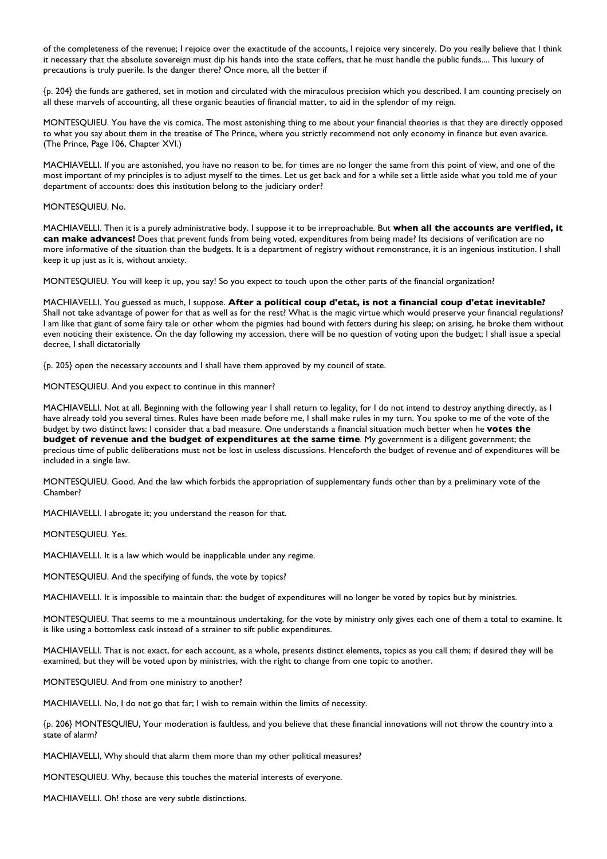of the completeness of the revenue; I rejoice over the exactitude of the accounts, I rejoice very sincerely. Do you really believe that I think it necessary that the absolute sovereign must dip his hands into the state coffers, that he must handle the public funds.... This luxury of precautions is truly puerile. Is the danger there? Once more, all the better if

{p. 204} the funds are gathered, set in motion and circulated with the miraculous precision which you described. I am counting precisely on all these marvels of accounting, all these organic beauties of financial matter, to aid in the splendor of my reign.

MONTESQUIEU. You have the vis comica. The most astonishing thing to me about your financial theories is that they are directly opposed to what you say about them in the treatise of The Prince, where you strictly recommend not only economy in finance but even avarice. (The Prince, Page 106, Chapter XVI.)

MACHIAVELLI. If you are astonished, you have no reason to be, for times are no longer the same from this point of view, and one of the most important of my principles is to adjust myself to the times. Let us get back and for a while set a little aside what you told me of your department of accounts: does this institution belong to the judiciary order?

## MONTESQUIEU. No.

MACHIAVELLI. Then it is a purely administrative body. I suppose it to be irreproachable. But **when all the accounts are verified, it can make advances!** Does that prevent funds from being voted, expenditures from being made? Its decisions of verification are no more informative of the situation than the budgets. It is a department of registry without remonstrance, it is an ingenious institution. I shall keep it up just as it is, without anxiety.

MONTESQUIEU. You will keep it up, you say! So you expect to touch upon the other parts of the financial organization?

MACHIAVELLI. You guessed as much, I suppose. **After a political coup d'etat, is not a financial coup d'etat inevitable?** Shall not take advantage of power for that as well as for the rest? What is the magic virtue which would preserve your financial regulations? I am like that giant of some fairy tale or other whom the pigmies had bound with fetters during his sleep; on arising, he broke them without even noticing their existence. On the day following my accession, there will be no question of voting upon the budget; I shall issue a special decree, I shall dictatorially

{p. 205} open the necessary accounts and I shall have them approved by my council of state.

MONTESOUIEU. And you expect to continue in this manner?

MACHIAVELLI. Not at all. Beginning with the following year I shall return to legality, for I do not intend to destroy anything directly, as I have already told you several times. Rules have been made before me, I shall make rules in my turn. You spoke to me of the vote of the budget by two distinct laws: I consider that a bad measure. One understands a financial situation much better when he **votes the budget of revenue and the budget of expenditures at the same time**. My government is a diligent government; the precious time of public deliberations must not be lost in useless discussions. Henceforth the budget of revenue and of expenditures will be included in a single law.

MONTESQUIEU. Good. And the law which forbids the appropriation of supplementary funds other than by a preliminary vote of the Chamber?

MACHIAVELLI. I abrogate it; you understand the reason for that.

MONTESQUIEU. Yes.

MACHIAVELLI. It is a law which would be inapplicable under any regime.

MONTESQUIEU. And the specifying of funds, the vote by topics?

MACHIAVELLI. It is impossible to maintain that: the budget of expenditures will no longer be voted by topics but by ministries.

MONTESQUIEU. That seems to me a mountainous undertaking, for the vote by ministry only gives each one of them a total to examine. It is like using a bottomless cask instead of a strainer to sift public expenditures.

MACHIAVELLI. That is not exact, for each account, as a whole, presents distinct elements, topics as you call them; if desired they will be examined, but they will be voted upon by ministries, with the right to change from one topic to another.

MONTESQUIEU. And from one ministry to another?

MACHIAVELLI. No, I do not go that far; I wish to remain within the limits of necessity.

{p. 206} MONTESQUIEU, Your moderation is faultless, and you believe that these financial innovations will not throw the country into a state of alarm?

MACHIAVELLI, Why should that alarm them more than my other political measures?

MONTESQUIEU. Why, because this touches the material interests of everyone.

MACHIAVELLI. Oh! those are very subtle distinctions.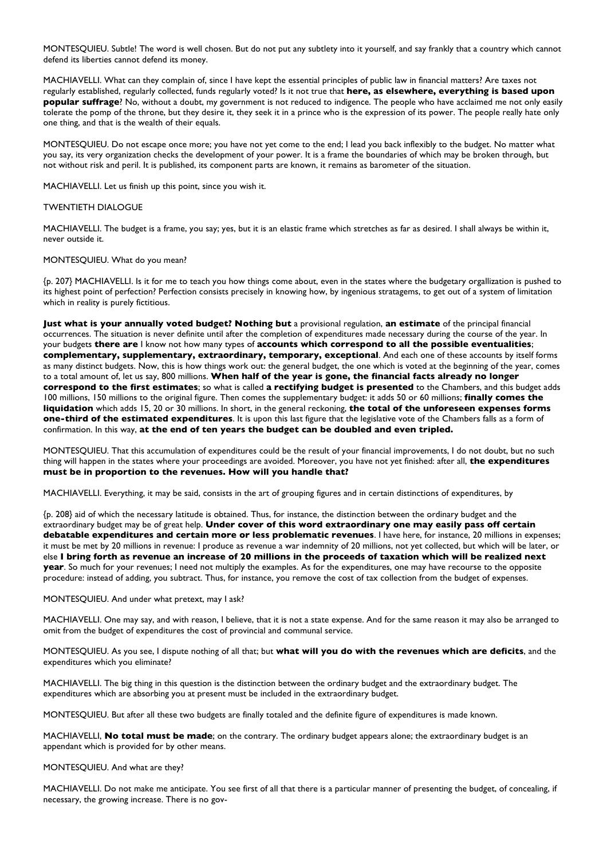MONTESQUIEU. Subtle! The word is well chosen. But do not put any subtlety into it yourself, and say frankly that a country which cannot defend its liberties cannot defend its money.

MACHIAVELLI. What can they complain of, since I have kept the essential principles of public law in financial matters? Are taxes not regularly established, regularly collected, funds regularly voted? Is it not true that **here, as elsewhere, everything is based upon popular suffrage**? No, without a doubt, my government is not reduced to indigence. The people who have acclaimed me not only easily tolerate the pomp of the throne, but they desire it, they seek it in a prince who is the expression of its power. The people really hate only one thing, and that is the wealth of their equals.

MONTESQUIEU. Do not escape once more; you have not yet come to the end; I lead you back inflexibly to the budget. No matter what you say, its very organization checks the development of your power. It is a frame the boundaries of which may be broken through, but not without risk and peril. It is published, its component parts are known, it remains as barometer of the situation.

MACHIAVELLI. Let us finish up this point, since you wish it.

## TWENTIETH DIALOGUE

MACHIAVELLI. The budget is a frame, you say; yes, but it is an elastic frame which stretches as far as desired. I shall always be within it, never outside it.

#### MONTESQUIEU. What do you mean?

{p. 207} MACHIAVELLI. Is it for me to teach you how things come about, even in the states where the budgetary orgallization is pushed to its highest point of perfection? Perfection consists precisely in knowing how, by ingenious stratagems, to get out of a system of limitation which in reality is purely fictitious.

**Just what is your annually voted budget? Nothing but** a provisional regulation, **an estimate** of the principal financial occurrences. The situation is never definite until after the completion of expenditures made necessary during the course of the year. In your budgets **there are** I know not how many types of **accounts which correspond to all the possible eventualities**; **complementary, supplementary, extraordinary, temporary, exceptional**. And each one of these accounts by itself forms as many distinct budgets. Now, this is how things work out: the general budget, the one which is voted at the beginning of the year, comes to a total amount of, let us say, 800 millions. **When half of the year is gone, the financial facts already no longer correspond to the first estimates**; so what is called **a rectifying budget is presented** to the Chambers, and this budget adds 100 millions, 150 millions to the original figure. Then comes the supplementary budget: it adds 50 or 60 millions; **finally comes the liquidation** which adds 15, 20 or 30 millions. In short, in the general reckoning, **the total of the unforeseen expenses forms one-third of the estimated expenditures**. It is upon this last figure that the legislative vote of the Chambers falls as a form of confirmation. In this way, **at the end of ten years the budget can be doubled and even tripled.**

MONTESQUIEU. That this accumulation of expenditures could be the result of your financial improvements, I do not doubt, but no such thing will happen in the states where your proceedings are avoided. Moreover, you have not yet finished: after all, **the expenditures must be in proportion to the revenues. How will you handle that?**

MACHIAVELLI. Everything, it may be said, consists in the art of grouping figures and in certain distinctions of expenditures, by

{p. 208} aid of which the necessary latitude is obtained. Thus, for instance, the distinction between the ordinary budget and the extraordinary budget may be of great help. **Under cover of this word extraordinary one may easily pass off certain debatable expenditures and certain more or less problematic revenues**. I have here, for instance, 20 millions in expenses; it must be met by 20 millions in revenue: I produce as revenue a war indemnity of 20 millions, not yet collected, but which will be later, or else **I bring forth as revenue an increase of 20 millions in the proceeds of taxation which will be realized next year**. So much for your revenues; I need not multiply the examples. As for the expenditures, one may have recourse to the opposite procedure: instead of adding, you subtract. Thus, for instance, you remove the cost of tax collection from the budget of expenses.

## MONTESQUIEU. And under what pretext, may I ask?

MACHIAVELLI. One may say, and with reason, I believe, that it is not a state expense. And for the same reason it may also be arranged to omit from the budget of expenditures the cost of provincial and communal service.

MONTESQUIEU. As you see, I dispute nothing of all that; but **what will you do with the revenues which are deficits**, and the expenditures which you eliminate?

MACHIAVELLI. The big thing in this question is the distinction between the ordinary budget and the extraordinary budget. The expenditures which are absorbing you at present must be included in the extraordinary budget.

MONTESQUIEU. But after all these two budgets are finally totaled and the definite figure of expenditures is made known.

MACHIAVELLI, **No total must be made**; on the contrary. The ordinary budget appears alone; the extraordinary budget is an appendant which is provided for by other means.

# MONTESQUIEU. And what are they?

MACHIAVELLI. Do not make me anticipate. You see first of all that there is a particular manner of presenting the budget, of concealing, if necessary, the growing increase. There is no gov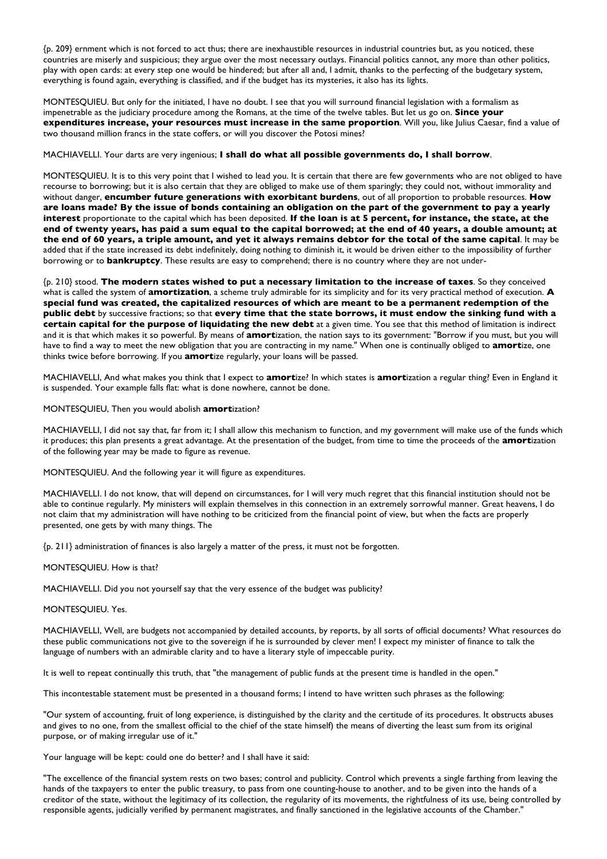{p. 209} ernment which is not forced to act thus; there are inexhaustible resources in industrial countries but, as you noticed, these countries are miserly and suspicious; they argue over the most necessary outlays. Financial politics cannot, any more than other politics, play with open cards: at every step one would be hindered; but after all and, I admit, thanks to the perfecting of the budgetary system, everything is found again, everything is classified, and if the budget has its mysteries, it also has its lights.

MONTESQUIEU. But only for the initiated, I have no doubt. I see that you will surround financial legislation with a formalism as impenetrable as the judiciary procedure among the Romans, at the time of the twelve tables. But let us go on. **Since your expenditures increase, your resources must increase in the same proportion**. Will you, like Julius Caesar, find a value of two thousand million francs in the state coffers, or will you discover the Potosi mines?

## MACHIAVELLI. Your darts are very ingenious; **I shall do what all possible governments do, I shall borrow**.

MONTESQUIEU. It is to this very point that I wished to lead you. It is certain that there are few governments who are not obliged to have recourse to borrowing; but it is also certain that they are obliged to make use of them sparingly; they could not, without immorality and without danger, **encumber future generations with exorbitant burdens**, out of all proportion to probable resources. **How are loans made? By the issue of bonds containing an obligation on the part of the government to pay a yearly interest** proportionate to the capital which has been deposited. **If the loan is at 5 percent, for instance, the state, at the end of twenty years, has paid a sum equal to the capital borrowed; at the end of 40 years, a double amount; at the end of 60 years, a triple amount, and yet it always remains debtor for the total of the same capital**. It may be added that if the state increased its debt indefinitely, doing nothing to diminish it, it would be driven either to the impossibility of further borrowing or to **bankruptcy**. These results are easy to comprehend; there is no country where they are not under-

{p. 210} stood. **The modern states wished to put a necessary limitation to the increase of taxes**. So they conceived what is called the system of **amortization**, a scheme truly admirable for its simplicity and for its very practical method of execution. **A special fund was created, the capitalized resources of which are meant to be a permanent redemption of the public debt** by successive fractions; so that **every time that the state borrows, it must endow the sinking fund with a certain capital for the purpose of liquidating the new debt** at a given time. You see that this method of limitation is indirect and it is that which makes it so powerful. By means of **amort**ization, the nation says to its government: "Borrow if you must, but you will have to find a way to meet the new obligation that you are contracting in my name." When one is continually obliged to **amort**ize, one thinks twice before borrowing. If you **amort**ize regularly, your loans will be passed.

MACHIAVELLI, And what makes you think that I expect to **amort**ize? In which states is **amort**ization a regular thing? Even in England it is suspended. Your example falls flat: what is done nowhere, cannot be done.

### MONTESQUIEU, Then you would abolish **amort**ization?

MACHIAVELLI, I did not say that, far from it; I shall allow this mechanism to function, and my government will make use of the funds which it produces; this plan presents a great advantage. At the presentation of the budget, from time to time the proceeds of the **amort**ization of the following year may be made to figure as revenue.

MONTESQUIEU. And the following year it will figure as expenditures.

MACHIAVELLI. I do not know, that will depend on circumstances, for I will very much regret that this financial institution should not be able to continue regularly. My ministers will explain themselves in this connection in an extremely sorrowful manner. Great heavens, I do not claim that my administration will have nothing to be criticized from the financial point of view, but when the facts are properly presented, one gets by with many things. The

{p. 211} administration of finances is also largely a matter of the press, it must not be forgotten.

MONTESQUIEU. How is that?

MACHIAVELLI. Did you not yourself say that the very essence of the budget was publicity?

# MONTESQUIEU. Yes.

MACHIAVELLI, Well, are budgets not accompanied by detailed accounts, by reports, by all sorts of official documents? What resources do these public communications not give to the sovereign if he is surrounded by clever men! I expect my minister of finance to talk the language of numbers with an admirable clarity and to have a literary style of impeccable purity.

It is well to repeat continually this truth, that "the management of public funds at the present time is handled in the open."

This incontestable statement must be presented in a thousand forms; I intend to have written such phrases as the following:

"Our system of accounting, fruit of long experience, is distinguished by the clarity and the certitude of its procedures. It obstructs abuses and gives to no one, from the smallest official to the chief of the state himself) the means of diverting the least sum from its original purpose, or of making irregular use of it."

Your language will be kept: could one do better? and I shall have it said:

"The excellence of the financial system rests on two bases; control and publicity. Control which prevents a single farthing from leaving the hands of the taxpayers to enter the public treasury, to pass from one counting-house to another, and to be given into the hands of a creditor of the state, without the legitimacy of its collection, the regularity of its movements, the rightfulness of its use, being controlled by responsible agents, judicially verified by permanent magistrates, and finally sanctioned in the legislative accounts of the Chamber."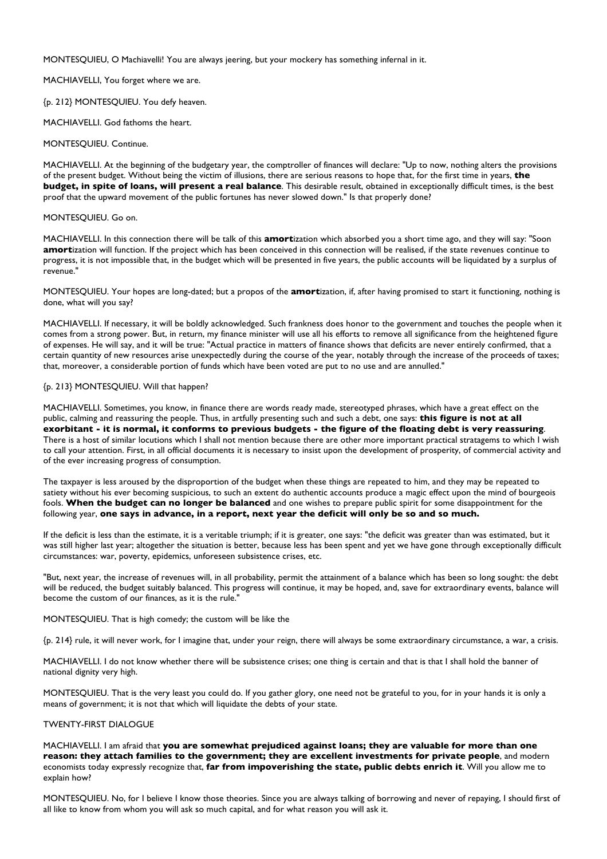MONTESQUIEU, O Machiavelli! You are always jeering, but your mockery has something infernal in it.

MACHIAVELLI, You forget where we are.

{p. 212} MONTESQUIEU. You defy heaven.

MACHIAVELLI. God fathoms the heart.

#### MONTESQUIEU. Continue.

MACHIAVELLI. At the beginning of the budgetary year, the comptroller of finances will declare: "Up to now, nothing alters the provisions of the present budget. Without being the victim of illusions, there are serious reasons to hope that, for the first time in years, **the budget, in spite of loans, will present a real balance**. This desirable result, obtained in exceptionally difficult times, is the best proof that the upward movement of the public fortunes has never slowed down." Is that properly done?

# MONTESQUIEU. Go on.

MACHIAVELLI. In this connection there will be talk of this **amort**ization which absorbed you a short time ago, and they will say: "Soon **amort**ization will function. If the project which has been conceived in this connection will be realised, if the state revenues continue to progress, it is not impossible that, in the budget which will be presented in five years, the public accounts will be liquidated by a surplus of revenue."

MONTESQUIEU. Your hopes are long-dated; but a propos of the **amort**ization, if, after having promised to start it functioning, nothing is done, what will you say?

MACHIAVELLI. If necessary, it will be boldly acknowledged. Such frankness does honor to the government and touches the people when it comes from a strong power. But, in return, my finance minister will use all his efforts to remove all significance from the heightened figure of expenses. He will say, and it will be true: "Actual practice in matters of finance shows that deficits are never entirely confirmed, that a certain quantity of new resources arise unexpectedly during the course of the year, notably through the increase of the proceeds of taxes; that, moreover, a considerable portion of funds which have been voted are put to no use and are annulled."

# {p. 213} MONTESQUIEU. Will that happen?

MACHIAVELLI. Sometimes, you know, in finance there are words ready made, stereotyped phrases, which have a great effect on the public, calming and reassuring the people. Thus, in artfully presenting such and such a debt, one says: **this figure is not at all exorbitant - it is normal, it conforms to previous budgets - the figure of the floating debt is very reassuring**. There is a host of similar locutions which I shall not mention because there are other more important practical stratagems to which I wish to call your attention. First, in all official documents it is necessary to insist upon the development of prosperity, of commercial activity and of the ever increasing progress of consumption.

The taxpayer is less aroused by the disproportion of the budget when these things are repeated to him, and they may be repeated to satiety without his ever becoming suspicious, to such an extent do authentic accounts produce a magic effect upon the mind of bourgeois fools. **When the budget can no longer be balanced** and one wishes to prepare public spirit for some disappointment for the following year, **one says in advance, in a report, next year the deficit will only be so and so much.** 

If the deficit is less than the estimate, it is a veritable triumph; if it is greater, one says: "the deficit was greater than was estimated, but it was still higher last year; altogether the situation is better, because less has been spent and yet we have gone through exceptionally difficult circumstances: war, poverty, epidemics, unforeseen subsistence crises, etc.

"But, next year, the increase of revenues will, in all probability, permit the attainment of a balance which has been so long sought: the debt will be reduced, the budget suitably balanced. This progress will continue, it may be hoped, and, save for extraordinary events, balance will become the custom of our finances, as it is the rule."

MONTESQUIEU. That is high comedy; the custom will be like the

{p. 214} rule, it will never work, for I imagine that, under your reign, there will always be some extraordinary circumstance, a war, a crisis.

MACHIAVELLI. I do not know whether there will be subsistence crises; one thing is certain and that is that I shall hold the banner of national dignity very high.

MONTESQUIEU. That is the very least you could do. If you gather glory, one need not be grateful to you, for in your hands it is only a means of government; it is not that which will liquidate the debts of your state.

### TWENTY-FIRST DIALOGUE

MACHIAVELLI. I am afraid that **you are somewhat prejudiced against loans; they are valuable for more than one reason: they attach families to the government; they are excellent investments for private people**, and modern economists today expressly recognize that, **far from impoverishing the state, public debts enrich it**. Will you allow me to explain how?

MONTESQUIEU. No, for I believe I know those theories. Since you are always talking of borrowing and never of repaying, I should first of all like to know from whom you will ask so much capital, and for what reason you will ask it.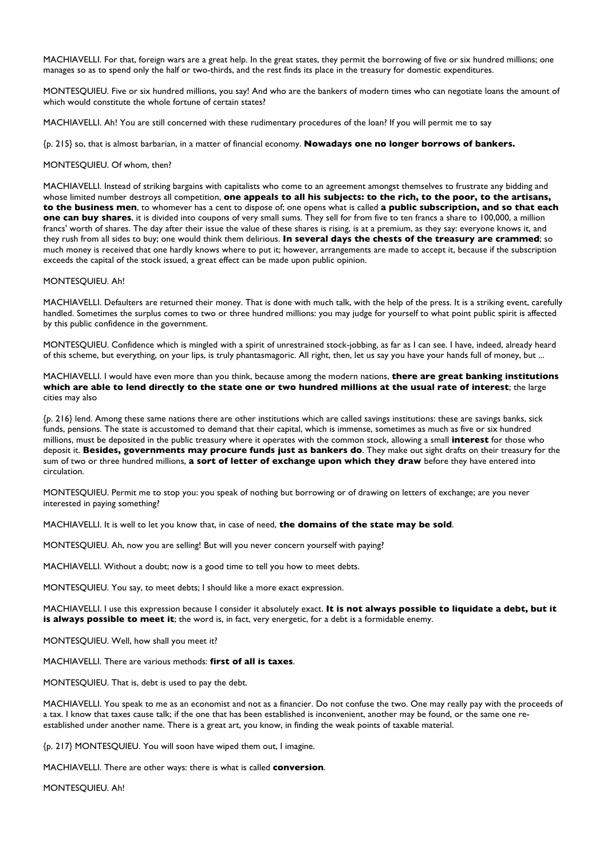MACHIAVELLI. For that, foreign wars are a great help. In the great states, they permit the borrowing of five or six hundred millions; one manages so as to spend only the half or two-thirds, and the rest finds its place in the treasury for domestic expenditures.

MONTESQUIEU. Five or six hundred millions, you say! And who are the bankers of modern times who can negotiate loans the amount of which would constitute the whole fortune of certain states?

MACHIAVELLI. Ah! You are still concerned with these rudimentary procedures of the loan? If you will permit me to say

{p. 215} so, that is almost barbarian, in a matter of financial economy. **Nowadays one no longer borrows of bankers.**

#### MONTESQUIEU. Of whom, then?

MACHIAVELLI. Instead of striking bargains with capitalists who come to an agreement amongst themselves to frustrate any bidding and whose limited number destroys all competition, **one appeals to all his subjects: to the rich, to the poor, to the artisans, to the business men**, to whomever has a cent to dispose of; one opens what is called **a public subscription, and so that each one can buy shares**, it is divided into coupons of very small sums. They sell for from five to ten francs a share to 100,000, a million francs' worth of shares. The day after their issue the value of these shares is rising, is at a premium, as they say: everyone knows it, and they rush from all sides to buy; one would think them delirious. **In several days the chests of the treasury are crammed**; so much money is received that one hardly knows where to put it; however, arrangements are made to accept it, because if the subscription exceeds the capital of the stock issued, a great effect can be made upon public opinion.

### MONTESQUIEU. Ah!

MACHIAVELLI. Defaulters are returned their money. That is done with much talk, with the help of the press. It is a striking event, carefully handled. Sometimes the surplus comes to two or three hundred millions: you may judge for yourself to what point public spirit is affected by this public confidence in the government.

MONTESQUIEU. Confidence which is mingled with a spirit of unrestrained stock-jobbing, as far as I can see. I have, indeed, already heard of this scheme, but everything, on your lips, is truly phantasmagoric. All right, then, let us say you have your hands full of money, but ...

MACHIAVELLI. I would have even more than you think, because among the modern nations, **there are great banking institutions which are able to lend directly to the state one or two hundred millions at the usual rate of interest**; the large cities may also

{p. 216} lend. Among these same nations there are other institutions which are called savings institutions: these are savings banks, sick funds, pensions. The state is accustomed to demand that their capital, which is immense, sometimes as much as five or six hundred millions, must be deposited in the public treasury where it operates with the common stock, allowing a small **interest** for those who deposit it. **Besides, governments may procure funds just as bankers do**. They make out sight drafts on their treasury for the sum of two or three hundred millions, **a sort of letter of exchange upon which they draw** before they have entered into circulation.

MONTESQUIEU. Permit me to stop you: you speak of nothing but borrowing or of drawing on letters of exchange; are you never interested in paying something?

MACHIAVELLI. It is well to let you know that, in case of need, **the domains of the state may be sold**.

MONTESQUIEU. Ah, now you are selling! But will you never concern yourself with paying?

MACHIAVELLI. Without a doubt; now is a good time to tell you how to meet debts.

MONTESQUIEU. You say, to meet debts; I should like a more exact expression.

MACHIAVELLI. I use this expression because I consider it absolutely exact. **It is not always possible to liquidate a debt, but it is always possible to meet it**; the word is, in fact, very energetic, for a debt is a formidable enemy.

MONTESQUIEU. Well, how shall you meet it?

MACHIAVELLI. There are various methods: **first of all is taxes**.

MONTESQUIEU. That is, debt is used to pay the debt.

MACHIAVELLI. You speak to me as an economist and not as a financier. Do not confuse the two. One may really pay with the proceeds of a tax. I know that taxes cause talk; if the one that has been established is inconvenient, another may be found, or the same one reestablished under another name. There is a great art, you know, in finding the weak points of taxable material.

{p. 217} MONTESQUIEU. You will soon have wiped them out, I imagine.

MACHIAVELLI. There are other ways: there is what is called **conversion**.

MONTESQUIEU. Ah!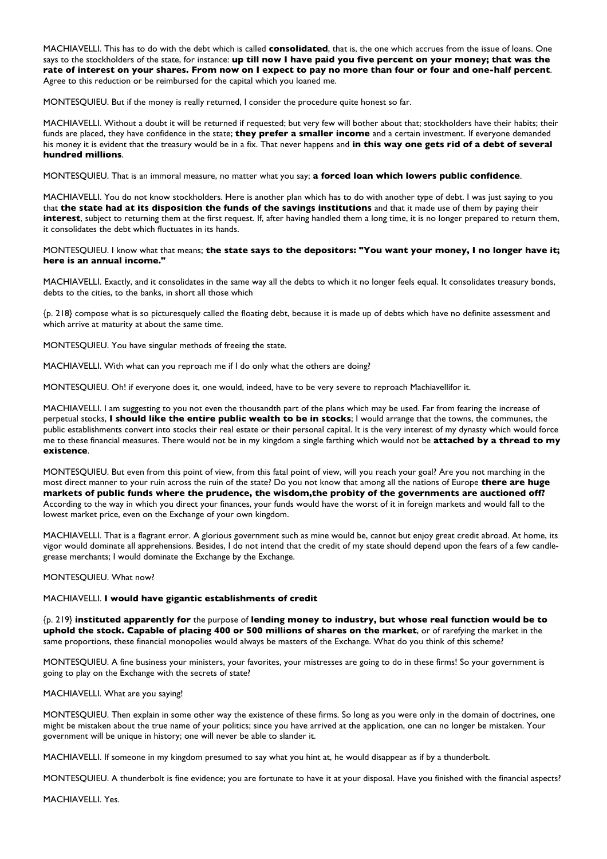MACHIAVELLI. This has to do with the debt which is called **consolidated**, that is, the one which accrues from the issue of loans. One says to the stockholders of the state, for instance: **up till now I have paid you five percent on your money; that was the rate of interest on your shares. From now on I expect to pay no more than four or four and one-half percent**. Agree to this reduction or be reimbursed for the capital which you loaned me.

MONTESQUIEU. But if the money is really returned, I consider the procedure quite honest so far.

MACHIAVELLI. Without a doubt it will be returned if requested; but very few will bother about that; stockholders have their habits; their funds are placed, they have confidence in the state; **they prefer a smaller income** and a certain investment. If everyone demanded his money it is evident that the treasury would be in a fix. That never happens and **in this way one gets rid of a debt of several hundred millions**.

MONTESQUIEU. That is an immoral measure, no matter what you say; **a forced loan which lowers public confidence**.

MACHIAVELLI. You do not know stockholders. Here is another plan which has to do with another type of debt. I was just saying to you that **the state had at its disposition the funds of the savings institutions** and that it made use of them by paying their **interest**, subject to returning them at the first request. If, after having handled them a long time, it is no longer prepared to return them, it consolidates the debt which fluctuates in its hands.

MONTESQUIEU. I know what that means; **the state says to the depositors: "You want your money, I no longer have it; here is an annual income."**

MACHIAVELLI. Exactly, and it consolidates in the same way all the debts to which it no longer feels equal. It consolidates treasury bonds, debts to the cities, to the banks, in short all those which

{p. 218} compose what is so picturesquely called the floating debt, because it is made up of debts which have no definite assessment and which arrive at maturity at about the same time.

MONTESQUIEU. You have singular methods of freeing the state.

MACHIAVELLI. With what can you reproach me if I do only what the others are doing?

MONTESQUIEU. Oh! if everyone does it, one would, indeed, have to be very severe to reproach Machiavellifor it.

MACHIAVELLI. I am suggesting to you not even the thousandth part of the plans which may be used. Far from fearing the increase of perpetual stocks, **I should like the entire public wealth to be in stocks**; I would arrange that the towns, the communes, the public establishments convert into stocks their real estate or their personal capital. It is the very interest of my dynasty which would force me to these financial measures. There would not be in my kingdom a single farthing which would not be **attached by a thread to my existence**.

MONTESQUIEU. But even from this point of view, from this fatal point of view, will you reach your goal? Are you not marching in the most direct manner to your ruin across the ruin of the state? Do you not know that among all the nations of Europe **there are huge markets of public funds where the prudence, the wisdom,the probity of the governments are auctioned off?** According to the way in which you direct your finances, your funds would have the worst of it in foreign markets and would fall to the lowest market price, even on the Exchange of your own kingdom.

MACHIAVELLI. That is a flagrant error. A glorious government such as mine would be, cannot but enjoy great credit abroad. At home, its vigor would dominate all apprehensions. Besides, I do not intend that the credit of my state should depend upon the fears of a few candlegrease merchants; I would dominate the Exchange by the Exchange.

# MONTESQUIEU. What now?

## MACHIAVELLI. **I would have gigantic establishments of credit**

{p. 219} **instituted apparently for** the purpose of **lending money to industry, but whose real function would be to uphold the stock. Capable of placing 400 or 500 millions of shares on the market**, or of rarefying the market in the same proportions, these financial monopolies would always be masters of the Exchange. What do you think of this scheme?

MONTESQUIEU. A fine business your ministers, your favorites, your mistresses are going to do in these firms! So your government is going to play on the Exchange with the secrets of state?

#### MACHIAVELLI. What are you saying!

MONTESQUIEU. Then explain in some other way the existence of these firms. So long as you were only in the domain of doctrines, one might be mistaken about the true name of your politics; since you have arrived at the application, one can no longer be mistaken. Your government will be unique in history; one will never be able to slander it.

MACHIAVELLI. If someone in my kingdom presumed to say what you hint at, he would disappear as if by a thunderbolt.

MONTESQUIEU. A thunderbolt is fine evidence; you are fortunate to have it at your disposal. Have you finished with the financial aspects?

MACHIAVELLI. Yes.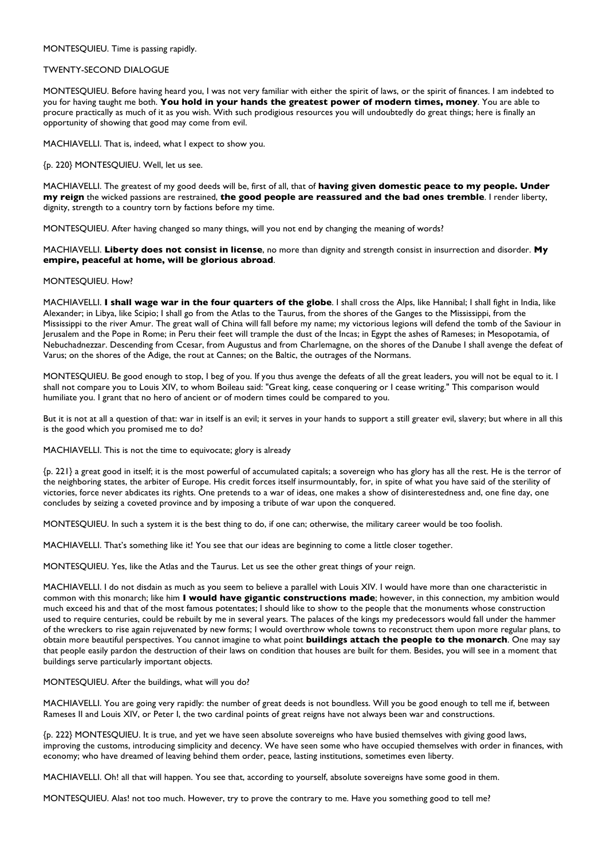# MONTESQUIEU. Time is passing rapidly.

## TWENTY-SECOND DIALOGUE

MONTESQUIEU. Before having heard you, I was not very familiar with either the spirit of laws, or the spirit of finances. I am indebted to you for having taught me both. **You hold in your hands the greatest power of modern times, money**. You are able to procure practically as much of it as you wish. With such prodigious resources you will undoubtedly do great things; here is finally an opportunity of showing that good may come from evil.

MACHIAVELLI. That is, indeed, what I expect to show you.

# {p. 220} MONTESQUIEU. Well, let us see.

MACHIAVELLI. The greatest of my good deeds will be, first of all, that of **having given domestic peace to my people. Under my reign** the wicked passions are restrained, **the good people are reassured and the bad ones tremble**. I render liberty, dignity, strength to a country torn by factions before my time.

MONTESQUIEU. After having changed so many things, will you not end by changing the meaning of words?

MACHIAVELLI. **Liberty does not consist in license**, no more than dignity and strength consist in insurrection and disorder. **My empire, peaceful at home, will be glorious abroad**.

# MONTESQUIEU. How?

MACHIAVELLI. **I shall wage war in the four quarters of the globe**. I shall cross the Alps, like Hannibal; I shall fight in India, like Alexander; in Libya, like Scipio; I shall go from the Atlas to the Taurus, from the shores of the Ganges to the Mississippi, from the Mississippi to the river Amur. The great wall of China will fall before my name; my victorious legions will defend the tomb of the Saviour in Jerusalem and the Pope in Rome; in Peru their feet will trample the dust of the Incas; in Egypt the ashes of Rameses; in Mesopotamia, of Nebuchadnezzar. Descending from Ccesar, from Augustus and from Charlemagne, on the shores of the Danube I shall avenge the defeat of Varus; on the shores of the Adige, the rout at Cannes; on the Baltic, the outrages of the Normans.

MONTESQUIEU. Be good enough to stop, I beg of you. If you thus avenge the defeats of all the great leaders, you will not be equal to it. I shall not compare you to Louis XIV, to whom Boileau said: "Great king, cease conquering or I cease writing." This comparison would humiliate you. I grant that no hero of ancient or of modern times could be compared to you.

But it is not at all a question of that: war in itself is an evil; it serves in your hands to support a still greater evil, slavery; but where in all this is the good which you promised me to do?

# MACHIAVELLI. This is not the time to equivocate; glory is already

{p. 221} a great good in itself; it is the most powerful of accumulated capitals; a sovereign who has glory has all the rest. He is the terror of the neighboring states, the arbiter of Europe. His credit forces itself insurmountably, for, in spite of what you have said of the sterility of victories, force never abdicates its rights. One pretends to a war of ideas, one makes a show of disinterestedness and, one fine day, one concludes by seizing a coveted province and by imposing a tribute of war upon the conquered.

MONTESQUIEU. In such a system it is the best thing to do, if one can; otherwise, the military career would be too foolish.

MACHIAVELLI. That's something like it! You see that our ideas are beginning to come a little closer together.

MONTESQUIEU. Yes, like the Atlas and the Taurus. Let us see the other great things of your reign.

MACHIAVELLI. I do not disdain as much as you seem to believe a parallel with Louis XIV. I would have more than one characteristic in common with this monarch; like him **I would have gigantic constructions made**; however, in this connection, my ambition would much exceed his and that of the most famous potentates; I should like to show to the people that the monuments whose construction used to require centuries, could be rebuilt by me in several years. The palaces of the kings my predecessors would fall under the hammer of the wreckers to rise again rejuvenated by new forms; I would overthrow whole towns to reconstruct them upon more regular plans, to obtain more beautiful perspectives. You cannot imagine to what point **buildings attach the people to the monarch**. One may say that people easily pardon the destruction of their laws on condition that houses are built for them. Besides, you will see in a moment that buildings serve particularly important objects.

# MONTESQUIEU. After the buildings, what will you do?

MACHIAVELLI. You are going very rapidly: the number of great deeds is not boundless. Will you be good enough to tell me if, between Rameses II and Louis XIV, or Peter I, the two cardinal points of great reigns have not always been war and constructions.

{p. 222} MONTESQUIEU. It is true, and yet we have seen absolute sovereigns who have busied themselves with giving good laws, improving the customs, introducing simplicity and decency. We have seen some who have occupied themselves with order in finances, with economy; who have dreamed of leaving behind them order, peace, lasting institutions, sometimes even liberty.

MACHIAVELLI. Oh! all that will happen. You see that, according to yourself, absolute sovereigns have some good in them.

MONTESQUIEU. Alas! not too much. However, try to prove the contrary to me. Have you something good to tell me?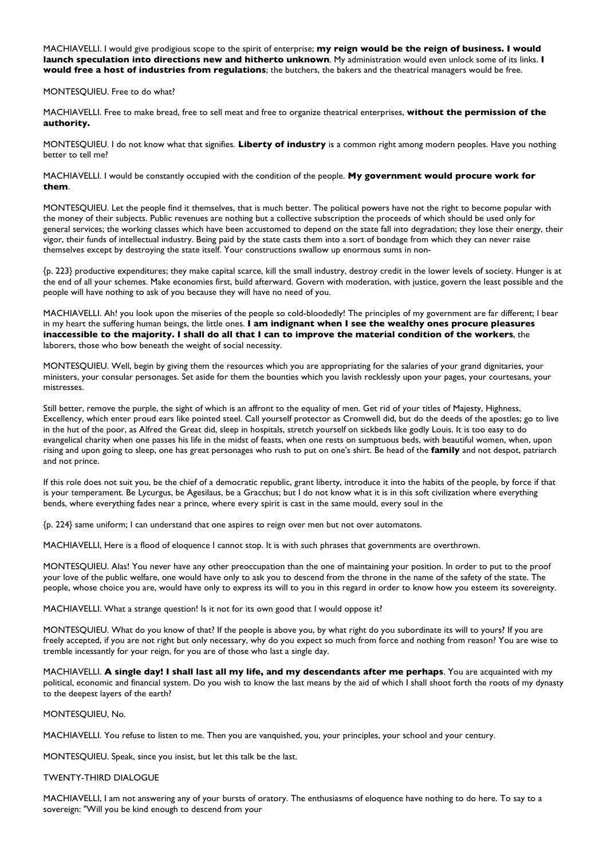MACHIAVELLI. I would give prodigious scope to the spirit of enterprise; **my reign would be the reign of business. I would launch speculation into directions new and hitherto unknown**. My administration would even unlock some of its links. **I would free a host of industries from regulations**; the butchers, the bakers and the theatrical managers would be free.

## MONTESQUIEU. Free to do what?

MACHIAVELLI. Free to make bread, free to sell meat and free to organize theatrical enterprises, **without the permission of the authority.**

MONTESQUIEU. I do not know what that signifies. **Liberty of industry** is a common right among modern peoples. Have you nothing better to tell me?

MACHIAVELLI. I would be constantly occupied with the condition of the people. **My government would procure work for them**.

MONTESQUIEU. Let the people find it themselves, that is much better. The political powers have not the right to become popular with the money of their subjects. Public revenues are nothing but a collective subscription the proceeds of which should be used only for general services; the working classes which have been accustomed to depend on the state fall into degradation; they lose their energy, their vigor, their funds of intellectual industry. Being paid by the state casts them into a sort of bondage from which they can never raise themselves except by destroying the state itself. Your constructions swallow up enormous sums in non-

{p. 223} productive expenditures; they make capital scarce, kill the small industry, destroy credit in the lower levels of society. Hunger is at the end of all your schemes. Make economies first, build afterward. Govern with moderation, with justice, govern the least possible and the people will have nothing to ask of you because they will have no need of you.

MACHIAVELLI. Ah! you look upon the miseries of the people so cold-bloodedly! The principles of my government are far different; I bear in my heart the suffering human beings, the little ones. **I am indignant when I see the wealthy ones procure pleasures inaccessible to the majority. I shall do all that I can to improve the material condition of the workers**, the laborers, those who bow beneath the weight of social necessity.

MONTESQUIEU. Well, begin by giving them the resources which you are appropriating for the salaries of your grand dignitaries, your ministers, your consular personages. Set aside for them the bounties which you lavish recklessly upon your pages, your courtesans, your mistresses.

Still better, remove the purple, the sight of which is an affront to the equality of men. Get rid of your titles of Majesty, Highness, Excellency, which enter proud ears like pointed steel. Call yourself protector as Cromwell did, but do the deeds of the apostles; go to live in the hut of the poor, as Alfred the Great did, sleep in hospitals, stretch yourself on sickbeds like godly Louis. It is too easy to do evangelical charity when one passes his life in the midst of feasts, when one rests on sumptuous beds, with beautiful women, when, upon rising and upon going to sleep, one has great personages who rush to put on one's shirt. Be head of the **family** and not despot, patriarch and not prince.

If this role does not suit you, be the chief of a democratic republic, grant liberty, introduce it into the habits of the people, by force if that is your temperament. Be Lycurgus, be Agesilaus, be a Gracchus; but I do not know what it is in this soft civilization where everything bends, where everything fades near a prince, where every spirit is cast in the same mould, every soul in the

{p. 224} same uniform; I can understand that one aspires to reign over men but not over automatons.

MACHIAVELLI, Here is a flood of eloquence I cannot stop. It is with such phrases that governments are overthrown.

MONTESQUIEU. Alas! You never have any other preoccupation than the one of maintaining your position. In order to put to the proof your love of the public welfare, one would have only to ask you to descend from the throne in the name of the safety of the state. The people, whose choice you are, would have only to express its will to you in this regard in order to know how you esteem its sovereignty.

MACHIAVELLI. What a strange question! Is it not for its own good that I would oppose it?

MONTESQUIEU. What do you know of that? If the people is above you, by what right do you subordinate its will to yours? If you are freely accepted, if you are not right but only necessary, why do you expect so much from force and nothing from reason? You are wise to tremble incessantly for your reign, for you are of those who last a single day.

MACHIAVELLI. **A single day! I shall last all my life, and my descendants after me perhaps**. You are acquainted with my political, economic and financial system. Do you wish to know the last means by the aid of which I shall shoot forth the roots of my dynasty to the deepest layers of the earth?

### MONTESQUIEU, No.

MACHIAVELLI. You refuse to listen to me. Then you are vanquished, you, your principles, your school and your century.

MONTESQUIEU. Speak, since you insist, but let this talk be the last.

# TWENTY-THIRD DIALOGUE

MACHIAVELLI, I am not answering any of your bursts of oratory. The enthusiasms of eloquence have nothing to do here. To say to a sovereign: "Will you be kind enough to descend from your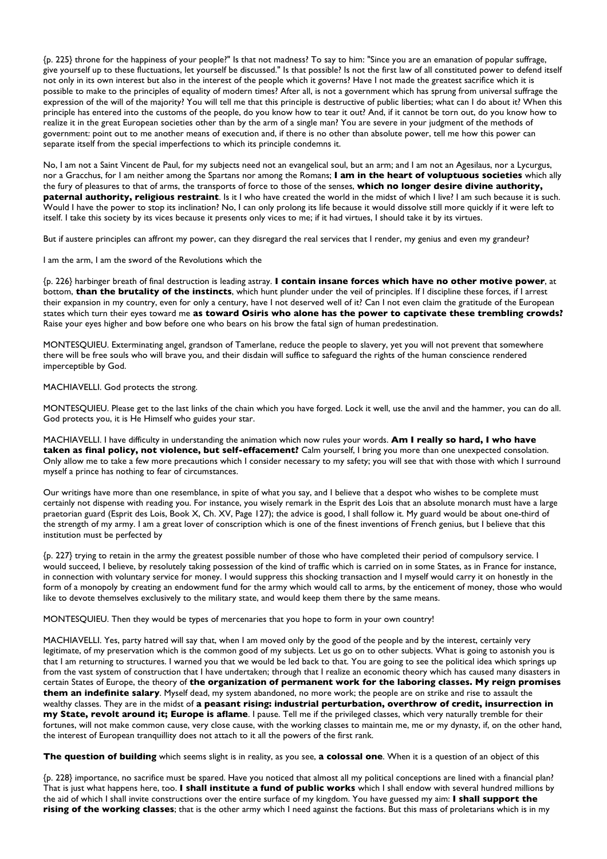{p. 225} throne for the happiness of your people?" Is that not madness? To say to him: "Since you are an emanation of popular suffrage, give yourself up to these fluctuations, let yourself be discussed." Is that possible? Is not the first law of all constituted power to defend itself not only in its own interest but also in the interest of the people which it governs? Have I not made the greatest sacrifice which it is possible to make to the principles of equality of modern times? After all, is not a government which has sprung from universal suffrage the expression of the will of the majority? You will tell me that this principle is destructive of public liberties; what can I do about it? When this principle has entered into the customs of the people, do you know how to tear it out? And, if it cannot be torn out, do you know how to realize it in the great European societies other than by the arm of a single man? You are severe in your judgment of the methods of government: point out to me another means of execution and, if there is no other than absolute power, tell me how this power can separate itself from the special imperfections to which its principle condemns it.

No, I am not a Saint Vincent de Paul, for my subjects need not an evangelical soul, but an arm; and I am not an Agesilaus, nor a Lycurgus, nor a Gracchus, for I am neither among the Spartans nor among the Romans; **I am in the heart of voluptuous societies** which ally the fury of pleasures to that of arms, the transports of force to those of the senses, **which no longer desire divine authority, paternal authority, religious restraint**. Is it I who have created the world in the midst of which I live? I am such because it is such. Would I have the power to stop its inclination? No, I can only prolong its life because it would dissolve still more quickly if it were left to itself. I take this society by its vices because it presents only vices to me; if it had virtues, I should take it by its virtues.

But if austere principles can affront my power, can they disregard the real services that I render, my genius and even my grandeur?

I am the arm, I am the sword of the Revolutions which the

{p. 226} harbinger breath of final destruction is leading astray. **I contain insane forces which have no other motive power**, at bottom, **than the brutality of the instincts**, which hunt plunder under the veil of principles. If I discipline these forces, if I arrest their expansion in my country, even for only a century, have I not deserved well of it? Can I not even claim the gratitude of the European states which turn their eyes toward me **as toward Osiris who alone has the power to captivate these trembling crowds?** Raise your eyes higher and bow before one who bears on his brow the fatal sign of human predestination.

MONTESQUIEU. Exterminating angel, grandson of Tamerlane, reduce the people to slavery, yet you will not prevent that somewhere there will be free souls who will brave you, and their disdain will suffice to safeguard the rights of the human conscience rendered imperceptible by God.

MACHIAVELLI. God protects the strong.

MONTESQUIEU. Please get to the last links of the chain which you have forged. Lock it well, use the anvil and the hammer, you can do all. God protects you, it is He Himself who guides your star.

MACHIAVELLI. I have difficulty in understanding the animation which now rules your words. **Am I really so hard, I who have taken as final policy, not violence, but self-effacement?** Calm yourself, I bring you more than one unexpected consolation. Only allow me to take a few more precautions which I consider necessary to my safety; you will see that with those with which I surround myself a prince has nothing to fear of circumstances.

Our writings have more than one resemblance, in spite of what you say, and I believe that a despot who wishes to be complete must certainly not dispense with reading you. For instance, you wisely remark in the Esprit des Lois that an absolute monarch must have a large praetorian guard (Esprit des Lois, Book X, Ch. XV, Page 127); the advice is good, I shall follow it. My guard would be about one-third of the strength of my army. I am a great lover of conscription which is one of the finest inventions of French genius, but I believe that this institution must be perfected by

{p. 227} trying to retain in the army the greatest possible number of those who have completed their period of compulsory service. I would succeed, I believe, by resolutely taking possession of the kind of traffic which is carried on in some States, as in France for instance, in connection with voluntary service for money. I would suppress this shocking transaction and I myself would carry it on honestly in the form of a monopoly by creating an endowment fund for the army which would call to arms, by the enticement of money, those who would like to devote themselves exclusively to the military state, and would keep them there by the same means.

MONTESQUIEU. Then they would be types of mercenaries that you hope to form in your own country!

MACHIAVELLI. Yes, party hatred will say that, when I am moved only by the good of the people and by the interest, certainly very legitimate, of my preservation which is the common good of my subjects. Let us go on to other subjects. What is going to astonish you is that I am returning to structures. I warned you that we would be led back to that. You are going to see the political idea which springs up from the vast system of construction that I have undertaken; through that I realize an economic theory which has caused many disasters in certain States of Europe, the theory of **the organization of permanent work for the laboring classes. My reign promises them an indefinite salary**. Myself dead, my system abandoned, no more work; the people are on strike and rise to assault the wealthy classes. They are in the midst of **a peasant rising: industrial perturbation, overthrow of credit, insurrection in my State, revolt around it; Europe is aflame**. I pause. Tell me if the privileged classes, which very naturally tremble for their fortunes, will not make common cause, very close cause, with the working classes to maintain me, me or my dynasty, if, on the other hand, the interest of European tranquillity does not attach to it all the powers of the first rank.

**The question of building** which seems slight is in reality, as you see, **a colossal one**. When it is a question of an object of this

{p. 228} importance, no sacrifice must be spared. Have you noticed that almost all my political conceptions are lined with a financial plan? That is just what happens here, too. **I shall institute a fund of public works** which I shall endow with several hundred millions by the aid of which I shall invite constructions over the entire surface of my kingdom. You have guessed my aim: **I shall support the rising of the working classes**; that is the other army which I need against the factions. But this mass of proletarians which is in my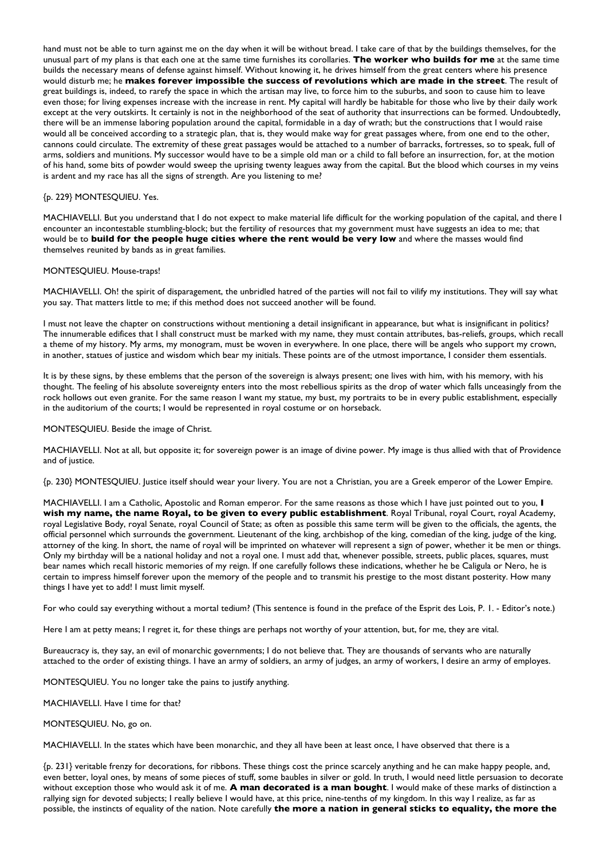hand must not be able to turn against me on the day when it will be without bread. I take care of that by the buildings themselves, for the unusual part of my plans is that each one at the same time furnishes its corollaries. **The worker who builds for me** at the same time builds the necessary means of defense against himself. Without knowing it, he drives himself from the great centers where his presence would disturb me; he **makes forever impossible the success of revolutions which are made in the street**. The result of great buildings is, indeed, to rarefy the space in which the artisan may live, to force him to the suburbs, and soon to cause him to leave even those; for living expenses increase with the increase in rent. My capital will hardly be habitable for those who live by their daily work except at the very outskirts. It certainly is not in the neighborhood of the seat of authority that insurrections can be formed. Undoubtedly, there will be an immense laboring population around the capital, formidable in a day of wrath; but the constructions that I would raise would all be conceived according to a strategic plan, that is, they would make way for great passages where, from one end to the other, cannons could circulate. The extremity of these great passages would be attached to a number of barracks, fortresses, so to speak, full of arms, soldiers and munitions. My successor would have to be a simple old man or a child to fall before an insurrection, for, at the motion of his hand, some bits of powder would sweep the uprising twenty leagues away from the capital. But the blood which courses in my veins is ardent and my race has all the signs of strength. Are you listening to me?

# {p. 229} MONTESQUIEU. Yes.

MACHIAVELLI. But you understand that I do not expect to make material life difficult for the working population of the capital, and there I encounter an incontestable stumbling-block; but the fertility of resources that my government must have suggests an idea to me; that would be to **build for the people huge cities where the rent would be very low** and where the masses would find themselves reunited by bands as in great families.

## MONTESQUIEU. Mouse-traps!

MACHIAVELLI. Oh! the spirit of disparagement, the unbridled hatred of the parties will not fail to vilify my institutions. They will say what you say. That matters little to me; if this method does not succeed another will be found.

I must not leave the chapter on constructions without mentioning a detail insignificant in appearance, but what is insignificant in politics? The innumerable edifices that I shall construct must be marked with my name, they must contain attributes, bas-reliefs, groups, which recall a theme of my history. My arms, my monogram, must be woven in everywhere. In one place, there will be angels who support my crown, in another, statues of justice and wisdom which bear my initials. These points are of the utmost importance, I consider them essentials.

It is by these signs, by these emblems that the person of the sovereign is always present; one lives with him, with his memory, with his thought. The feeling of his absolute sovereignty enters into the most rebellious spirits as the drop of water which falls unceasingly from the rock hollows out even granite. For the same reason I want my statue, my bust, my portraits to be in every public establishment, especially in the auditorium of the courts; I would be represented in royal costume or on horseback.

### MONTESQUIEU. Beside the image of Christ.

MACHIAVELLI. Not at all, but opposite it; for sovereign power is an image of divine power. My image is thus allied with that of Providence and of justice.

{p. 230} MONTESQUIEU. Justice itself should wear your livery. You are not a Christian, you are a Greek emperor of the Lower Empire.

MACHIAVELLI. I am a Catholic, Apostolic and Roman emperor. For the same reasons as those which I have just pointed out to you, **I wish my name, the name Royal, to be given to every public establishment**. Royal Tribunal, royal Court, royal Academy, royal Legislative Body, royal Senate, royal Council of State; as often as possible this same term will be given to the officials, the agents, the official personnel which surrounds the government. Lieutenant of the king, archbishop of the king, comedian of the king, judge of the king, attorney of the king. In short, the name of royal will be imprinted on whatever will represent a sign of power, whether it be men or things. Only my birthday will be a national holiday and not a royal one. I must add that, whenever possible, streets, public places, squares, must bear names which recall historic memories of my reign. If one carefully follows these indications, whether he be Caligula or Nero, he is certain to impress himself forever upon the memory of the people and to transmit his prestige to the most distant posterity. How many things I have yet to add! I must limit myself.

For who could say everything without a mortal tedium? (This sentence is found in the preface of the Esprit des Lois, P. 1. - Editor's note.)

Here I am at petty means; I regret it, for these things are perhaps not worthy of your attention, but, for me, they are vital.

Bureaucracy is, they say, an evil of monarchic governments; I do not believe that. They are thousands of servants who are naturally attached to the order of existing things. I have an army of soldiers, an army of judges, an army of workers, I desire an army of employes.

MONTESQUIEU. You no longer take the pains to justify anything.

MACHIAVELLI. Have I time for that?

#### MONTESQUIEU. No, go on.

MACHIAVELLI. In the states which have been monarchic, and they all have been at least once, I have observed that there is a

{p. 231} veritable frenzy for decorations, for ribbons. These things cost the prince scarcely anything and he can make happy people, and, even better, loyal ones, by means of some pieces of stuff, some baubles in silver or gold. In truth, I would need little persuasion to decorate without exception those who would ask it of me. **A man decorated is a man bought**. I would make of these marks of distinction a rallying sign for devoted subjects; I really believe I would have, at this price, nine-tenths of my kingdom. In this way I realize, as far as possible, the instincts of equality of the nation. Note carefully **the more a nation in general sticks to equality, the more the**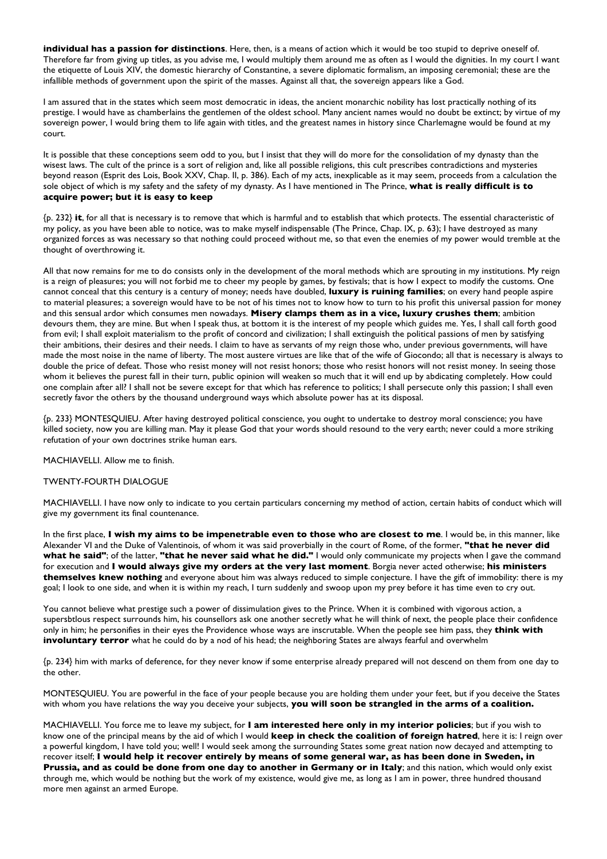**individual has a passion for distinctions**. Here, then, is a means of action which it would be too stupid to deprive oneself of. Therefore far from giving up titles, as you advise me, I would multiply them around me as often as I would the dignities. In my court I want the etiquette of Louis XIV, the domestic hierarchy of Constantine, a severe diplomatic formalism, an imposing ceremonial; these are the infallible methods of government upon the spirit of the masses. Against all that, the sovereign appears like a God.

I am assured that in the states which seem most democratic in ideas, the ancient monarchic nobility has lost practically nothing of its prestige. I would have as chamberlains the gentlemen of the oldest school. Many ancient names would no doubt be extinct; by virtue of my sovereign power, I would bring them to life again with titles, and the greatest names in history since Charlemagne would be found at my court.

It is possible that these conceptions seem odd to you, but I insist that they will do more for the consolidation of my dynasty than the wisest laws. The cult of the prince is a sort of religion and, like all possible religions, this cult prescribes contradictions and mysteries beyond reason (Esprit des Lois, Book XXV, Chap. II, p. 386). Each of my acts, inexplicable as it may seem, proceeds from a calculation the sole object of which is my safety and the safety of my dynasty. As I have mentioned in The Prince, **what is really difficult is to acquire power; but it is easy to keep** 

{p. 232} **it**, for all that is necessary is to remove that which is harmful and to establish that which protects. The essential characteristic of my policy, as you have been able to notice, was to make myself indispensable (The Prince, Chap. IX, p. 63); I have destroyed as many organized forces as was necessary so that nothing could proceed without me, so that even the enemies of my power would tremble at the thought of overthrowing it.

All that now remains for me to do consists only in the development of the moral methods which are sprouting in my institutions. My reign is a reign of pleasures; you will not forbid me to cheer my people by games, by festivals; that is how I expect to modify the customs. One cannot conceal that this century is a century of money; needs have doubled, **luxury is ruining families**; on every hand people aspire to material pleasures; a sovereign would have to be not of his times not to know how to turn to his profit this universal passion for money and this sensual ardor which consumes men nowadays. **Misery clamps them as in a vice, luxury crushes them**; ambition devours them, they are mine. But when I speak thus, at bottom it is the interest of my people which guides me. Yes, I shall call forth good from evil; I shall exploit materialism to the profit of concord and civilization; I shall extinguish the political passions of men by satisfying their ambitions, their desires and their needs. I claim to have as servants of my reign those who, under previous governments, will have made the most noise in the name of liberty. The most austere virtues are like that of the wife of Giocondo; all that is necessary is always to double the price of defeat. Those who resist money will not resist honors; those who resist honors will not resist money. In seeing those whom it believes the purest fall in their turn, public opinion will weaken so much that it will end up by abdicating completely. How could one complain after all? I shall not be severe except for that which has reference to politics; I shall persecute only this passion; I shall even secretly favor the others by the thousand underground ways which absolute power has at its disposal.

{p. 233} MONTESQUIEU. After having destroyed political conscience, you ought to undertake to destroy moral conscience; you have killed society, now you are killing man. May it please God that your words should resound to the very earth; never could a more striking refutation of your own doctrines strike human ears.

MACHIAVELLI. Allow me to finish.

# TWENTY-FOURTH DIALOGUE

MACHIAVELLI. I have now only to indicate to you certain particulars concerning my method of action, certain habits of conduct which will give my government its final countenance.

In the first place, **I wish my aims to be impenetrable even to those who are closest to me**. I would be, in this manner, like Alexander VI and the Duke of Valentinois, of whom it was said proverbially in the court of Rome, of the former, **"that he never did what he said"**; of the latter, **"that he never said what he did."** I would only communicate my projects when I gave the command for execution and **I would always give my orders at the very last moment**. Borgia never acted otherwise; **his ministers themselves knew nothing** and everyone about him was always reduced to simple conjecture. I have the gift of immobility: there is my goal; I look to one side, and when it is within my reach, I turn suddenly and swoop upon my prey before it has time even to cry out.

You cannot believe what prestige such a power of dissimulation gives to the Prince. When it is combined with vigorous action, a supersbtlous respect surrounds him, his counsellors ask one another secretly what he will think of next, the people place their confidence only in him; he personifies in their eyes the Providence whose ways are inscrutable. When the people see him pass, they **think with involuntary terror** what he could do by a nod of his head; the neighboring States are always fearful and overwhelm

{p. 234} him with marks of deference, for they never know if some enterprise already prepared will not descend on them from one day to the other.

MONTESQUIEU. You are powerful in the face of your people because you are holding them under your feet, but if you deceive the States with whom you have relations the way you deceive your subjects, **you will soon be strangled in the arms of a coalition.**

MACHIAVELLI. You force me to leave my subject, for **I am interested here only in my interior policies**; but if you wish to know one of the principal means by the aid of which I would **keep in check the coalition of foreign hatred**, here it is: I reign over a powerful kingdom, I have told you; well! I would seek among the surrounding States some great nation now decayed and attempting to recover itself; **I would help it recover entirely by means of some general war, as has been done in Sweden, in Prussia, and as could be done from one day to another in Germany or in Italy**; and this nation, which would only exist through me, which would be nothing but the work of my existence, would give me, as long as I am in power, three hundred thousand more men against an armed Europe.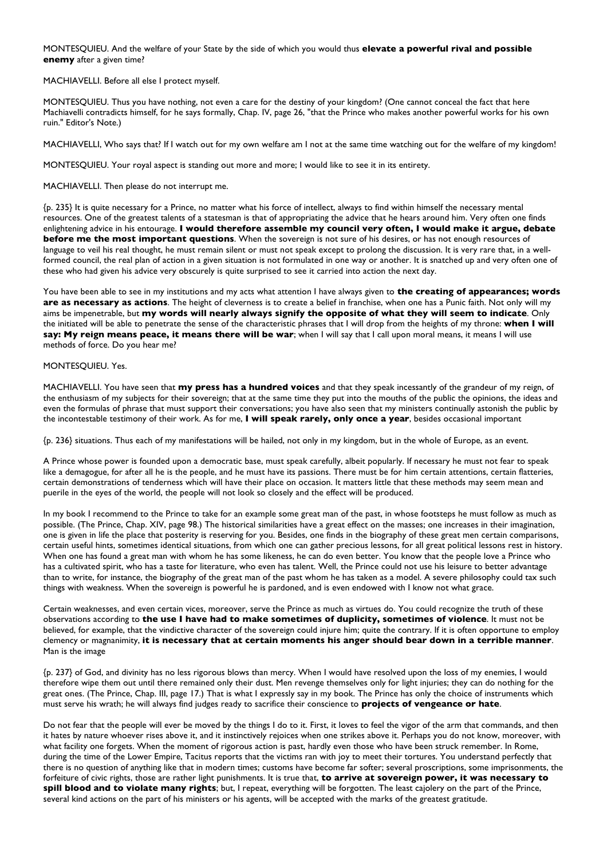MONTESQUIEU. And the welfare of your State by the side of which you would thus **elevate a powerful rival and possible enemy** after a given time?

MACHIAVELLI. Before all else I protect myself.

MONTESQUIEU. Thus you have nothing, not even a care for the destiny of your kingdom? (One cannot conceal the fact that here Machiavelli contradicts himself, for he says formally, Chap. IV, page 26, "that the Prince who makes another powerful works for his own ruin." Editor's Note.)

MACHIAVELLI, Who says that? If I watch out for my own welfare am I not at the same time watching out for the welfare of my kingdom!

MONTESQUIEU. Your royal aspect is standing out more and more; I would like to see it in its entirety.

MACHIAVELLI. Then please do not interrupt me.

{p. 235} It is quite necessary for a Prince, no matter what his force of intellect, always to find within himself the necessary mental resources. One of the greatest talents of a statesman is that of appropriating the advice that he hears around him. Very often one finds enlightening advice in his entourage. **I would therefore assemble my council very often, I would make it argue, debate before me the most important questions**. When the sovereign is not sure of his desires, or has not enough resources of language to veil his real thought, he must remain silent or must not speak except to prolong the discussion. It is very rare that, in a wellformed council, the real plan of action in a given situation is not formulated in one way or another. It is snatched up and very often one of these who had given his advice very obscurely is quite surprised to see it carried into action the next day.

You have been able to see in my institutions and my acts what attention I have always given to **the creating of appearances; words are as necessary as actions**. The height of cleverness is to create a belief in franchise, when one has a Punic faith. Not only will my aims be impenetrable, but **my words will nearly always signify the opposite of what they will seem to indicate**. Only the initiated will be able to penetrate the sense of the characteristic phrases that I will drop from the heights of my throne: **when I will say: My reign means peace, it means there will be war**; when I will say that I call upon moral means, it means I will use methods of force. Do you hear me?

# MONTESOUIEU. Yes.

MACHIAVELLI. You have seen that **my press has a hundred voices** and that they speak incessantly of the grandeur of my reign, of the enthusiasm of my subjects for their sovereign; that at the same time they put into the mouths of the public the opinions, the ideas and even the formulas of phrase that must support their conversations; you have also seen that my ministers continually astonish the public by the incontestable testimony of their work. As for me, **I will speak rarely, only once a year**, besides occasional important

{p. 236} situations. Thus each of my manifestations will be hailed, not only in my kingdom, but in the whole of Europe, as an event.

A Prince whose power is founded upon a democratic base, must speak carefully, albeit popularly. If necessary he must not fear to speak like a demagogue, for after all he is the people, and he must have its passions. There must be for him certain attentions, certain flatteries, certain demonstrations of tenderness which will have their place on occasion. It matters little that these methods may seem mean and puerile in the eyes of the world, the people will not look so closely and the effect will be produced.

In my book I recommend to the Prince to take for an example some great man of the past, in whose footsteps he must follow as much as possible. (The Prince, Chap. XIV, page 98.) The historical similarities have a great effect on the masses; one increases in their imagination, one is given in life the place that posterity is reserving for you. Besides, one finds in the biography of these great men certain comparisons, certain useful hints, sometimes identical situations, from which one can gather precious lessons, for all great political lessons rest in history. When one has found a great man with whom he has some likeness, he can do even better. You know that the people love a Prince who has a cultivated spirit, who has a taste for literature, who even has talent. Well, the Prince could not use his leisure to better advantage than to write, for instance, the biography of the great man of the past whom he has taken as a model. A severe philosophy could tax such things with weakness. When the sovereign is powerful he is pardoned, and is even endowed with I know not what grace.

Certain weaknesses, and even certain vices, moreover, serve the Prince as much as virtues do. You could recognize the truth of these observations according to **the use I have had to make sometimes of duplicity, sometimes of violence**. It must not be believed, for example, that the vindictive character of the sovereign could injure him; quite the contrary. If it is often opportune to employ clemency or magnanimity, **it is necessary that at certain moments his anger should bear down in a terrible manner**. Man is the image

{p. 237} of God, and divinity has no less rigorous blows than mercy. When I would have resolved upon the loss of my enemies, I would therefore wipe them out until there remained only their dust. Men revenge themselves only for light injuries; they can do nothing for the great ones. (The Prince, Chap. III, page 17.) That is what I expressly say in my book. The Prince has only the choice of instruments which must serve his wrath; he will always find judges ready to sacrifice their conscience to **projects of vengeance or hate**.

Do not fear that the people will ever be moved by the things I do to it. First, it loves to feel the vigor of the arm that commands, and then it hates by nature whoever rises above it, and it instinctively rejoices when one strikes above it. Perhaps you do not know, moreover, with what facility one forgets. When the moment of rigorous action is past, hardly even those who have been struck remember. In Rome, during the time of the Lower Empire, Tacitus reports that the victims ran with joy to meet their tortures. You understand perfectly that there is no question of anything like that in modern times; customs have become far softer; several proscriptions, some imprisonments, the forfeiture of civic rights, those are rather light punishments. It is true that, **to arrive at sovereign power, it was necessary to spill blood and to violate many rights**; but, I repeat, everything will be forgotten. The least cajolery on the part of the Prince, several kind actions on the part of his ministers or his agents, will be accepted with the marks of the greatest gratitude.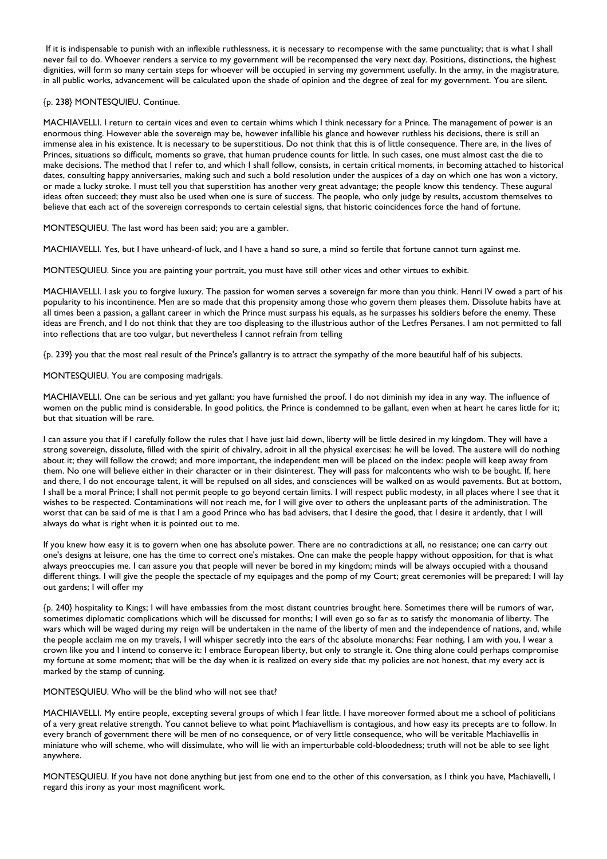If it is indispensable to punish with an inflexible ruthlessness, it is necessary to recompense with the same punctuality; that is what I shall never fail to do. Whoever renders a service to my government will be recompensed the very next day. Positions, distinctions, the highest dignities, will form so many certain steps for whoever will be occupied in serving my government usefully. In the army, in the magistrature, in all public works, advancement will be calculated upon the shade of opinion and the degree of zeal for my government. You are silent.

# {p. 238} MONTESQUIEU. Continue.

MACHIAVELLI. I return to certain vices and even to certain whims which I think necessary for a Prince. The management of power is an enormous thing. However able the sovereign may be, however infallible his glance and however ruthless his decisions, there is still an immense alea in his existence. It is necessary to be superstitious. Do not think that this is of little consequence. There are, in the lives of Princes, situations so difficult, moments so grave, that human prudence counts for little. In such cases, one must almost cast the die to make decisions. The method that I refer to, and which I shall follow, consists, in certain critical moments, in becoming attached to historical dates, consulting happy anniversaries, making such and such a bold resolution under the auspices of a day on which one has won a victory, or made a lucky stroke. I must tell you that superstition has another very great advantage; the people know this tendency. These augural ideas often succeed; they must also be used when one is sure of success. The people, who only judge by results, accustom themselves to believe that each act of the sovereign corresponds to certain celestial signs, that historic coincidences force the hand of fortune.

MONTESQUIEU. The last word has been said; you are a gambler.

MACHIAVELLI. Yes, but I have unheard-of luck, and I have a hand so sure, a mind so fertile that fortune cannot turn against me.

MONTESQUIEU. Since you are painting your portrait, you must have still other vices and other virtues to exhibit.

MACHIAVELLI. I ask you to forgive luxury. The passion for women serves a sovereign far more than you think. Henri IV owed a part of his popularity to his incontinence. Men are so made that this propensity among those who govern them pleases them. Dissolute habits have at all times been a passion, a gallant career in which the Prince must surpass his equals, as he surpasses his soldiers before the enemy. These ideas are French, and I do not think that they are too displeasing to the illustrious author of the Letfres Persanes. I am not permitted to fall into reflections that are too vulgar, but nevertheless I cannot refrain from telling

{p. 239} you that the most real result of the Prince's gallantry is to attract the sympathy of the more beautiful half of his subjects.

MONTESQUIEU. You are composing madrigals.

MACHIAVELLI. One can be serious and yet gallant: you have furnished the proof. I do not diminish my idea in any way. The influence of women on the public mind is considerable. In good politics, the Prince is condemned to be gallant, even when at heart he cares little for it; but that situation will be rare.

I can assure you that if I carefully follow the rules that I have just laid down, liberty will be little desired in my kingdom. They will have a strong sovereign, dissolute, filled with the spirit of chivalry, adroit in all the physical exercises: he will be loved. The austere will do nothing about it; they will follow the crowd; and more important, the independent men will be placed on the index: people will keep away from them. No one will believe either in their character or in their disinterest. They will pass for malcontents who wish to be bought. If, here and there, I do not encourage talent, it will be repulsed on all sides, and consciences will be walked on as would pavements. But at bottom, I shall be a moral Prince; I shall not permit people to go beyond certain limits. I will respect public modesty, in all places where I see that it wishes to be respected. Contaminations will not reach me, for I will give over to others the unpleasant parts of the administration. The worst that can be said of me is that I am a good Prince who has bad advisers, that I desire the good, that I desire it ardently, that I will always do what is right when it is pointed out to me.

If you knew how easy it is to govern when one has absolute power. There are no contradictions at all, no resistance; one can carry out one's designs at leisure, one has the time to correct one's mistakes. One can make the people happy without opposition, for that is what always preoccupies me. I can assure you that people will never be bored in my kingdom; minds will be always occupied with a thousand different things. I will give the people the spectacle of my equipages and the pomp of my Court; great ceremonies will be prepared; I will lay out gardens; I will offer my

{p. 240} hospitality to Kings; I will have embassies from the most distant countries brought here. Sometimes there will be rumors of war, sometimes diplomatic complications which will be discussed for months; I will even go so far as to satisfy thc monomania of liberty. The wars which will be waged during my reign will be undertaken in the name of the liberty of men and the independence of nations, and, while the people acclaim me on my travels, I will whisper secretly into the ears of thc absolute monarchs: Fear nothing, I am with you, I wear a crown like you and I intend to conserve it: I embrace European liberty, but only to strangle it. One thing alone could perhaps compromise my fortune at some moment; that will be the day when it is realized on every side that my policies are not honest, that my every act is marked by the stamp of cunning.

MONTESQUIEU. Who will be the blind who will not see that?

MACHIAVELLI. My entire people, excepting several groups of which I fear little. I have moreover formed about me a school of politicians of a very great relative strength. You cannot believe to what point Machiavellism is contagious, and how easy its precepts are to follow. In every branch of government there will be men of no consequence, or of very little consequence, who will be veritable Machiavellis in miniature who will scheme, who will dissimulate, who will lie with an imperturbable cold-bloodedness; truth will not be able to see light anywhere.

MONTESQUIEU. If you have not done anything but jest from one end to the other of this conversation, as I think you have, Machiavelli, I regard this irony as your most magnificent work.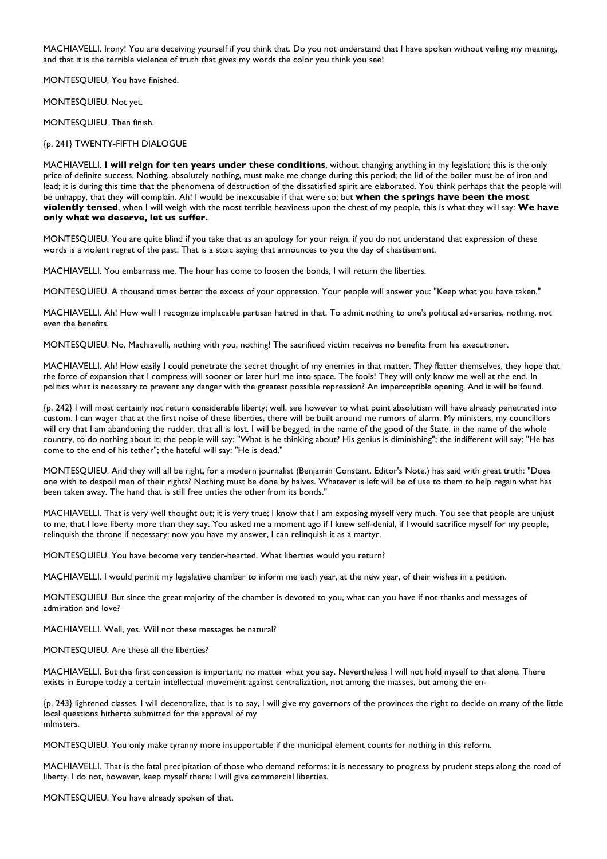MACHIAVELLI. Irony! You are deceiving yourself if you think that. Do you not understand that I have spoken without veiling my meaning, and that it is the terrible violence of truth that gives my words the color you think you see!

MONTESQUIEU, You have finished.

MONTESQUIEU. Not yet.

MONTESQUIEU. Then finish.

{p. 241} TWENTY-FIFTH DIALOGUE

MACHIAVELLI. **I will reign for ten years under these conditions**, without changing anything in my legislation; this is the only price of definite success. Nothing, absolutely nothing, must make me change during this period; the lid of the boiler must be of iron and lead; it is during this time that the phenomena of destruction of the dissatisfied spirit are elaborated. You think perhaps that the people will be unhappy, that they will complain. Ah! I would be inexcusable if that were so; but **when the springs have been the most violently tensed**, when I will weigh with the most terrible heaviness upon the chest of my people, this is what they will say: **We have only what we deserve, let us suffer.**

MONTESQUIEU. You are quite blind if you take that as an apology for your reign, if you do not understand that expression of these words is a violent regret of the past. That is a stoic saying that announces to you the day of chastisement.

MACHIAVELLI. You embarrass me. The hour has come to loosen the bonds, I will return the liberties.

MONTESQUIEU. A thousand times better the excess of your oppression. Your people will answer you: "Keep what you have taken."

MACHIAVELLI. Ah! How well I recognize implacable partisan hatred in that. To admit nothing to one's political adversaries, nothing, not even the benefits.

MONTESQUIEU. No, Machiavelli, nothing with you, nothing! The sacrificed victim receives no benefits from his executioner.

MACHIAVELLI. Ah! How easily I could penetrate the secret thought of my enemies in that matter. They flatter themselves, they hope that the force of expansion that I compress will sooner or later hurl me into space. The fools! They will only know me well at the end. In politics what is necessary to prevent any danger with the greatest possible repression? An imperceptible opening. And it will be found.

{p. 242} I will most certainly not return considerable liberty; well, see however to what point absolutism will have already penetrated into custom. I can wager that at the first noise of these liberties, there will be built around me rumors of alarm. My ministers, my councillors will cry that I am abandoning the rudder, that all is lost. I will be begged, in the name of the good of the State, in the name of the whole country, to do nothing about it; the people will say: "What is he thinking about? His genius is diminishing"; the indifferent will say: "He has come to the end of his tether"; the hateful will say: "He is dead."

MONTESQUIEU. And they will all be right, for a modern journalist (Benjamin Constant. Editor's Note.) has said with great truth: "Does one wish to despoil men of their rights? Nothing must be done by halves. Whatever is left will be of use to them to help regain what has been taken away. The hand that is still free unties the other from its bonds."

MACHIAVELLI. That is very well thought out; it is very true; I know that I am exposing myself very much. You see that people are unjust to me, that I love liberty more than they say. You asked me a moment ago if I knew self-denial, if I would sacrifice myself for my people, relinquish the throne if necessary: now you have my answer, I can relinquish it as a martyr.

MONTESQUIEU. You have become very tender-hearted. What liberties would you return?

MACHIAVELLI. I would permit my legislative chamber to inform me each year, at the new year, of their wishes in a petition.

MONTESQUIEU. But since the great majority of the chamber is devoted to you, what can you have if not thanks and messages of admiration and love?

MACHIAVELLI. Well, yes. Will not these messages be natural?

MONTESQUIEU. Are these all the liberties?

MACHIAVELLI. But this first concession is important, no matter what you say. Nevertheless I will not hold myself to that alone. There exists in Europe today a certain intellectual movement against centralization, not among the masses, but among the en-

{p. 243} lightened classes. I will decentralize, that is to say, I will give my governors of the provinces the right to decide on many of the little local questions hitherto submitted for the approval of my mlmsters.

MONTESQUIEU. You only make tyranny more insupportable if the municipal element counts for nothing in this reform.

MACHIAVELLI. That is the fatal precipitation of those who demand reforms: it is necessary to progress by prudent steps along the road of liberty. I do not, however, keep myself there: I will give commercial liberties.

MONTESQUIEU. You have already spoken of that.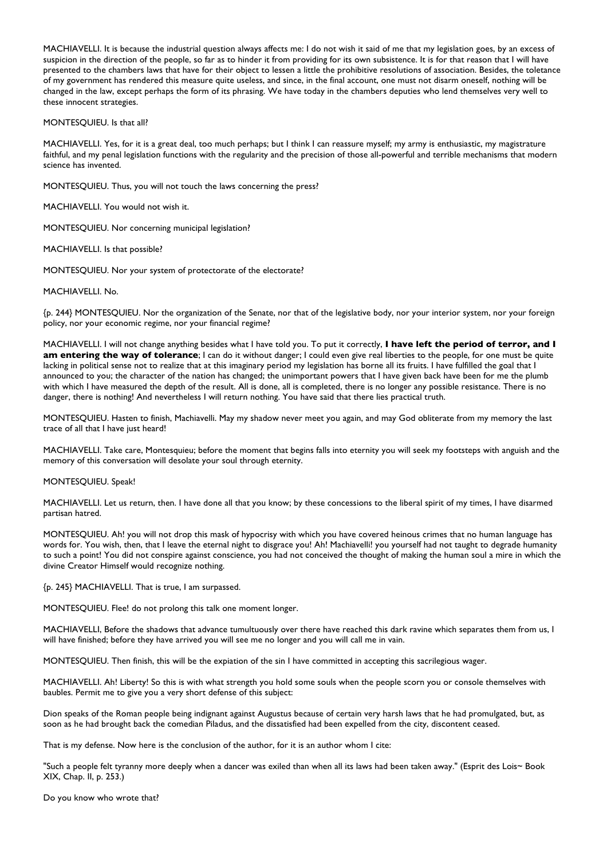MACHIAVELLI. It is because the industrial question always affects me: I do not wish it said of me that my legislation goes, by an excess of suspicion in the direction of the people, so far as to hinder it from providing for its own subsistence. It is for that reason that I will have presented to the chambers laws that have for their object to lessen a little the prohibitive resolutions of association. Besides, the toletance of my government has rendered this measure quite useless, and since, in the final account, one must not disarm oneself, nothing will be changed in the law, except perhaps the form of its phrasing. We have today in the chambers deputies who lend themselves very well to these innocent strategies.

## MONTESQUIEU. Is that all?

MACHIAVELLI. Yes, for it is a great deal, too much perhaps; but I think I can reassure myself; my army is enthusiastic, my magistrature faithful, and my penal legislation functions with the regularity and the precision of those all-powerful and terrible mechanisms that modern science has invented.

MONTESQUIEU. Thus, you will not touch the laws concerning the press?

MACHIAVELLI. You would not wish it.

MONTESQUIEU. Nor concerning municipal legislation?

MACHIAVELLI. Is that possible?

MONTESQUIEU. Nor your system of protectorate of the electorate?

MACHIAVELLI. No.

{p. 244} MONTESQUIEU. Nor the organization of the Senate, nor that of the legislative body, nor your interior system, nor your foreign policy, nor your economic regime, nor your financial regime?

MACHIAVELLI. I will not change anything besides what I have told you. To put it correctly, **I have left the period of terror, and I am entering the way of tolerance**; I can do it without danger; I could even give real liberties to the people, for one must be quite lacking in political sense not to realize that at this imaginary period my legislation has borne all its fruits. I have fulfilled the goal that I announced to you; the character of the nation has changed; the unimportant powers that I have given back have been for me the plumb with which I have measured the depth of the result. All is done, all is completed, there is no longer any possible resistance. There is no danger, there is nothing! And nevertheless I will return nothing. You have said that there lies practical truth.

MONTESQUIEU. Hasten to finish, Machiavelli. May my shadow never meet you again, and may God obliterate from my memory the last trace of all that I have just heard!

MACHIAVELLI. Take care, Montesquieu; before the moment that begins falls into eternity you will seek my footsteps with anguish and the memory of this conversation will desolate your soul through eternity.

MONTESQUIEU. Speak!

MACHIAVELLI. Let us return, then. I have done all that you know; by these concessions to the liberal spirit of my times, I have disarmed partisan hatred.

MONTESQUIEU. Ah! you will not drop this mask of hypocrisy with which you have covered heinous crimes that no human language has words for. You wish, then, that I leave the eternal night to disgrace you! Ah! Machiavelli! you yourself had not taught to degrade humanity to such a point! You did not conspire against conscience, you had not conceived the thought of making the human soul a mire in which the divine Creator Himself would recognize nothing.

{p. 245} MACHIAVELLI. That is true, I am surpassed.

MONTESQUIEU. Flee! do not prolong this talk one moment longer.

MACHIAVELLI, Before the shadows that advance tumultuously over there have reached this dark ravine which separates them from us, I will have finished; before they have arrived you will see me no longer and you will call me in vain.

MONTESQUIEU. Then finish, this will be the expiation of the sin I have committed in accepting this sacrilegious wager.

MACHIAVELLI. Ah! Liberty! So this is with what strength you hold some souls when the people scorn you or console themselves with baubles. Permit me to give you a very short defense of this subject:

Dion speaks of the Roman people being indignant against Augustus because of certain very harsh laws that he had promulgated, but, as soon as he had brought back the comedian Piladus, and the dissatisfied had been expelled from the city, discontent ceased.

That is my defense. Now here is the conclusion of the author, for it is an author whom I cite:

"Such a people felt tyranny more deeply when a dancer was exiled than when all its laws had been taken away." (Esprit des Lois~ Book XIX, Chap. II, p. 253.)

Do you know who wrote that?